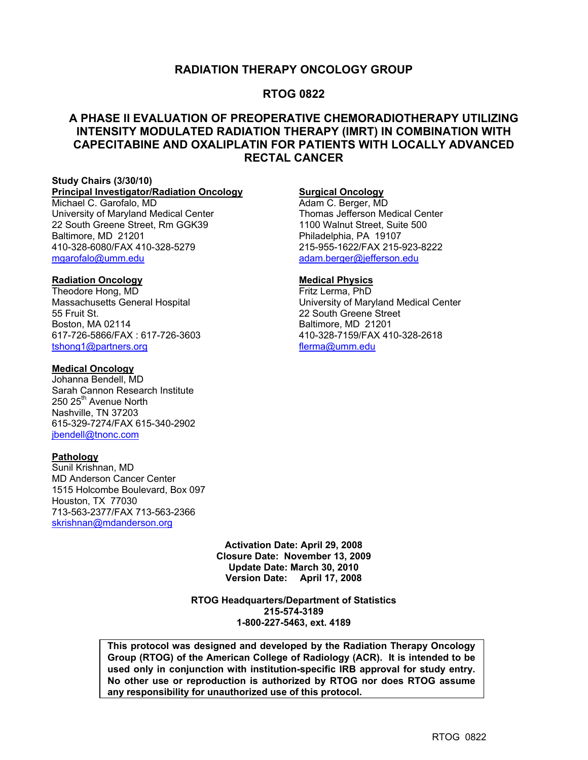### **RADIATION THERAPY ONCOLOGY GROUP**

### **RTOG 0822**

### **A PHASE II EVALUATION OF PREOPERATIVE CHEMORADIOTHERAPY UTILIZING INTENSITY MODULATED RADIATION THERAPY (IMRT) IN COMBINATION WITH CAPECITABINE AND OXALIPLATIN FOR PATIENTS WITH LOCALLY ADVANCED RECTAL CANCER**

#### **Study Chairs (3/30/10) Principal Investigator/Radiation Oncology**

Michael C. Garofalo, MD University of Maryland Medical Center 22 South Greene Street, Rm GGK39 Baltimore, MD 21201 410-328-6080/FAX 410-328-5279 mgarofalo@umm.edu

### **Radiation Oncology**

Theodore Hong, MD Massachusetts General Hospital 55 Fruit St. Boston, MA 02114 617-726-5866/FAX : 617-726-3603 tshong1@partners.org

#### **Medical Oncology**

Johanna Bendell, MD Sarah Cannon Research Institute 250 25<sup>th</sup> Avenue North Nashville, TN 37203 615-329-7274/FAX 615-340-2902 jbendell@tnonc.com

### **Pathology**

Sunil Krishnan, MD MD Anderson Cancer Center 1515 Holcombe Boulevard, Box 097 Houston, TX 77030 713-563-2377/FAX 713-563-2366 skrishnan@mdanderson.org

### **Surgical Oncology**

Adam C. Berger, MD Thomas Jefferson Medical Center 1100 Walnut Street, Suite 500 Philadelphia, PA 19107 215-955-1622/FAX 215-923-8222 adam.berger@jefferson.edu

### **Medical Physics**

Fritz Lerma, PhD University of Maryland Medical Center 22 South Greene Street Baltimore, MD 21201 410-328-7159/FAX 410-328-2618 flerma@umm.edu

**Activation Date: April 29, 2008 Closure Date: November 13, 2009 Update Date: March 30, 2010 Version Date: April 17, 2008** 

**RTOG Headquarters/Department of Statistics 215-574-3189 1-800-227-5463, ext. 4189** 

**This protocol was designed and developed by the Radiation Therapy Oncology Group (RTOG) of the American College of Radiology (ACR). It is intended to be used only in conjunction with institution-specific IRB approval for study entry. No other use or reproduction is authorized by RTOG nor does RTOG assume any responsibility for unauthorized use of this protocol.**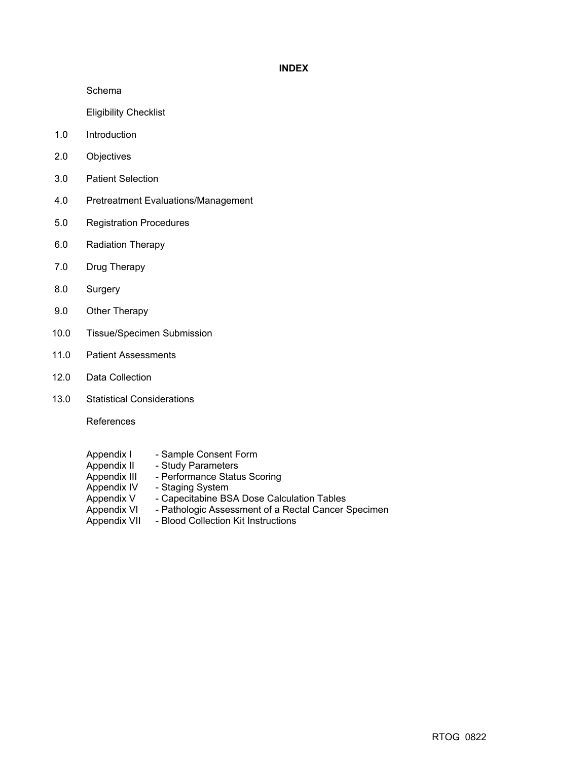### **INDEX**

Schema

Eligibility Checklist

- 1.0 Introduction
- 2.0 Objectives
- 3.0 Patient Selection
- 4.0 Pretreatment Evaluations/Management
- 5.0 Registration Procedures
- 6.0 Radiation Therapy
- 7.0 Drug Therapy
- 8.0 Surgery
- 9.0 Other Therapy
- 10.0 Tissue/Specimen Submission
- 11.0 Patient Assessments
- 12.0 Data Collection
- 13.0 Statistical Considerations

References

- Appendix I Sample Consent Form<br>Appendix II Study Parameters
- Appendix II Study Parameters<br>Appendix III Performance Statu
- Appendix III Performance Status Scoring<br>Appendix IV Staging System
- Staging System
	-
- Appendix V Capecitabine BSA Dose Calculation Tables<br>Appendix VI Pathologic Assessment of a Rectal Cancer S Appendix VI - Pathologic Assessment of a Rectal Cancer Specimen<br>Appendix VII - Blood Collection Kit Instructions
- Blood Collection Kit Instructions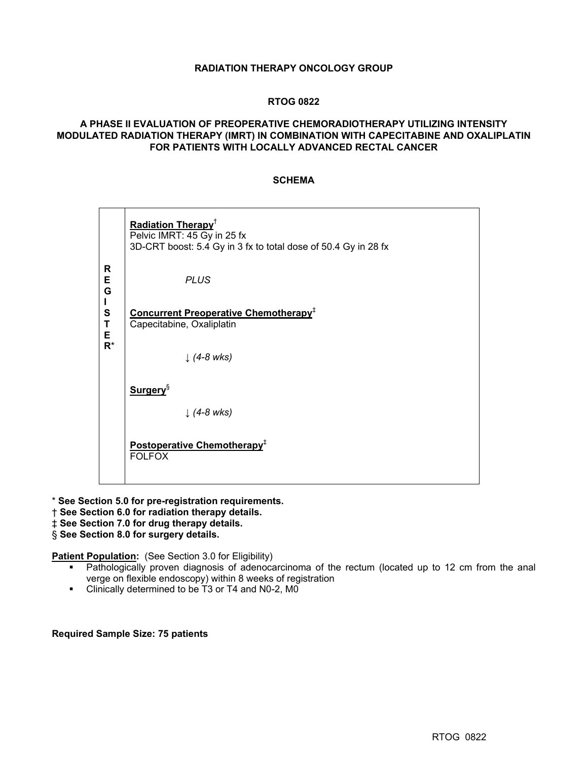### **RADIATION THERAPY ONCOLOGY GROUP**

### **RTOG 0822**

### **A PHASE II EVALUATION OF PREOPERATIVE CHEMORADIOTHERAPY UTILIZING INTENSITY MODULATED RADIATION THERAPY (IMRT) IN COMBINATION WITH CAPECITABINE AND OXALIPLATIN FOR PATIENTS WITH LOCALLY ADVANCED RECTAL CANCER**

### **SCHEMA**

| Radiation Therapy <sup>+</sup><br>Pelvic IMRT: 45 Gy in 25 fx<br>3D-CRT boost: 5.4 Gy in 3 fx to total dose of 50.4 Gy in 28 fx |
|---------------------------------------------------------------------------------------------------------------------------------|
| <b>PLUS</b>                                                                                                                     |
| Concurrent Preoperative Chemotherapy <sup>+</sup><br>Capecitabine, Oxaliplatin                                                  |
| $\downarrow$ (4-8 wks)                                                                                                          |
| <b>Surgery</b> <sup>§</sup>                                                                                                     |
| $\downarrow$ (4-8 wks)                                                                                                          |
| Postoperative Chemotherapy <sup>+</sup><br><b>FOLFOX</b>                                                                        |
| $R^*$                                                                                                                           |

\* **See Section 5.0 for pre-registration requirements.** 

- † **See Section 6.0 for radiation therapy details.**
- ‡ **See Section 7.0 for drug therapy details.**

§ **See Section 8.0 for surgery details.** 

**Patient Population:** (See Section 3.0 for Eligibility)

- Pathologically proven diagnosis of adenocarcinoma of the rectum (located up to 12 cm from the anal verge on flexible endoscopy) within 8 weeks of registration
- **EXECUTE:** Clinically determined to be T3 or T4 and N0-2, M0

### **Required Sample Size: 75 patients**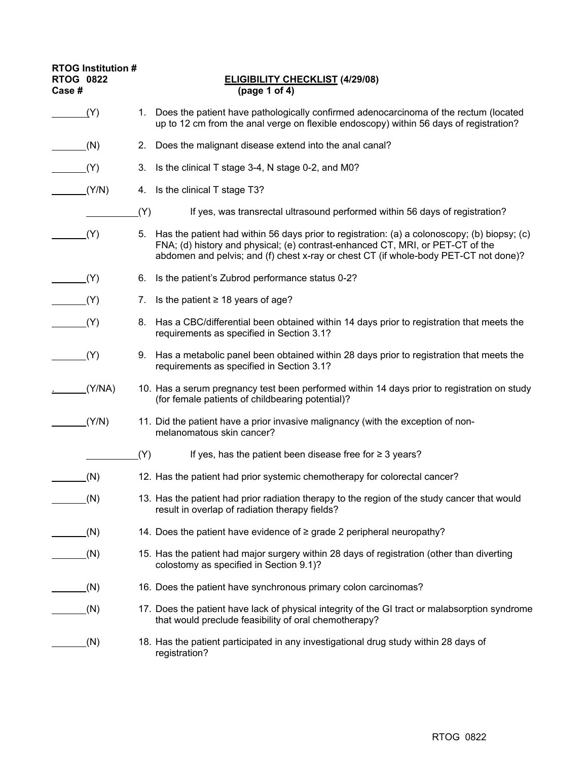| <b>RTOG Institution #</b><br><b>RTOG 0822</b><br>Case # | <b>ELIGIBILITY CHECKLIST (4/29/08)</b><br>(page 1 of 4)                                                                                                                                                                                                                      |
|---------------------------------------------------------|------------------------------------------------------------------------------------------------------------------------------------------------------------------------------------------------------------------------------------------------------------------------------|
| (Y)                                                     | Does the patient have pathologically confirmed adenocarcinoma of the rectum (located<br>1.<br>up to 12 cm from the anal verge on flexible endoscopy) within 56 days of registration?                                                                                         |
| (N)                                                     | Does the malignant disease extend into the anal canal?<br>2.                                                                                                                                                                                                                 |
| (Y)                                                     | 3.<br>Is the clinical T stage 3-4, N stage 0-2, and M0?                                                                                                                                                                                                                      |
| (Y/N)                                                   | Is the clinical T stage T3?<br>4.                                                                                                                                                                                                                                            |
|                                                         | (Y)<br>If yes, was transrectal ultrasound performed within 56 days of registration?                                                                                                                                                                                          |
| (Y)                                                     | Has the patient had within 56 days prior to registration: (a) a colonoscopy; (b) biopsy; (c)<br>5.<br>FNA; (d) history and physical; (e) contrast-enhanced CT, MRI, or PET-CT of the<br>abdomen and pelvis; and (f) chest x-ray or chest CT (if whole-body PET-CT not done)? |
| (Y)                                                     | Is the patient's Zubrod performance status 0-2?<br>6.                                                                                                                                                                                                                        |
| (Y)                                                     | Is the patient $\geq$ 18 years of age?<br>7.                                                                                                                                                                                                                                 |
| (Y)                                                     | 8. Has a CBC/differential been obtained within 14 days prior to registration that meets the<br>requirements as specified in Section 3.1?                                                                                                                                     |
| (Y)                                                     | 9. Has a metabolic panel been obtained within 28 days prior to registration that meets the<br>requirements as specified in Section 3.1?                                                                                                                                      |
| (Y/NA)                                                  | 10. Has a serum pregnancy test been performed within 14 days prior to registration on study<br>(for female patients of childbearing potential)?                                                                                                                              |
| (Y/N)                                                   | 11. Did the patient have a prior invasive malignancy (with the exception of non-<br>melanomatous skin cancer?                                                                                                                                                                |
|                                                         | If yes, has the patient been disease free for $\geq$ 3 years?<br>(Y)                                                                                                                                                                                                         |
| (N)                                                     | 12. Has the patient had prior systemic chemotherapy for colorectal cancer?                                                                                                                                                                                                   |
| (N)                                                     | 13. Has the patient had prior radiation therapy to the region of the study cancer that would<br>result in overlap of radiation therapy fields?                                                                                                                               |
| (N)                                                     | 14. Does the patient have evidence of ≥ grade 2 peripheral neuropathy?                                                                                                                                                                                                       |
| (N)                                                     | 15. Has the patient had major surgery within 28 days of registration (other than diverting<br>colostomy as specified in Section 9.1)?                                                                                                                                        |
| (N)                                                     | 16. Does the patient have synchronous primary colon carcinomas?                                                                                                                                                                                                              |
| (N)                                                     | 17. Does the patient have lack of physical integrity of the GI tract or malabsorption syndrome<br>that would preclude feasibility of oral chemotherapy?                                                                                                                      |
| (N)                                                     | 18. Has the patient participated in any investigational drug study within 28 days of<br>registration?                                                                                                                                                                        |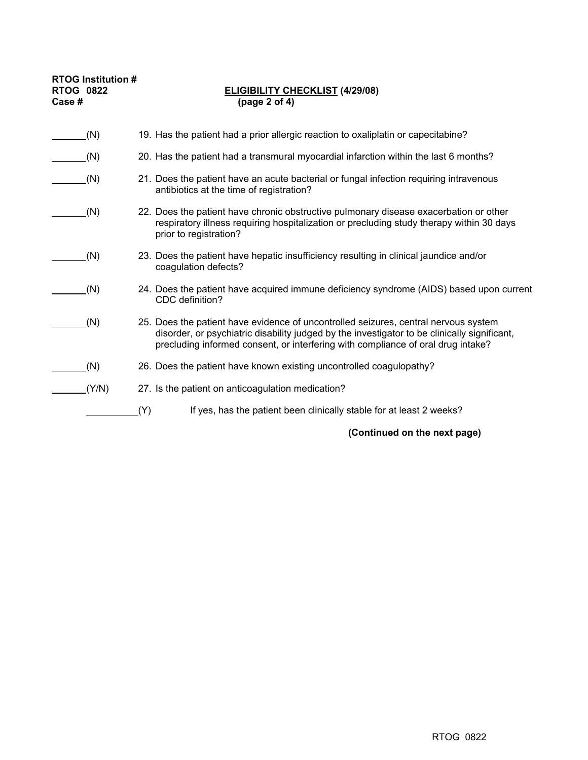| <b>RTOG Institution #</b><br><b>RTOG 0822</b><br>Case # | <b>ELIGIBILITY CHECKLIST (4/29/08)</b><br>(page 2 of 4)                                                                                                                                                                                                                 |
|---------------------------------------------------------|-------------------------------------------------------------------------------------------------------------------------------------------------------------------------------------------------------------------------------------------------------------------------|
| (N)                                                     | 19. Has the patient had a prior allergic reaction to oxaliplatin or capecitabine?                                                                                                                                                                                       |
| (N)                                                     | 20. Has the patient had a transmural myocardial infarction within the last 6 months?                                                                                                                                                                                    |
| (N)                                                     | 21. Does the patient have an acute bacterial or fungal infection requiring intravenous<br>antibiotics at the time of registration?                                                                                                                                      |
| (N)                                                     | 22. Does the patient have chronic obstructive pulmonary disease exacerbation or other<br>respiratory illness requiring hospitalization or precluding study therapy within 30 days<br>prior to registration?                                                             |
| (N)                                                     | 23. Does the patient have hepatic insufficiency resulting in clinical jaundice and/or<br>coagulation defects?                                                                                                                                                           |
| (N)                                                     | 24. Does the patient have acquired immune deficiency syndrome (AIDS) based upon current<br>CDC definition?                                                                                                                                                              |
| (N)                                                     | 25. Does the patient have evidence of uncontrolled seizures, central nervous system<br>disorder, or psychiatric disability judged by the investigator to be clinically significant,<br>precluding informed consent, or interfering with compliance of oral drug intake? |
| (N)                                                     | 26. Does the patient have known existing uncontrolled coagulopathy?                                                                                                                                                                                                     |
| (Y/N)                                                   | 27. Is the patient on anticoagulation medication?                                                                                                                                                                                                                       |
|                                                         | (Y)<br>If yes, has the patient been clinically stable for at least 2 weeks?                                                                                                                                                                                             |

**(Continued on the next page)**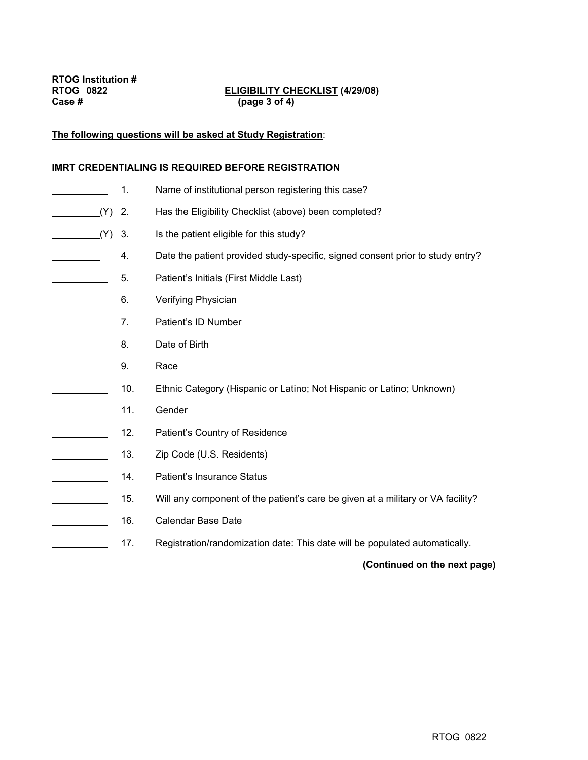# **ELIGIBILITY CHECKLIST (4/29/08)**

#### **The following questions will be asked at Study Registration**:

#### **IMRT CREDENTIALING IS REQUIRED BEFORE REGISTRATION**

 1. Name of institutional person registering this case? (Y) 2. Has the Eligibility Checklist (above) been completed? (Y) 3. Is the patient eligible for this study? 4. Date the patient provided study-specific, signed consent prior to study entry? **5.** Patient's Initials (First Middle Last) **6.** Verifying Physician 7. Patient's ID Number **8.** Date of Birth **2.** 9. Race 10. Ethnic Category (Hispanic or Latino; Not Hispanic or Latino; Unknown) 11. Gender 12. Patient's Country of Residence 13. Zip Code (U.S. Residents) **14.** Patient's Insurance Status 15. Will any component of the patient's care be given at a military or VA facility? **16.** Calendar Base Date 17. Registration/randomization date: This date will be populated automatically.

### **(Continued on the next page)**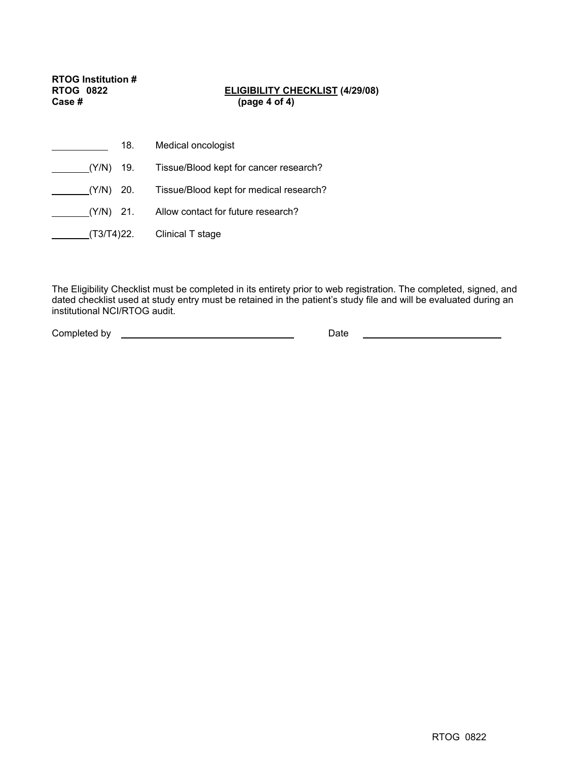**RTOG Institution # Case # (page 4 of 4)** 

# **ELIGIBILITY CHECKLIST (4/29/08)**

| 18.         | Medical oncologist                      |
|-------------|-----------------------------------------|
| (Y/N) 19.   | Tissue/Blood kept for cancer research?  |
| (Y/N) 20.   | Tissue/Blood kept for medical research? |
| $(Y/N)$ 21. | Allow contact for future research?      |
| (T3/T4)22.  | Clinical T stage                        |

The Eligibility Checklist must be completed in its entirety prior to web registration. The completed, signed, and dated checklist used at study entry must be retained in the patient's study file and will be evaluated during an institutional NCI/RTOG audit.

Completed by Date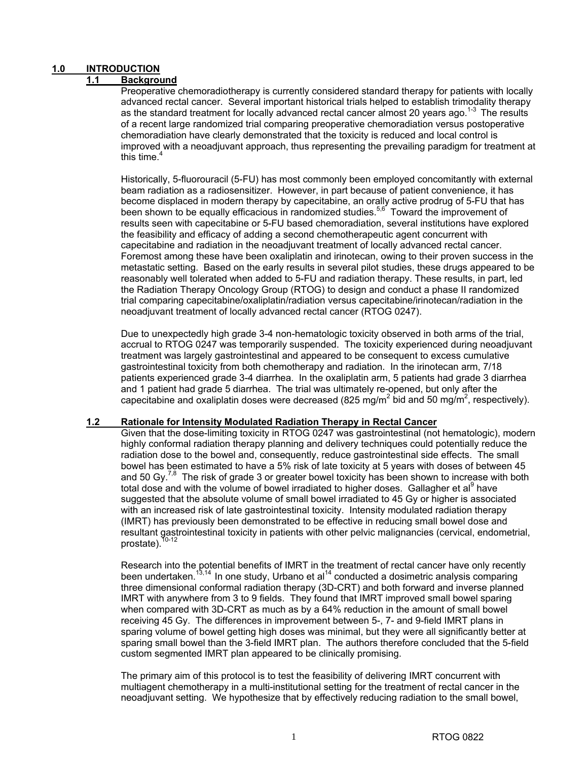### **1.0 INTRODUCTION**

### **1.1 Background**

Preoperative chemoradiotherapy is currently considered standard therapy for patients with locally advanced rectal cancer. Several important historical trials helped to establish trimodality therapy as the standard treatment for locally advanced rectal cancer almost 20 years ago.<sup>1-3</sup> The results of a recent large randomized trial comparing preoperative chemoradiation versus postoperative chemoradiation have clearly demonstrated that the toxicity is reduced and local control is improved with a neoadjuvant approach, thus representing the prevailing paradigm for treatment at this time.<sup>4</sup>

Historically, 5-fluorouracil (5-FU) has most commonly been employed concomitantly with external beam radiation as a radiosensitizer. However, in part because of patient convenience, it has become displaced in modern therapy by capecitabine, an orally active prodrug of 5-FU that has been shown to be equally efficacious in randomized studies.<sup>5,6</sup> Toward the improvement of results seen with capecitabine or 5-FU based chemoradiation, several institutions have explored the feasibility and efficacy of adding a second chemotherapeutic agent concurrent with capecitabine and radiation in the neoadjuvant treatment of locally advanced rectal cancer. Foremost among these have been oxaliplatin and irinotecan, owing to their proven success in the metastatic setting. Based on the early results in several pilot studies, these drugs appeared to be reasonably well tolerated when added to 5-FU and radiation therapy. These results, in part, led the Radiation Therapy Oncology Group (RTOG) to design and conduct a phase II randomized trial comparing capecitabine/oxaliplatin/radiation versus capecitabine/irinotecan/radiation in the neoadjuvant treatment of locally advanced rectal cancer (RTOG 0247).

Due to unexpectedly high grade 3-4 non-hematologic toxicity observed in both arms of the trial, accrual to RTOG 0247 was temporarily suspended. The toxicity experienced during neoadjuvant treatment was largely gastrointestinal and appeared to be consequent to excess cumulative gastrointestinal toxicity from both chemotherapy and radiation. In the irinotecan arm, 7/18 patients experienced grade 3-4 diarrhea. In the oxaliplatin arm, 5 patients had grade 3 diarrhea and 1 patient had grade 5 diarrhea. The trial was ultimately re-opened, but only after the capecitabine and oxaliplatin doses were decreased (825 mg/m<sup>2</sup> bid and 50 mg/m<sup>2</sup>, respectively).

### **1.2 Rationale for Intensity Modulated Radiation Therapy in Rectal Cancer**

Given that the dose-limiting toxicity in RTOG 0247 was gastrointestinal (not hematologic), modern highly conformal radiation therapy planning and delivery techniques could potentially reduce the radiation dose to the bowel and, consequently, reduce gastrointestinal side effects. The small bowel has been estimated to have a 5% risk of late toxicity at 5 years with doses of between 45 and 50 Gy.<sup>7,8</sup> The risk of grade 3 or greater bowel toxicity has been shown to increase with both total dose and with the volume of bowel irradiated to higher doses. Gallagher et al<sup>9</sup> have suggested that the absolute volume of small bowel irradiated to 45 Gy or higher is associated with an increased risk of late gastrointestinal toxicity. Intensity modulated radiation therapy (IMRT) has previously been demonstrated to be effective in reducing small bowel dose and resultant gastrointestinal toxicity in patients with other pelvic malignancies (cervical, endometrial, prostate). $<sup>1</sup>$ </sup>

Research into the potential benefits of IMRT in the treatment of rectal cancer have only recently been undertaken.<sup>13,14</sup> In one study, Urbano et al<sup>14</sup> conducted a dosimetric analysis comparing three dimensional conformal radiation therapy (3D-CRT) and both forward and inverse planned IMRT with anywhere from 3 to 9 fields. They found that IMRT improved small bowel sparing when compared with 3D-CRT as much as by a 64% reduction in the amount of small bowel receiving 45 Gy. The differences in improvement between 5-, 7- and 9-field IMRT plans in sparing volume of bowel getting high doses was minimal, but they were all significantly better at sparing small bowel than the 3-field IMRT plan. The authors therefore concluded that the 5-field custom segmented IMRT plan appeared to be clinically promising.

The primary aim of this protocol is to test the feasibility of delivering IMRT concurrent with multiagent chemotherapy in a multi-institutional setting for the treatment of rectal cancer in the neoadjuvant setting. We hypothesize that by effectively reducing radiation to the small bowel,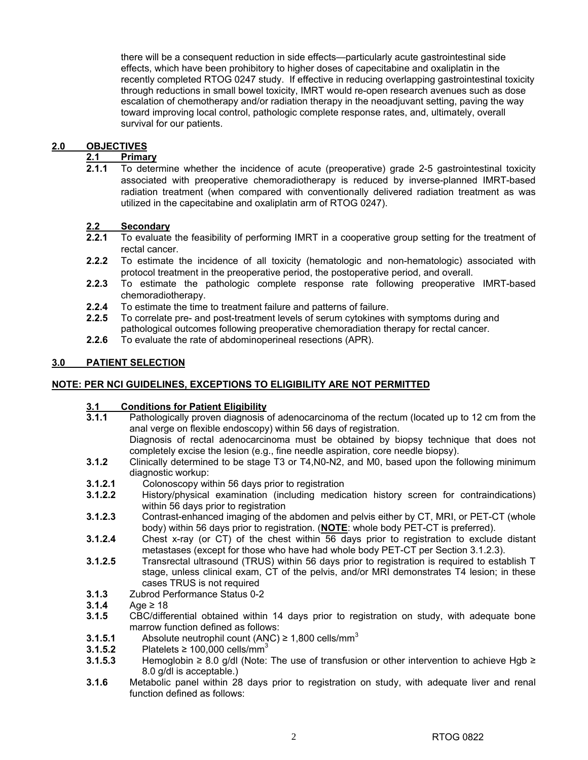there will be a consequent reduction in side effects—particularly acute gastrointestinal side effects, which have been prohibitory to higher doses of capecitabine and oxaliplatin in the recently completed RTOG 0247 study. If effective in reducing overlapping gastrointestinal toxicity through reductions in small bowel toxicity, IMRT would re-open research avenues such as dose escalation of chemotherapy and/or radiation therapy in the neoadjuvant setting, paving the way toward improving local control, pathologic complete response rates, and, ultimately, overall survival for our patients.

## 2.0 **OBJECTIVES**<br>2.1 **Primal**

### **2.1 Primary**

**2.1.1** To determine whether the incidence of acute (preoperative) grade 2-5 gastrointestinal toxicity associated with preoperative chemoradiotherapy is reduced by inverse-planned IMRT-based radiation treatment (when compared with conventionally delivered radiation treatment as was utilized in the capecitabine and oxaliplatin arm of RTOG 0247).

### **2.2 Secondary**

- **2.2.1** To evaluate the feasibility of performing IMRT in a cooperative group setting for the treatment of rectal cancer.
- **2.2.2** To estimate the incidence of all toxicity (hematologic and non-hematologic) associated with protocol treatment in the preoperative period, the postoperative period, and overall.
- **2.2.3** To estimate the pathologic complete response rate following preoperative IMRT-based chemoradiotherapy.
- **2.2.4** To estimate the time to treatment failure and patterns of failure.
- **2.2.5** To correlate pre- and post-treatment levels of serum cytokines with symptoms during and pathological outcomes following preoperative chemoradiation therapy for rectal cancer.
- **2.2.6** To evaluate the rate of abdominoperineal resections (APR).

### **3.0 PATIENT SELECTION**

### **NOTE: PER NCI GUIDELINES, EXCEPTIONS TO ELIGIBILITY ARE NOT PERMITTED**

## **3.1 Conditions for Patient Eligibility**

**3.1.1** Pathologically proven diagnosis of adenocarcinoma of the rectum (located up to 12 cm from the anal verge on flexible endoscopy) within 56 days of registration.

Diagnosis of rectal adenocarcinoma must be obtained by biopsy technique that does not completely excise the lesion (e.g., fine needle aspiration, core needle biopsy).

- **3.1.2** Clinically determined to be stage T3 or T4,N0-N2, and M0, based upon the following minimum diagnostic workup:
- **3.1.2.1** Colonoscopy within 56 days prior to registration
- **3.1.2.2** History/physical examination (including medication history screen for contraindications) within 56 days prior to registration
- **3.1.2.3** Contrast-enhanced imaging of the abdomen and pelvis either by CT, MRI, or PET-CT (whole body) within 56 days prior to registration. (**NOTE**: whole body PET-CT is preferred).
- **3.1.2.4** Chest x-ray (or CT) of the chest within 56 days prior to registration to exclude distant metastases (except for those who have had whole body PET-CT per Section 3.1.2.3).
- **3.1.2.5** Transrectal ultrasound (TRUS) within 56 days prior to registration is required to establish T stage, unless clinical exam, CT of the pelvis, and/or MRI demonstrates T4 lesion; in these cases TRUS is not required
- **3.1.3** Zubrod Performance Status 0-2
- **3.1.4** Age ≥ 18
- **3.1.5** CBC/differential obtained within 14 days prior to registration on study, with adequate bone marrow function defined as follows:
- **3.1.5.1** Absolute neutrophil count (ANC) ≥ 1,800 cells/mm<sup>3</sup><br>**3.1.5.2** Platelets ≥ 100.000 cells/mm<sup>3</sup>
- **3.1.5.2** Platelets ≥ 100,000 cells/mm<sup>3</sup>
- **3.1.5.3** Hemoglobin ≥ 8.0 g/dl (Note: The use of transfusion or other intervention to achieve Hgb ≥ 8.0 g/dl is acceptable.)
- **3.1.6** Metabolic panel within 28 days prior to registration on study, with adequate liver and renal function defined as follows: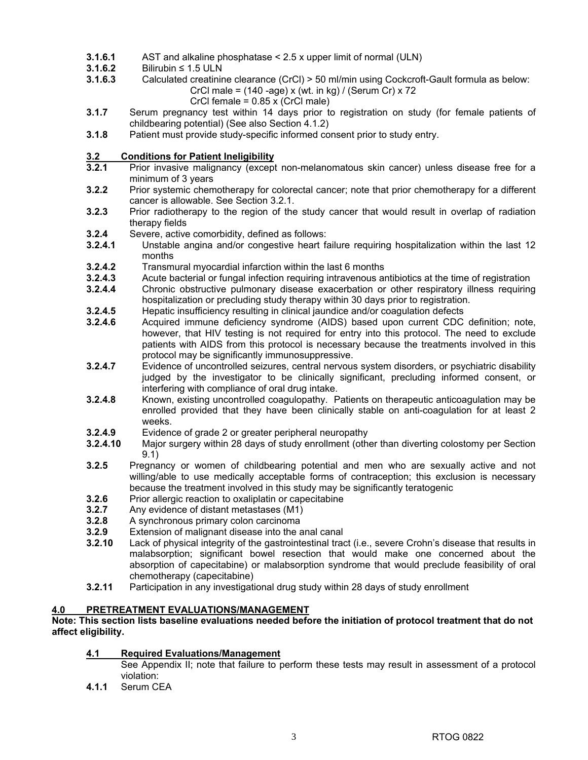- **3.1.6.1** AST and alkaline phosphatase < 2.5 x upper limit of normal (ULN)
- **3.1.6.2** Bilirubin ≤ 1.5 ULN<br>**3.1.6.3** Calculated creatining
	- **3.1.6.3** Calculated creatinine clearance (CrCl) > 50 ml/min using Cockcroft-Gault formula as below:
		- CrCl male =  $(140 aqe) \times (wt \cdot in kq) / (Serum Cr) \times 72$ 
			-
- CrCl female = 0.85 x (CrCl male)<br>3.1.7 Serum pregnancy test within 14 days prior to **3.1.7** Serum pregnancy test within 14 days prior to registration on study (for female patients of childbearing potential) (See also Section 4.1.2)
- **3.1.8** Patient must provide study-specific informed consent prior to study entry.

### **3.2 Conditions for Patient Ineligibility**

- **3.2.1** Prior invasive malignancy (except non-melanomatous skin cancer) unless disease free for a minimum of 3 years
- **3.2.2** Prior systemic chemotherapy for colorectal cancer; note that prior chemotherapy for a different cancer is allowable. See Section 3.2.1.
- **3.2.3** Prior radiotherapy to the region of the study cancer that would result in overlap of radiation therapy fields
- **3.2.4** Severe, active comorbidity, defined as follows:
- **3.2.4.1** Unstable angina and/or congestive heart failure requiring hospitalization within the last 12 months
- **3.2.4.2** Transmural myocardial infarction within the last 6 months
- **3.2.4.3** Acute bacterial or fungal infection requiring intravenous antibiotics at the time of registration
- **3.2.4.4** Chronic obstructive pulmonary disease exacerbation or other respiratory illness requiring hospitalization or precluding study therapy within 30 days prior to registration.
- **3.2.4.5** Hepatic insufficiency resulting in clinical jaundice and/or coagulation defects
- **3.2.4.6** Acquired immune deficiency syndrome (AIDS) based upon current CDC definition; note, however, that HIV testing is not required for entry into this protocol. The need to exclude patients with AIDS from this protocol is necessary because the treatments involved in this protocol may be significantly immunosuppressive.
- **3.2.4.7** Evidence of uncontrolled seizures, central nervous system disorders, or psychiatric disability judged by the investigator to be clinically significant, precluding informed consent, or interfering with compliance of oral drug intake.
- **3.2.4.8** Known, existing uncontrolled coagulopathy. Patients on therapeutic anticoagulation may be enrolled provided that they have been clinically stable on anti-coagulation for at least 2 weeks.
- **3.2.4.9** Evidence of grade 2 or greater peripheral neuropathy
- **3.2.4.10** Major surgery within 28 days of study enrollment (other than diverting colostomy per Section 9.1)
- **3.2.5** Pregnancy or women of childbearing potential and men who are sexually active and not willing/able to use medically acceptable forms of contraception; this exclusion is necessary because the treatment involved in this study may be significantly teratogenic
- **3.2.6** Prior allergic reaction to oxaliplatin or capecitabine
- **3.2.7** Any evidence of distant metastases (M1)
- **3.2.8** A synchronous primary colon carcinoma
- **3.2.9** Extension of malignant disease into the anal canal
- **3.2.10** Lack of physical integrity of the gastrointestinal tract (i.e., severe Crohn's disease that results in malabsorption; significant bowel resection that would make one concerned about the absorption of capecitabine) or malabsorption syndrome that would preclude feasibility of oral chemotherapy (capecitabine)
- **3.2.11** Participation in any investigational drug study within 28 days of study enrollment

### **4.0 PRETREATMENT EVALUATIONS/MANAGEMENT**

### **Note: This section lists baseline evaluations needed before the initiation of protocol treatment that do not affect eligibility.**

### **4.1 Required Evaluations/Management**

 See Appendix II; note that failure to perform these tests may result in assessment of a protocol violation:

**4.1.1** Serum CEA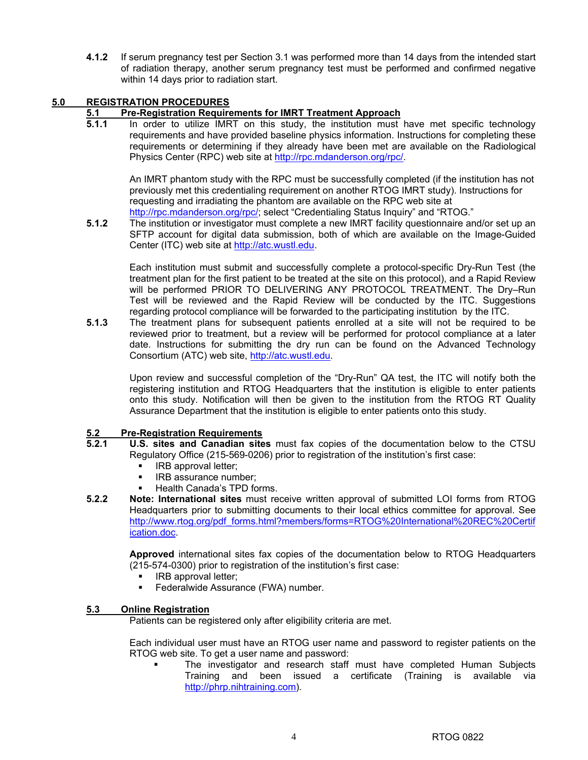**4.1.2** If serum pregnancy test per Section 3.1 was performed more than 14 days from the intended start of radiation therapy, another serum pregnancy test must be performed and confirmed negative within 14 days prior to radiation start.

### **5.0 REGISTRATION PROCEDURES**

### **5.1 Pre-Registration Requirements for IMRT Treatment Approach**

**5.1.1** In order to utilize IMRT on this study, the institution must have met specific technology requirements and have provided baseline physics information. Instructions for completing these requirements or determining if they already have been met are available on the Radiological Physics Center (RPC) web site at http://rpc.mdanderson.org/rpc/.

An IMRT phantom study with the RPC must be successfully completed (if the institution has not previously met this credentialing requirement on another RTOG IMRT study). Instructions for requesting and irradiating the phantom are available on the RPC web site at http://rpc.mdanderson.org/rpc/; select "Credentialing Status Inquiry" and "RTOG."

**5.1.2** The institution or investigator must complete a new IMRT facility questionnaire and/or set up an SFTP account for digital data submission, both of which are available on the Image-Guided Center (ITC) web site at http://atc.wustl.edu.

Each institution must submit and successfully complete a protocol-specific Dry-Run Test (the treatment plan for the first patient to be treated at the site on this protocol), and a Rapid Review will be performed PRIOR TO DELIVERING ANY PROTOCOL TREATMENT. The Dry–Run Test will be reviewed and the Rapid Review will be conducted by the ITC. Suggestions regarding protocol compliance will be forwarded to the participating institution by the ITC.

**5.1.3** The treatment plans for subsequent patients enrolled at a site will not be required to be reviewed prior to treatment, but a review will be performed for protocol compliance at a later date. Instructions for submitting the dry run can be found on the Advanced Technology Consortium (ATC) web site, http://atc.wustl.edu.

Upon review and successful completion of the "Dry-Run" QA test, the ITC will notify both the registering institution and RTOG Headquarters that the institution is eligible to enter patients onto this study. Notification will then be given to the institution from the RTOG RT Quality Assurance Department that the institution is eligible to enter patients onto this study.

### **5.2 Pre-Registration Requirements**

- **5.2.1 U.S. sites and Canadian sites** must fax copies of the documentation below to the CTSU Regulatory Office (215-569-0206) prior to registration of the institution's first case:
	- **IRB** approval letter;
	- **IRB** assurance number;
	- Health Canada's TPD forms.
- **5.2.2 Note: International sites** must receive written approval of submitted LOI forms from RTOG Headquarters prior to submitting documents to their local ethics committee for approval. See http://www.rtog.org/pdf\_forms.html?members/forms=RTOG%20International%20REC%20Certif ication.doc.

**Approved** international sites fax copies of the documentation below to RTOG Headquarters (215-574-0300) prior to registration of the institution's first case:

- IRB approval letter;
- Federalwide Assurance (FWA) number.

### **5.3 Online Registration**

Patients can be registered only after eligibility criteria are met.

 Each individual user must have an RTOG user name and password to register patients on the RTOG web site. To get a user name and password:

 The investigator and research staff must have completed Human Subjects Training and been issued a certificate (Training is available via http://phrp.nihtraining.com).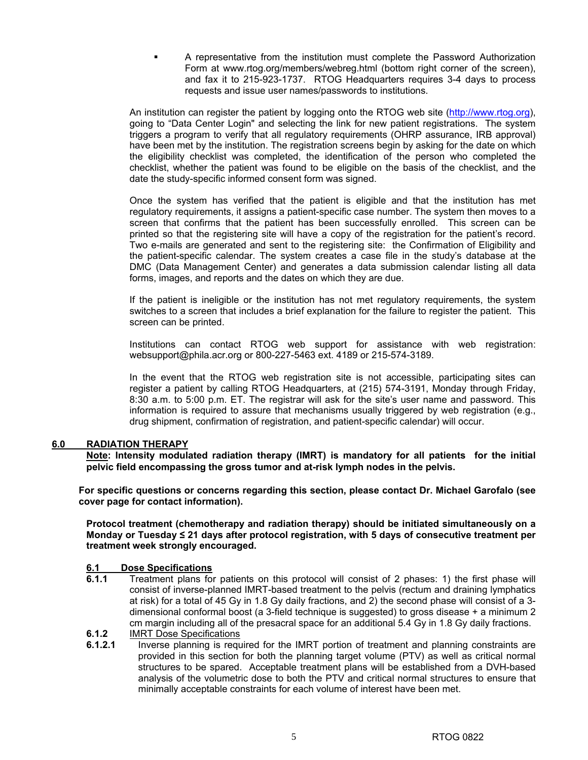A representative from the institution must complete the Password Authorization Form at www.rtog.org/members/webreg.html (bottom right corner of the screen), and fax it to 215-923-1737. RTOG Headquarters requires 3-4 days to process requests and issue user names/passwords to institutions.

 An institution can register the patient by logging onto the RTOG web site (http://www.rtog.org), going to "Data Center Login" and selecting the link for new patient registrations. The system triggers a program to verify that all regulatory requirements (OHRP assurance, IRB approval) have been met by the institution. The registration screens begin by asking for the date on which the eligibility checklist was completed, the identification of the person who completed the checklist, whether the patient was found to be eligible on the basis of the checklist, and the date the study-specific informed consent form was signed.

 Once the system has verified that the patient is eligible and that the institution has met regulatory requirements, it assigns a patient-specific case number. The system then moves to a screen that confirms that the patient has been successfully enrolled. This screen can be printed so that the registering site will have a copy of the registration for the patient's record. Two e-mails are generated and sent to the registering site: the Confirmation of Eligibility and the patient-specific calendar. The system creates a case file in the study's database at the DMC (Data Management Center) and generates a data submission calendar listing all data forms, images, and reports and the dates on which they are due.

 If the patient is ineligible or the institution has not met regulatory requirements, the system switches to a screen that includes a brief explanation for the failure to register the patient. This screen can be printed.

 Institutions can contact RTOG web support for assistance with web registration: websupport@phila.acr.org or 800-227-5463 ext. 4189 or 215-574-3189.

 In the event that the RTOG web registration site is not accessible, participating sites can register a patient by calling RTOG Headquarters, at (215) 574-3191, Monday through Friday, 8:30 a.m. to 5:00 p.m. ET. The registrar will ask for the site's user name and password. This information is required to assure that mechanisms usually triggered by web registration (e.g., drug shipment, confirmation of registration, and patient-specific calendar) will occur.

### **6.0 RADIATION THERAPY**

**Note: Intensity modulated radiation therapy (IMRT) is mandatory for all patients for the initial pelvic field encompassing the gross tumor and at-risk lymph nodes in the pelvis.** 

**For specific questions or concerns regarding this section, please contact Dr. Michael Garofalo (see cover page for contact information).** 

**Protocol treatment (chemotherapy and radiation therapy) should be initiated simultaneously on a Monday or Tuesday ≤ 21 days after protocol registration, with 5 days of consecutive treatment per treatment week strongly encouraged.** 

### **6.1 Dose Specifications**

- **6.1.1** Treatment plans for patients on this protocol will consist of 2 phases: 1) the first phase will consist of inverse-planned IMRT-based treatment to the pelvis (rectum and draining lymphatics at risk) for a total of 45 Gy in 1.8 Gy daily fractions, and 2) the second phase will consist of a 3 dimensional conformal boost (a 3-field technique is suggested) to gross disease + a minimum 2 cm margin including all of the presacral space for an additional 5.4 Gy in 1.8 Gy daily fractions.
- **6.1.2 IMRT Dose Specifications**<br>**6.1.2.1 Inverse planning is regu**
- **6.1.2.1** Inverse planning is required for the IMRT portion of treatment and planning constraints are provided in this section for both the planning target volume (PTV) as well as critical normal structures to be spared. Acceptable treatment plans will be established from a DVH-based analysis of the volumetric dose to both the PTV and critical normal structures to ensure that minimally acceptable constraints for each volume of interest have been met.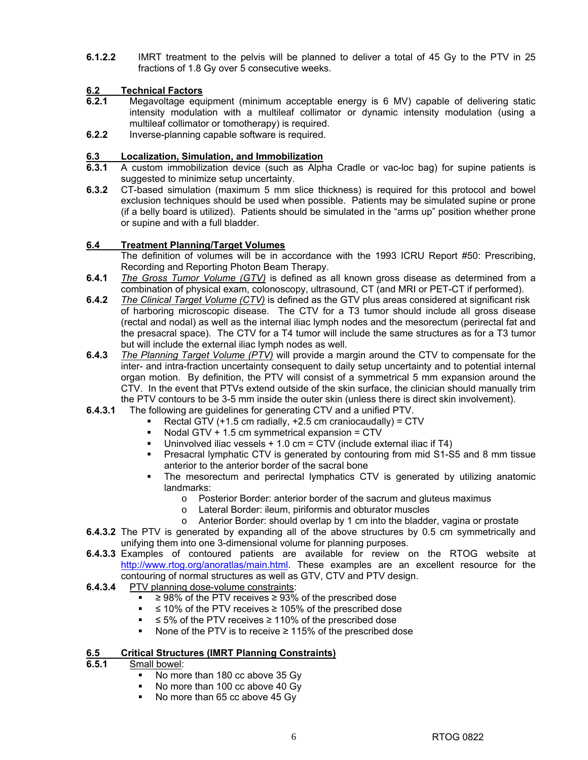**6.1.2.2** IMRT treatment to the pelvis will be planned to deliver a total of 45 Gy to the PTV in 25 fractions of 1.8 Gy over 5 consecutive weeks.

### **6.2 Technical Factors**

- **6.2.1** Megavoltage equipment (minimum acceptable energy is 6 MV) capable of delivering static intensity modulation with a multileaf collimator or dynamic intensity modulation (using a multileaf collimator or tomotherapy) is required.
- **6.2.2** Inverse-planning capable software is required.

### **6.3 Localization, Simulation, and Immobilization**

- **6.3.1** A custom immobilization device (such as Alpha Cradle or vac-loc bag) for supine patients is suggested to minimize setup uncertainty.
- **6.3.2** CT-based simulation (maximum 5 mm slice thickness) is required for this protocol and bowel exclusion techniques should be used when possible. Patients may be simulated supine or prone (if a belly board is utilized). Patients should be simulated in the "arms up" position whether prone or supine and with a full bladder.

### **6.4 Treatment Planning/Target Volumes**

 The definition of volumes will be in accordance with the 1993 ICRU Report #50: Prescribing, Recording and Reporting Photon Beam Therapy.

- **6.4.1** *The Gross Tumor Volume (GTV)* is defined as all known gross disease as determined from a combination of physical exam, colonoscopy, ultrasound, CT (and MRI or PET-CT if performed).
- **6.4.2** *The Clinical Target Volume (CTV)* is defined as the GTV plus areas considered at significant risk of harboring microscopic disease. The CTV for a T3 tumor should include all gross disease (rectal and nodal) as well as the internal iliac lymph nodes and the mesorectum (perirectal fat and the presacral space). The CTV for a T4 tumor will include the same structures as for a T3 tumor but will include the external iliac lymph nodes as well.
- **6.4.3** *The Planning Target Volume (PTV)* will provide a margin around the CTV to compensate for the inter- and intra-fraction uncertainty consequent to daily setup uncertainty and to potential internal organ motion. By definition, the PTV will consist of a symmetrical 5 mm expansion around the CTV. In the event that PTVs extend outside of the skin surface, the clinician should manually trim the PTV contours to be 3-5 mm inside the outer skin (unless there is direct skin involvement).
- **6.4.3.1** The following are guidelines for generating CTV and a unified PTV.
	- Rectal GTV (+1.5 cm radially, +2.5 cm craniocaudally) = CTV
	- Nodal GTV  $+$  1.5 cm symmetrical expansion = CTV
	- Uninvolved iliac vessels + 1.0 cm = CTV (include external iliac if T4)
	- Presacral lymphatic CTV is generated by contouring from mid S1-S5 and 8 mm tissue anterior to the anterior border of the sacral bone
	- The mesorectum and perirectal lymphatics CTV is generated by utilizing anatomic landmarks:
		- $\circ$  Posterior Border: anterior border of the sacrum and gluteus maximus  $\circ$  Lateral Border: ileum, piriformis and obturator muscles
		- Lateral Border: ileum, piriformis and obturator muscles
		- o Anterior Border: should overlap by 1 cm into the bladder, vagina or prostate
- **6.4.3.2** The PTV is generated by expanding all of the above structures by 0.5 cm symmetrically and unifying them into one 3-dimensional volume for planning purposes.
- **6.4.3.3** Examples of contoured patients are available for review on the RTOG website at http://www.rtog.org/anoratlas/main.html. These examples are an excellent resource for the contouring of normal structures as well as GTV, CTV and PTV design.
- **6.4.3.4** PTV planning dose-volume constraints:
	- ≥ 98% of the PTV receives ≥ 93% of the prescribed dose
	- ≤ 10% of the PTV receives ≥ 105% of the prescribed dose
	- ≤ 5% of the PTV receives ≥ 110% of the prescribed dose
		- None of the PTV is to receive ≥ 115% of the prescribed dose

### **6.5 Critical Structures (IMRT Planning Constraints)**

- **6.5.1** Small bowel:
	- No more than 180 cc above 35 Gy
	- No more than 100 cc above 40 Gy
	- No more than 65 cc above 45 Gy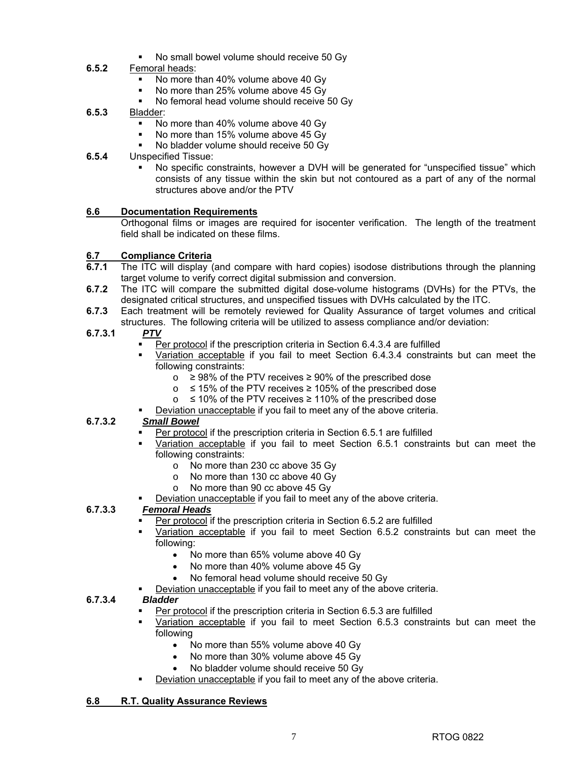No small bowel volume should receive 50 Gy

### **6.5.2** Femoral heads:

- No more than 40% volume above 40 Gy
- No more than 25% volume above 45 Gy
- No femoral head volume should receive 50 Gy
- **6.5.3** Bladder:
	- No more than 40% volume above 40 Gy
	- No more than 15% volume above 45 Gy
	- No bladder volume should receive 50 Gy

### **6.5.4** Unspecified Tissue:

 No specific constraints, however a DVH will be generated for "unspecified tissue" which consists of any tissue within the skin but not contoured as a part of any of the normal structures above and/or the PTV

### **6.6 Documentation Requirements**

Orthogonal films or images are required for isocenter verification. The length of the treatment field shall be indicated on these films.

### **6.7 Compliance Criteria**

- **6.7.1** The ITC will display (and compare with hard copies) isodose distributions through the planning target volume to verify correct digital submission and conversion.
- **6.7.2** The ITC will compare the submitted digital dose-volume histograms (DVHs) for the PTVs, the designated critical structures, and unspecified tissues with DVHs calculated by the ITC.
- **6.7.3** Each treatment will be remotely reviewed for Quality Assurance of target volumes and critical structures. The following criteria will be utilized to assess compliance and/or deviation:

### **6.7.3.1** *PTV*

- Per protocol if the prescription criteria in Section 6.4.3.4 are fulfilled
- Variation acceptable if you fail to meet Section 6.4.3.4 constraints but can meet the following constraints:
	- $\circ$  ≥ 98% of the PTV receives ≥ 90% of the prescribed dose
	- o ≤ 15% of the PTV receives ≥ 105% of the prescribed dose
	- o ≤ 10% of the PTV receives ≥ 110% of the prescribed dose
	- Deviation unacceptable if you fail to meet any of the above criteria.

### **6.7.3.2** *Small Bowel*

- Per protocol if the prescription criteria in Section 6.5.1 are fulfilled
- Variation acceptable if you fail to meet Section 6.5.1 constraints but can meet the following constraints:
	- o No more than 230 cc above 35 Gy
	- o No more than 130 cc above 40 Gy
	- o No more than 90 cc above 45 Gy
- Deviation unacceptable if you fail to meet any of the above criteria.

### **6.7.3.3** *Femoral Heads*

- Per protocol if the prescription criteria in Section 6.5.2 are fulfilled
- Variation acceptable if you fail to meet Section 6.5.2 constraints but can meet the following:
	- No more than 65% volume above 40 Gy
	- No more than 40% volume above 45 Gy
	- No femoral head volume should receive 50 Gy
- Deviation unacceptable if you fail to meet any of the above criteria.

### **6.7.3.4** *Bladder*

- Per protocol if the prescription criteria in Section 6.5.3 are fulfilled
- Variation acceptable if you fail to meet Section 6.5.3 constraints but can meet the following
	- No more than 55% volume above 40 Gy
	- No more than 30% volume above 45 Gy
	- No bladder volume should receive 50 Gy
- Deviation unacceptable if you fail to meet any of the above criteria.

### **6.8 R.T. Quality Assurance Reviews**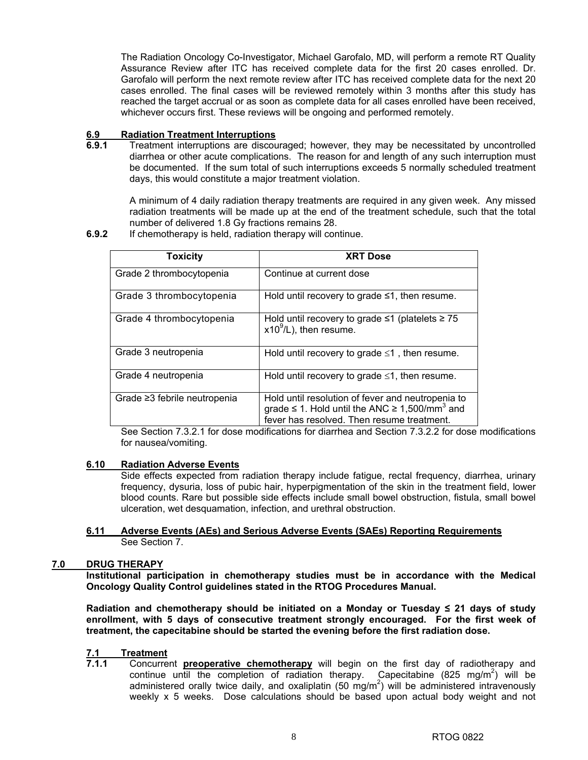The Radiation Oncology Co-Investigator, Michael Garofalo, MD, will perform a remote RT Quality Assurance Review after ITC has received complete data for the first 20 cases enrolled. Dr. Garofalo will perform the next remote review after ITC has received complete data for the next 20 cases enrolled. The final cases will be reviewed remotely within 3 months after this study has reached the target accrual or as soon as complete data for all cases enrolled have been received, whichever occurs first. These reviews will be ongoing and performed remotely.

## **6.9 Radiation Treatment Interruptions**

**6.9.1** Treatment interruptions are discouraged; however, they may be necessitated by uncontrolled diarrhea or other acute complications. The reason for and length of any such interruption must be documented. If the sum total of such interruptions exceeds 5 normally scheduled treatment days, this would constitute a major treatment violation.

A minimum of 4 daily radiation therapy treatments are required in any given week. Any missed radiation treatments will be made up at the end of the treatment schedule, such that the total number of delivered 1.8 Gy fractions remains 28.

**6.9.2** If chemotherapy is held, radiation therapy will continue.

| <b>Toxicity</b>              | <b>XRT Dose</b>                                                                                                                                                        |
|------------------------------|------------------------------------------------------------------------------------------------------------------------------------------------------------------------|
| Grade 2 thrombocytopenia     | Continue at current dose                                                                                                                                               |
| Grade 3 thrombocytopenia     | Hold until recovery to grade $\leq 1$ , then resume.                                                                                                                   |
| Grade 4 thrombocytopenia     | Hold until recovery to grade $\leq$ 1 (platelets $\geq$ 75<br>$x10^9$ /L), then resume.                                                                                |
| Grade 3 neutropenia          | Hold until recovery to grade $\leq 1$ , then resume.                                                                                                                   |
| Grade 4 neutropenia          | Hold until recovery to grade $\leq 1$ , then resume.                                                                                                                   |
| Grade ≥3 febrile neutropenia | Hold until resolution of fever and neutropenia to<br>grade $\leq$ 1. Hold until the ANC $\geq$ 1,500/mm <sup>3</sup> and<br>fever has resolved. Then resume treatment. |

See Section 7.3.2.1 for dose modifications for diarrhea and Section 7.3.2.2 for dose modifications for nausea/vomiting.

### **6.10 Radiation Adverse Events**

Side effects expected from radiation therapy include fatigue, rectal frequency, diarrhea, urinary frequency, dysuria, loss of pubic hair, hyperpigmentation of the skin in the treatment field, lower blood counts. Rare but possible side effects include small bowel obstruction, fistula, small bowel ulceration, wet desquamation, infection, and urethral obstruction.

### **6.11 Adverse Events (AEs) and Serious Adverse Events (SAEs) Reporting Requirements** See Section 7.

### **7.0 DRUG THERAPY**

**Institutional participation in chemotherapy studies must be in accordance with the Medical Oncology Quality Control guidelines stated in the RTOG Procedures Manual.** 

**Radiation and chemotherapy should be initiated on a Monday or Tuesday ≤ 21 days of study enrollment, with 5 days of consecutive treatment strongly encouraged. For the first week of treatment, the capecitabine should be started the evening before the first radiation dose.** 

## 7.1 Treatment<br>7.1.1 Concurre

**7.1.1** Concurrent **preoperative chemotherapy** will begin on the first day of radiotherapy and continue until the completion of radiation therapy. Capecitabine (825 mg/m<sup>2</sup>) will be administered orally twice daily, and oxaliplatin (50 mg/m<sup>2</sup>) will be administered intravenously weekly x 5 weeks. Dose calculations should be based upon actual body weight and not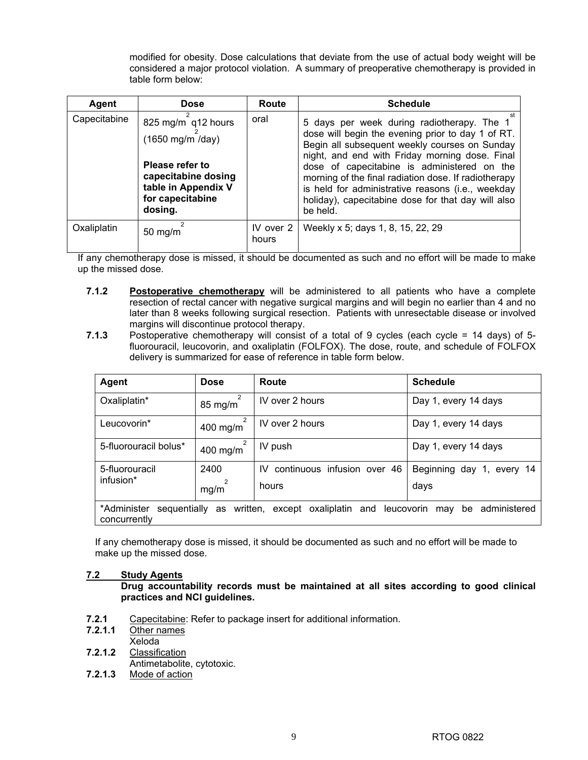modified for obesity. Dose calculations that deviate from the use of actual body weight will be considered a major protocol violation. A summary of preoperative chemotherapy is provided in table form below:

| Agent        | <b>Dose</b>                                                                                                                            | Route              | <b>Schedule</b>                                                                                                                                                                                                                                                                                                                                                                                                                  |
|--------------|----------------------------------------------------------------------------------------------------------------------------------------|--------------------|----------------------------------------------------------------------------------------------------------------------------------------------------------------------------------------------------------------------------------------------------------------------------------------------------------------------------------------------------------------------------------------------------------------------------------|
| Capecitabine | 825 mg/m q12 hours<br>(1650 mg/m /day)<br>Please refer to<br>capecitabine dosing<br>table in Appendix V<br>for capecitabine<br>dosing. | oral               | 5 days per week during radiotherapy. The 1<br>dose will begin the evening prior to day 1 of RT.<br>Begin all subsequent weekly courses on Sunday<br>night, and end with Friday morning dose. Final<br>dose of capecitabine is administered on the<br>morning of the final radiation dose. If radiotherapy<br>is held for administrative reasons (i.e., weekday<br>holiday), capecitabine dose for that day will also<br>be held. |
| Oxaliplatin  | $50 \; mg/m$                                                                                                                           | IV over 2<br>hours | Weekly x 5; days 1, 8, 15, 22, 29                                                                                                                                                                                                                                                                                                                                                                                                |

If any chemotherapy dose is missed, it should be documented as such and no effort will be made to make up the missed dose.

- **7.1.2 Postoperative chemotherapy** will be administered to all patients who have a complete resection of rectal cancer with negative surgical margins and will begin no earlier than 4 and no later than 8 weeks following surgical resection. Patients with unresectable disease or involved margins will discontinue protocol therapy.
- **7.1.3** Postoperative chemotherapy will consist of a total of 9 cycles (each cycle = 14 days) of 5 fluorouracil, leucovorin, and oxaliplatin (FOLFOX). The dose, route, and schedule of FOLFOX delivery is summarized for ease of reference in table form below.

| Agent                                                                                                               | <b>Dose</b>                | Route                          | <b>Schedule</b>           |
|---------------------------------------------------------------------------------------------------------------------|----------------------------|--------------------------------|---------------------------|
| Oxaliplatin*                                                                                                        | 2<br>$85$ mg/m             | IV over 2 hours                | Day 1, every 14 days      |
| Leucovorin*                                                                                                         | $\mathfrak{p}$<br>400 mg/m | IV over 2 hours                | Day 1, every 14 days      |
| 5-fluorouracil bolus*                                                                                               | 400 mg/m                   | IV push                        | Day 1, every 14 days      |
| 5-fluorouracil                                                                                                      | 2400                       | IV continuous infusion over 46 | Beginning day 1, every 14 |
| infusion*                                                                                                           | mg/m                       | hours                          | days                      |
| sequentially as written, except oxaliplatin and leucovorin<br>be administered<br>*Administer<br>mav<br>concurrently |                            |                                |                           |

If any chemotherapy dose is missed, it should be documented as such and no effort will be made to make up the missed dose.

### **7.2 Study Agents**

**Drug accountability records must be maintained at all sites according to good clinical practices and NCI guidelines.** 

- **7.2.1** Capecitabine: Refer to package insert for additional information.<br>**7.2.1.1** Other names
- *<u>Other names</u>* Xeloda
- **7.2.1.2** Classification Antimetabolite, cytotoxic.
- **7.2.1.3** Mode of action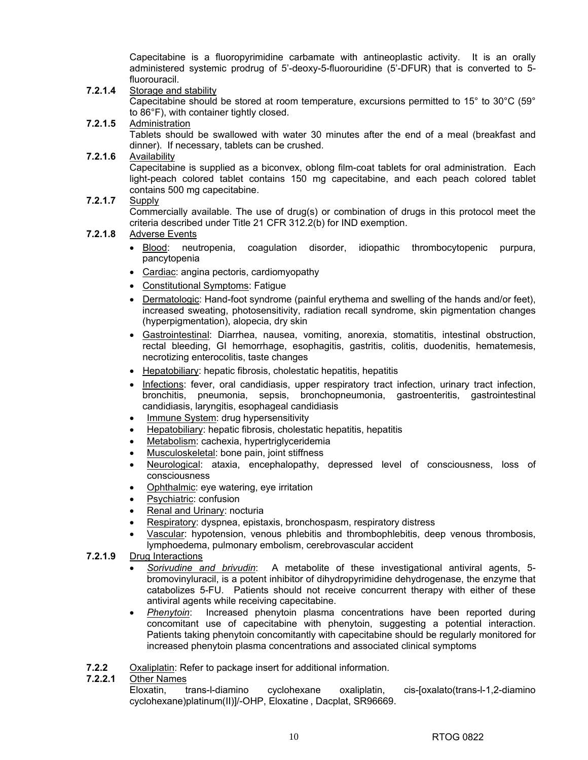Capecitabine is a fluoropyrimidine carbamate with antineoplastic activity. It is an orally administered systemic prodrug of 5'-deoxy-5-fluorouridine (5'-DFUR) that is converted to 5 fluorouracil.

- **7.2.1.4** Storage and stability Capecitabine should be stored at room temperature, excursions permitted to 15° to 30°C (59° to 86°F), with container tightly closed.
- **7.2.1.5** Administration

Tablets should be swallowed with water 30 minutes after the end of a meal (breakfast and dinner). If necessary, tablets can be crushed.

**7.2.1.6** Availability

Capecitabine is supplied as a biconvex, oblong film-coat tablets for oral administration. Each light-peach colored tablet contains 150 mg capecitabine, and each peach colored tablet contains 500 mg capecitabine.

**7.2.1.7** Supply

Commercially available. The use of drug(s) or combination of drugs in this protocol meet the criteria described under Title 21 CFR 312.2(b) for IND exemption.

### **7.2.1.8** Adverse Events

- Blood: neutropenia, coagulation disorder, idiopathic thrombocytopenic purpura, pancytopenia
- Cardiac: angina pectoris, cardiomyopathy
- Constitutional Symptoms: Fatigue
- Dermatologic: Hand-foot syndrome (painful erythema and swelling of the hands and/or feet), increased sweating, photosensitivity, radiation recall syndrome, skin pigmentation changes (hyperpigmentation), alopecia, dry skin
- Gastrointestinal: Diarrhea, nausea, vomiting, anorexia, stomatitis, intestinal obstruction, rectal bleeding, GI hemorrhage, esophagitis, gastritis, colitis, duodenitis, hematemesis, necrotizing enterocolitis, taste changes
- Hepatobiliary: hepatic fibrosis, cholestatic hepatitis, hepatitis
- Infections: fever, oral candidiasis, upper respiratory tract infection, urinary tract infection, bronchitis, pneumonia, sepsis, bronchopneumonia, gastroenteritis, gastrointestinal candidiasis, laryngitis, esophageal candidiasis
- Immune System: drug hypersensitivity
- Hepatobiliary: hepatic fibrosis, cholestatic hepatitis, hepatitis
- Metabolism: cachexia, hypertriglyceridemia
- Musculoskeletal: bone pain, joint stiffness
- Neurological: ataxia, encephalopathy, depressed level of consciousness, loss of consciousness
- Ophthalmic: eye watering, eye irritation
- Psychiatric: confusion
- Renal and Urinary: nocturia
- Respiratory: dyspnea, epistaxis, bronchospasm, respiratory distress
- Vascular: hypotension, venous phlebitis and thrombophlebitis, deep venous thrombosis, lymphoedema, pulmonary embolism, cerebrovascular accident
- **7.2.1.9** Drug Interactions
	- *Sorivudine and brivudin*: A metabolite of these investigational antiviral agents, 5 bromovinyluracil, is a potent inhibitor of dihydropyrimidine dehydrogenase, the enzyme that catabolizes 5-FU. Patients should not receive concurrent therapy with either of these antiviral agents while receiving capecitabine.
	- *Phenytoin*: Increased phenytoin plasma concentrations have been reported during concomitant use of capecitabine with phenytoin, suggesting a potential interaction. Patients taking phenytoin concomitantly with capecitabine should be regularly monitored for increased phenytoin plasma concentrations and associated clinical symptoms
- **7.2.2** Oxaliplatin: Refer to package insert for additional information.
- **7.2.2.1** Other Names

Eloxatin, trans-l-diamino cyclohexane oxaliplatin, cis-[oxalato(trans-l-1,2-diamino cyclohexane)platinum(II)]/-OHP, Eloxatine , Dacplat, SR96669.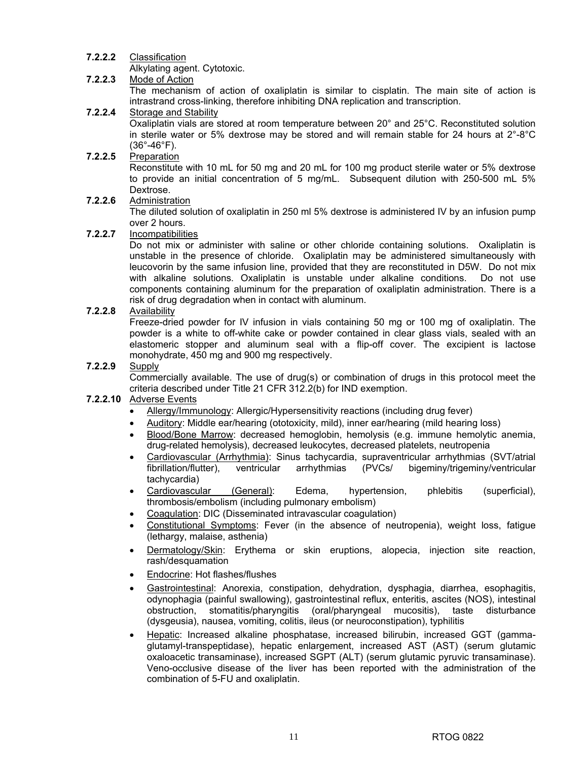### **7.2.2.2** Classification

Alkylating agent. Cytotoxic.<br>**7.2.2.3** Mode of Action

### **7.2.2.3** Mode of Action

The mechanism of action of oxaliplatin is similar to cisplatin. The main site of action is intrastrand cross-linking, therefore inhibiting DNA replication and transcription.

### **7.2.2.4** Storage and Stability

Oxaliplatin vials are stored at room temperature between 20° and 25°C. Reconstituted solution in sterile water or 5% dextrose may be stored and will remain stable for 24 hours at  $2^{\circ}\text{-}8^{\circ}\text{C}$  $(36^{\circ}-46^{\circ}F)$ .

### **7.2.2.5** Preparation

Reconstitute with 10 mL for 50 mg and 20 mL for 100 mg product sterile water or 5% dextrose to provide an initial concentration of 5 mg/mL. Subsequent dilution with 250-500 mL 5% Dextrose.

### **7.2.2.6** Administration

The diluted solution of oxaliplatin in 250 ml 5% dextrose is administered IV by an infusion pump over 2 hours.

### **7.2.2.7** Incompatibilities

Do not mix or administer with saline or other chloride containing solutions. Oxaliplatin is unstable in the presence of chloride. Oxaliplatin may be administered simultaneously with leucovorin by the same infusion line, provided that they are reconstituted in D5W. Do not mix with alkaline solutions. Oxaliplatin is unstable under alkaline conditions. Do not use components containing aluminum for the preparation of oxaliplatin administration. There is a risk of drug degradation when in contact with aluminum.

### **7.2.2.8** Availability

Freeze-dried powder for IV infusion in vials containing 50 mg or 100 mg of oxaliplatin. The powder is a white to off-white cake or powder contained in clear glass vials, sealed with an elastomeric stopper and aluminum seal with a flip-off cover. The excipient is lactose monohydrate, 450 mg and 900 mg respectively.

### **7.2.2.9** Supply

Commercially available. The use of drug(s) or combination of drugs in this protocol meet the criteria described under Title 21 CFR 312.2(b) for IND exemption.

### **7.2.2.10** Adverse Events

- Allergy/Immunology: Allergic/Hypersensitivity reactions (including drug fever)
- Auditory: Middle ear/hearing (ototoxicity, mild), inner ear/hearing (mild hearing loss)
- Blood/Bone Marrow: decreased hemoglobin, hemolysis (e.g. immune hemolytic anemia, drug-related hemolysis), decreased leukocytes, decreased platelets, neutropenia
- Cardiovascular (Arrhythmia): Sinus tachycardia, supraventricular arrhythmias (SVT/atrial fibrillation/flutter), ventricular arrhythmias (PVCs/ bigeminy/trigeminy/ventricular tachycardia)
- Cardiovascular (General): Edema, hypertension, phlebitis (superficial), thrombosis/embolism (including pulmonary embolism)
- Coagulation: DIC (Disseminated intravascular coagulation)
- Constitutional Symptoms: Fever (in the absence of neutropenia), weight loss, fatigue (lethargy, malaise, asthenia)
- Dermatology/Skin: Erythema or skin eruptions, alopecia, injection site reaction, rash/desquamation
- Endocrine: Hot flashes/flushes
- Gastrointestinal: Anorexia, constipation, dehydration, dysphagia, diarrhea, esophagitis, odynophagia (painful swallowing), gastrointestinal reflux, enteritis, ascites (NOS), intestinal obstruction, stomatitis/pharyngitis (oral/pharyngeal mucositis), taste disturbance (dysgeusia), nausea, vomiting, colitis, ileus (or neuroconstipation), typhilitis
- Hepatic: Increased alkaline phosphatase, increased bilirubin, increased GGT (gammaglutamyl-transpeptidase), hepatic enlargement, increased AST (AST) (serum glutamic oxaloacetic transaminase), increased SGPT (ALT) (serum glutamic pyruvic transaminase). Veno-occlusive disease of the liver has been reported with the administration of the combination of 5-FU and oxaliplatin.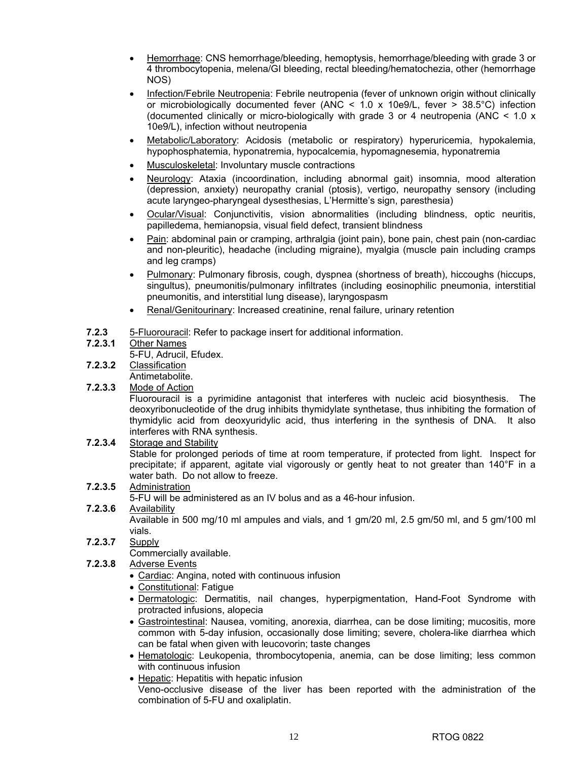- Hemorrhage: CNS hemorrhage/bleeding, hemoptysis, hemorrhage/bleeding with grade 3 or 4 thrombocytopenia, melena/GI bleeding, rectal bleeding/hematochezia, other (hemorrhage NOS)
- Infection/Febrile Neutropenia: Febrile neutropenia (fever of unknown origin without clinically or microbiologically documented fever (ANC  $\lt$  1.0 x 10e9/L, fever  $\gt$  38.5°C) infection (documented clinically or micro-biologically with grade 3 or 4 neutropenia (ANC  $\leq$  1.0 x 10e9/L), infection without neutropenia
- Metabolic/Laboratory: Acidosis (metabolic or respiratory) hyperuricemia, hypokalemia, hypophosphatemia, hyponatremia, hypocalcemia, hypomagnesemia, hyponatremia
- Musculoskeletal: Involuntary muscle contractions
- Neurology: Ataxia (incoordination, including abnormal gait) insomnia, mood alteration (depression, anxiety) neuropathy cranial (ptosis), vertigo, neuropathy sensory (including acute laryngeo-pharyngeal dysesthesias, L'Hermitte's sign, paresthesia)
- Ocular/Visual: Conjunctivitis, vision abnormalities (including blindness, optic neuritis, papilledema, hemianopsia, visual field defect, transient blindness
- Pain: abdominal pain or cramping, arthralgia (joint pain), bone pain, chest pain (non-cardiac and non-pleuritic), headache (including migraine), myalgia (muscle pain including cramps and leg cramps)
- Pulmonary: Pulmonary fibrosis, cough, dyspnea (shortness of breath), hiccoughs (hiccups, singultus), pneumonitis/pulmonary infiltrates (including eosinophilic pneumonia, interstitial pneumonitis, and interstitial lung disease), laryngospasm
- Renal/Genitourinary: Increased creatinine, renal failure, urinary retention
- **7.2.3** 5-Fluorouracil: Refer to package insert for additional information.
- **7.2.3.1** Other Names

5-FU, Adrucil, Efudex.

- **7.2.3.2** Classification Antimetabolite.
- **7.2.3.3** Mode of Action

Fluorouracil is a pyrimidine antagonist that interferes with nucleic acid biosynthesis. The deoxyribonucleotide of the drug inhibits thymidylate synthetase, thus inhibiting the formation of thymidylic acid from deoxyuridylic acid, thus interfering in the synthesis of DNA. It also interferes with RNA synthesis.

- **7.2.3.4** Storage and Stability Stable for prolonged periods of time at room temperature, if protected from light. Inspect for precipitate; if apparent, agitate vial vigorously or gently heat to not greater than 140°F in a water bath. Do not allow to freeze.
- **7.2.3.5** Administration

5-FU will be administered as an IV bolus and as a 46-hour infusion.

**7.2.3.6** Availability

Available in 500 mg/10 ml ampules and vials, and 1 gm/20 ml, 2.5 gm/50 ml, and 5 gm/100 ml vials.

- **7.2.3.7** Supply
	- Commercially available.
- **7.2.3.8** Adverse Events
	- Cardiac: Angina, noted with continuous infusion
	- Constitutional: Fatigue
	- Dermatologic: Dermatitis, nail changes, hyperpigmentation, Hand-Foot Syndrome with protracted infusions, alopecia
	- Gastrointestinal: Nausea, vomiting, anorexia, diarrhea, can be dose limiting; mucositis, more common with 5-day infusion, occasionally dose limiting; severe, cholera-like diarrhea which can be fatal when given with leucovorin; taste changes
	- Hematologic: Leukopenia, thrombocytopenia, anemia, can be dose limiting; less common with continuous infusion
	- Hepatic: Hepatitis with hepatic infusion
	- Veno-occlusive disease of the liver has been reported with the administration of the combination of 5-FU and oxaliplatin.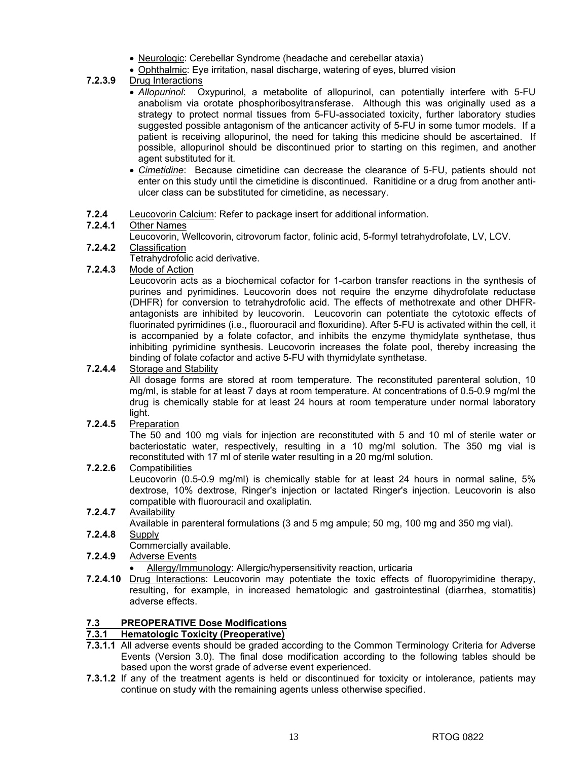- Neurologic: Cerebellar Syndrome (headache and cerebellar ataxia)
- Ophthalmic: Eye irritation, nasal discharge, watering of eyes, blurred vision

### **7.2.3.9** Drug Interactions

- *Allopurinol*: Oxypurinol, a metabolite of allopurinol, can potentially interfere with 5-FU anabolism via orotate phosphoribosyltransferase. Although this was originally used as a strategy to protect normal tissues from 5-FU-associated toxicity, further laboratory studies suggested possible antagonism of the anticancer activity of 5-FU in some tumor models. If a patient is receiving allopurinol, the need for taking this medicine should be ascertained. If possible, allopurinol should be discontinued prior to starting on this regimen, and another agent substituted for it.
- *Cimetidine*: Because cimetidine can decrease the clearance of 5-FU, patients should not enter on this study until the cimetidine is discontinued. Ranitidine or a drug from another antiulcer class can be substituted for cimetidine, as necessary.
- **7.2.4** Leucovorin Calcium: Refer to package insert for additional information.

### **7.2.4.1** Other Names

Leucovorin, Wellcovorin, citrovorum factor, folinic acid, 5-formyl tetrahydrofolate, LV, LCV.

### **7.2.4.2** Classification

Tetrahydrofolic acid derivative.

### **7.2.4.3** Mode of Action

Leucovorin acts as a biochemical cofactor for 1-carbon transfer reactions in the synthesis of purines and pyrimidines. Leucovorin does not require the enzyme dihydrofolate reductase (DHFR) for conversion to tetrahydrofolic acid. The effects of methotrexate and other DHFRantagonists are inhibited by leucovorin. Leucovorin can potentiate the cytotoxic effects of fluorinated pyrimidines (i.e., fluorouracil and floxuridine). After 5-FU is activated within the cell, it is accompanied by a folate cofactor, and inhibits the enzyme thymidylate synthetase, thus inhibiting pyrimidine synthesis. Leucovorin increases the folate pool, thereby increasing the binding of folate cofactor and active 5-FU with thymidylate synthetase.

### **7.2.4.4** Storage and Stability

All dosage forms are stored at room temperature. The reconstituted parenteral solution, 10 mg/ml, is stable for at least 7 days at room temperature. At concentrations of 0.5-0.9 mg/ml the drug is chemically stable for at least 24 hours at room temperature under normal laboratory light.

### **7.2.4.5** Preparation

The 50 and 100 mg vials for injection are reconstituted with 5 and 10 ml of sterile water or bacteriostatic water, respectively, resulting in a 10 mg/ml solution. The 350 mg vial is reconstituted with 17 ml of sterile water resulting in a 20 mg/ml solution.

### **7.2.2.6** Compatibilities

Leucovorin (0.5-0.9 mg/ml) is chemically stable for at least 24 hours in normal saline, 5% dextrose, 10% dextrose, Ringer's injection or lactated Ringer's injection. Leucovorin is also compatible with fluorouracil and oxaliplatin.

### **7.2.4.7** Availability

Available in parenteral formulations (3 and 5 mg ampule; 50 mg, 100 mg and 350 mg vial).

**7.2.4.8** Supply

Commercially available.

- **7.2.4.9** Adverse Events
	- Allergy/Immunology: Allergic/hypersensitivity reaction, urticaria
- **7.2.4.10** Drug Interactions: Leucovorin may potentiate the toxic effects of fluoropyrimidine therapy, resulting, for example, in increased hematologic and gastrointestinal (diarrhea, stomatitis) adverse effects.

### **7.3 PREOPERATIVE Dose Modifications**

### **7.3.1 Hematologic Toxicity (Preoperative)**

- **7.3.1.1** All adverse events should be graded according to the Common Terminology Criteria for Adverse Events (Version 3.0). The final dose modification according to the following tables should be based upon the worst grade of adverse event experienced.
- **7.3.1.2** If any of the treatment agents is held or discontinued for toxicity or intolerance, patients may continue on study with the remaining agents unless otherwise specified.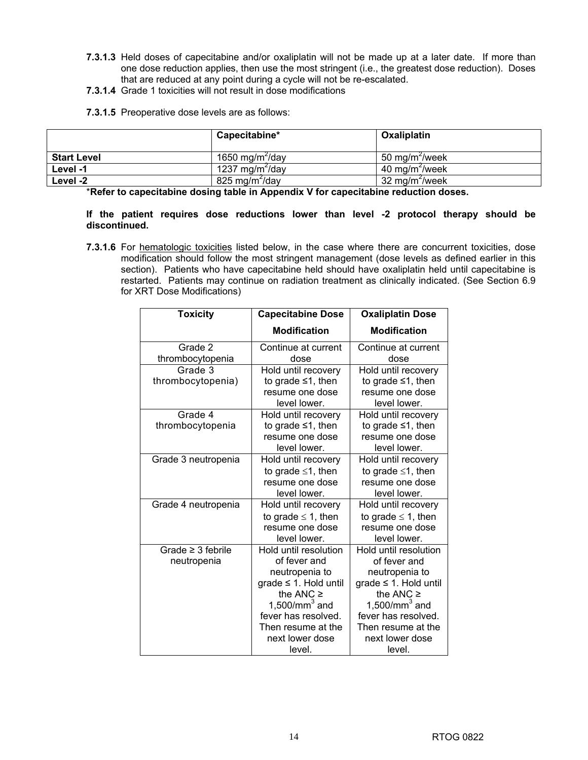- **7.3.1.3** Held doses of capecitabine and/or oxaliplatin will not be made up at a later date. If more than one dose reduction applies, then use the most stringent (i.e., the greatest dose reduction). Doses that are reduced at any point during a cycle will not be re-escalated.
- **7.3.1.4** Grade 1 toxicities will not result in dose modifications
- **7.3.1.5** Preoperative dose levels are as follows:

|                    | Capecitabine*               | Oxaliplatin                |
|--------------------|-----------------------------|----------------------------|
| <b>Start Level</b> | 1650 mg/m <sup>2</sup> /day | 50 mg/m <sup>2</sup> /week |
| Level -1           | 1237 mg/m <sup>2</sup> /day | 40 mg/m <sup>2</sup> /week |
| Level -2           | 825 mg/m <sup>2</sup> /day  | 32 mg/m <sup>2</sup> /week |

\***Refer to capecitabine dosing table in Appendix V for capecitabine reduction doses.** 

**If the patient requires dose reductions lower than level -2 protocol therapy should be discontinued.** 

**7.3.1.6** For hematologic toxicities listed below, in the case where there are concurrent toxicities, dose modification should follow the most stringent management (dose levels as defined earlier in this section). Patients who have capecitabine held should have oxaliplatin held until capecitabine is restarted. Patients may continue on radiation treatment as clinically indicated. (See Section 6.9 for XRT Dose Modifications)

| <b>Toxicity</b>        | <b>Capecitabine Dose</b>   | <b>Oxaliplatin Dose</b>     |
|------------------------|----------------------------|-----------------------------|
|                        | <b>Modification</b>        | <b>Modification</b>         |
| Grade 2                | Continue at current        | Continue at current         |
| thrombocytopenia       | dose                       | dose                        |
| Grade 3                | Hold until recovery        | Hold until recovery         |
| thrombocytopenia)      | to grade $\leq 1$ , then   | to grade $\leq 1$ , then    |
|                        | resume one dose            | resume one dose             |
|                        | level lower.               | level lower.                |
| Grade 4                | Hold until recovery        | Hold until recovery         |
| thrombocytopenia       | to grade $\leq 1$ , then   | to grade $\leq 1$ , then    |
|                        | resume one dose            | resume one dose             |
|                        | level lower.               | level lower.                |
| Grade 3 neutropenia    | Hold until recovery        | Hold until recovery         |
|                        | to grade $\leq 1$ , then   | to grade $\leq$ 1, then     |
|                        | resume one dose            | resume one dose             |
|                        | level lower.               | level lower.                |
| Grade 4 neutropenia    | Hold until recovery        | Hold until recovery         |
|                        | to grade $\leq$ 1, then    | to grade $\leq$ 1, then     |
|                        | resume one dose            | resume one dose             |
|                        | level lower.               | level lower.                |
| Grade $\geq$ 3 febrile | Hold until resolution      | Hold until resolution       |
| neutropenia            | of fever and               | of fever and                |
|                        | neutropenia to             | neutropenia to              |
|                        | grade $\leq$ 1. Hold until | $grade \leq 1$ . Hold until |
|                        | the ANC $\geq$             | the ANC $\geq$              |
|                        | 1,500/mm $^3$ and          | $1,500/mm3$ and             |
|                        | fever has resolved.        | fever has resolved.         |
|                        | Then resume at the         | Then resume at the          |
|                        | next lower dose            | next lower dose             |
|                        | level.                     | level.                      |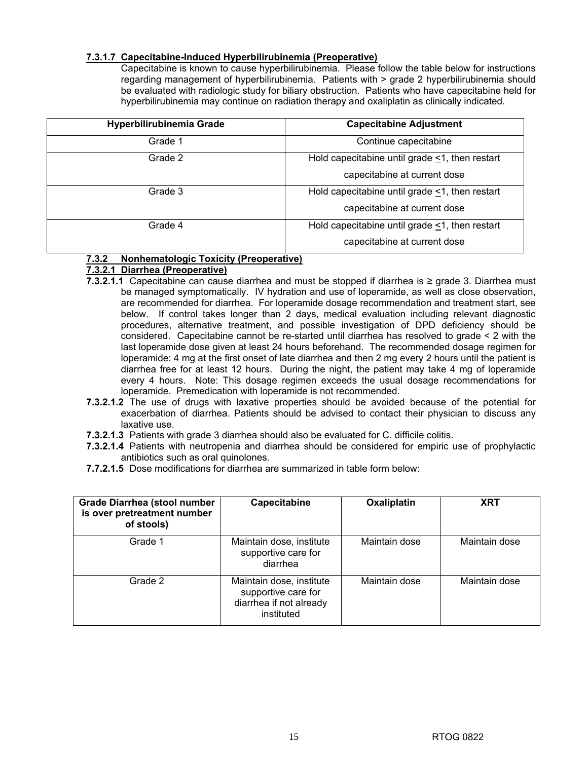### **7.3.1.7 Capecitabine-Induced Hyperbilirubinemia (Preoperative)**

Capecitabine is known to cause hyperbilirubinemia. Please follow the table below for instructions regarding management of hyperbilirubinemia. Patients with > grade 2 hyperbilirubinemia should be evaluated with radiologic study for biliary obstruction. Patients who have capecitabine held for hyperbilirubinemia may continue on radiation therapy and oxaliplatin as clinically indicated.

| Hyperbilirubinemia Grade | <b>Capecitabine Adjustment</b>                       |  |
|--------------------------|------------------------------------------------------|--|
| Grade 1                  | Continue capecitabine                                |  |
| Grade 2                  | Hold capecitabine until grade $\leq$ 1, then restart |  |
|                          | capecitabine at current dose                         |  |
| Grade 3                  | Hold capecitabine until grade <1, then restart       |  |
|                          | capecitabine at current dose                         |  |
| Grade 4                  | Hold capecitabine until grade <1, then restart       |  |
|                          | capecitabine at current dose                         |  |

### **7.3.2 Nonhematologic Toxicity (Preoperative)**

### **7.3.2.1 Diarrhea (Preoperative)**

- **7.3.2.1.1** Capecitabine can cause diarrhea and must be stopped if diarrhea is ≥ grade 3. Diarrhea must be managed symptomatically. IV hydration and use of loperamide, as well as close observation, are recommended for diarrhea. For loperamide dosage recommendation and treatment start, see below. If control takes longer than 2 days, medical evaluation including relevant diagnostic procedures, alternative treatment, and possible investigation of DPD deficiency should be considered. Capecitabine cannot be re-started until diarrhea has resolved to grade < 2 with the last loperamide dose given at least 24 hours beforehand. The recommended dosage regimen for loperamide: 4 mg at the first onset of late diarrhea and then 2 mg every 2 hours until the patient is diarrhea free for at least 12 hours. During the night, the patient may take 4 mg of loperamide every 4 hours. Note: This dosage regimen exceeds the usual dosage recommendations for loperamide. Premedication with loperamide is not recommended.
- **7.3.2.1.2** The use of drugs with laxative properties should be avoided because of the potential for exacerbation of diarrhea. Patients should be advised to contact their physician to discuss any laxative use.
- **7.3.2.1.3** Patients with grade 3 diarrhea should also be evaluated for C. difficile colitis.
- **7.3.2.1.4** Patients with neutropenia and diarrhea should be considered for empiric use of prophylactic antibiotics such as oral quinolones.
- **7.7.2.1.5** Dose modifications for diarrhea are summarized in table form below:

| <b>Grade Diarrhea (stool number</b><br>is over pretreatment number<br>of stools) | Capecitabine                                                                             | Oxaliplatin   | <b>XRT</b>    |
|----------------------------------------------------------------------------------|------------------------------------------------------------------------------------------|---------------|---------------|
| Grade 1                                                                          | Maintain dose, institute<br>supportive care for<br>diarrhea                              | Maintain dose | Maintain dose |
| Grade 2                                                                          | Maintain dose, institute<br>supportive care for<br>diarrhea if not already<br>instituted | Maintain dose | Maintain dose |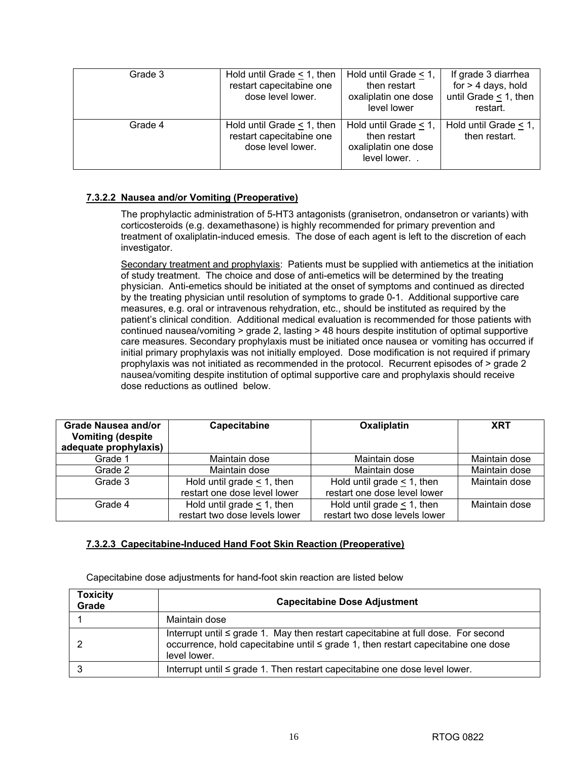| Grade 3 | Hold until Grade $\leq$ 1, then<br>restart capecitabine one<br>dose level lower. | Hold until Grade $< 1$ ,<br>then restart<br>oxaliplatin one dose<br>level lower | If grade 3 diarrhea<br>for $>$ 4 days, hold<br>until Grade $\leq$ 1, then<br>restart. |
|---------|----------------------------------------------------------------------------------|---------------------------------------------------------------------------------|---------------------------------------------------------------------------------------|
| Grade 4 | Hold until Grade $\leq$ 1, then<br>restart capecitabine one<br>dose level lower. | Hold until Grade < 1,<br>then restart<br>oxaliplatin one dose<br>level lower    | Hold until Grade < 1,<br>then restart.                                                |

### **7.3.2.2 Nausea and/or Vomiting (Preoperative)**

The prophylactic administration of 5-HT3 antagonists (granisetron, ondansetron or variants) with corticosteroids (e.g. dexamethasone) is highly recommended for primary prevention and treatment of oxaliplatin-induced emesis. The dose of each agent is left to the discretion of each investigator.

Secondary treatment and prophylaxis: Patients must be supplied with antiemetics at the initiation of study treatment. The choice and dose of anti-emetics will be determined by the treating physician. Anti-emetics should be initiated at the onset of symptoms and continued as directed by the treating physician until resolution of symptoms to grade 0-1. Additional supportive care measures, e.g. oral or intravenous rehydration, etc., should be instituted as required by the patient's clinical condition. Additional medical evaluation is recommended for those patients with continued nausea/vomiting > grade 2, lasting > 48 hours despite institution of optimal supportive care measures. Secondary prophylaxis must be initiated once nausea or vomiting has occurred if initial primary prophylaxis was not initially employed. Dose modification is not required if primary prophylaxis was not initiated as recommended in the protocol. Recurrent episodes of > grade 2 nausea/vomiting despite institution of optimal supportive care and prophylaxis should receive dose reductions as outlined below.

| Grade Nausea and/or<br><b>Vomiting (despite)</b><br>adequate prophylaxis) | Capecitabine                     | Oxaliplatin                     | <b>XRT</b>    |
|---------------------------------------------------------------------------|----------------------------------|---------------------------------|---------------|
| Grade 1                                                                   | Maintain dose                    | Maintain dose                   | Maintain dose |
| Grade 2                                                                   | Maintain dose                    | Maintain dose                   | Maintain dose |
| Grade 3                                                                   | Hold until grade $\leq 1$ , then | Hold until grade $\leq$ 1, then | Maintain dose |
|                                                                           | restart one dose level lower     | restart one dose level lower    |               |
| Grade 4                                                                   | Hold until grade $\leq$ 1, then  | Hold until grade $\leq$ 1, then | Maintain dose |
|                                                                           | restart two dose levels lower    | restart two dose levels lower   |               |

### **7.3.2.3 Capecitabine-Induced Hand Foot Skin Reaction (Preoperative)**

Capecitabine dose adjustments for hand-foot skin reaction are listed below

| <b>Toxicity</b><br>Grade | <b>Capecitabine Dose Adjustment</b>                                                                                                                                                         |  |  |  |  |
|--------------------------|---------------------------------------------------------------------------------------------------------------------------------------------------------------------------------------------|--|--|--|--|
|                          | Maintain dose                                                                                                                                                                               |  |  |  |  |
|                          | Interrupt until $\leq$ grade 1. May then restart capecitabine at full dose. For second<br>occurrence, hold capecitabine until ≤ grade 1, then restart capecitabine one dose<br>level lower. |  |  |  |  |
|                          | Interrupt until $\leq$ grade 1. Then restart capecitabine one dose level lower.                                                                                                             |  |  |  |  |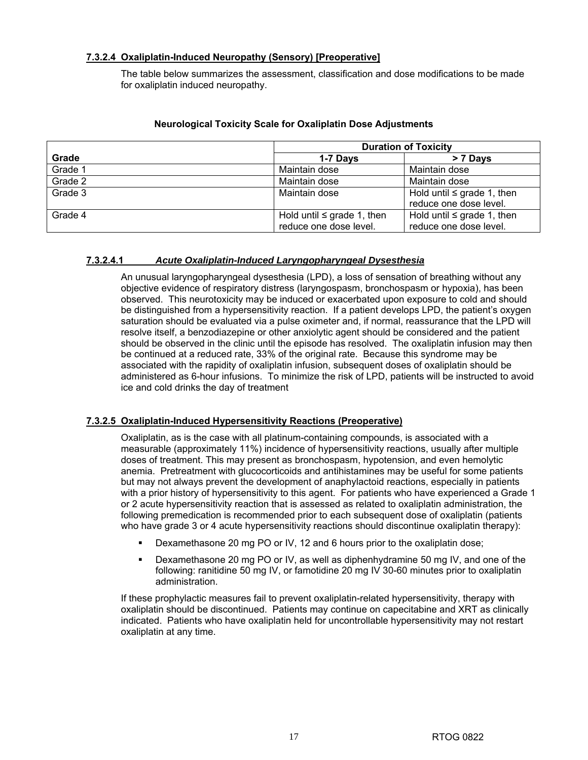### **7.3.2.4 Oxaliplatin-Induced Neuropathy (Sensory) [Preoperative]**

The table below summarizes the assessment, classification and dose modifications to be made for oxaliplatin induced neuropathy.

|         | <b>Duration of Toxicity</b>     |                                 |  |  |
|---------|---------------------------------|---------------------------------|--|--|
| Grade   | 1-7 Days                        | > 7 Days                        |  |  |
| Grade 1 | Maintain dose                   | Maintain dose                   |  |  |
| Grade 2 | Maintain dose                   | Maintain dose                   |  |  |
| Grade 3 | Maintain dose                   | Hold until $\leq$ grade 1, then |  |  |
|         |                                 | reduce one dose level.          |  |  |
| Grade 4 | Hold until $\leq$ grade 1, then | Hold until $\leq$ grade 1, then |  |  |
|         | reduce one dose level.          | reduce one dose level.          |  |  |

### **Neurological Toxicity Scale for Oxaliplatin Dose Adjustments**

### **7.3.2.4.1** *Acute Oxaliplatin-Induced Laryngopharyngeal Dysesthesia*

 An unusual laryngopharyngeal dysesthesia (LPD), a loss of sensation of breathing without any objective evidence of respiratory distress (laryngospasm, bronchospasm or hypoxia), has been observed. This neurotoxicity may be induced or exacerbated upon exposure to cold and should be distinguished from a hypersensitivity reaction. If a patient develops LPD, the patient's oxygen saturation should be evaluated via a pulse oximeter and, if normal, reassurance that the LPD will resolve itself, a benzodiazepine or other anxiolytic agent should be considered and the patient should be observed in the clinic until the episode has resolved. The oxaliplatin infusion may then be continued at a reduced rate, 33% of the original rate. Because this syndrome may be associated with the rapidity of oxaliplatin infusion, subsequent doses of oxaliplatin should be administered as 6-hour infusions. To minimize the risk of LPD, patients will be instructed to avoid ice and cold drinks the day of treatment

### **7.3.2.5 Oxaliplatin-Induced Hypersensitivity Reactions (Preoperative)**

Oxaliplatin, as is the case with all platinum-containing compounds, is associated with a measurable (approximately 11%) incidence of hypersensitivity reactions, usually after multiple doses of treatment. This may present as bronchospasm, hypotension, and even hemolytic anemia. Pretreatment with glucocorticoids and antihistamines may be useful for some patients but may not always prevent the development of anaphylactoid reactions, especially in patients with a prior history of hypersensitivity to this agent. For patients who have experienced a Grade 1 or 2 acute hypersensitivity reaction that is assessed as related to oxaliplatin administration, the following premedication is recommended prior to each subsequent dose of oxaliplatin (patients who have grade 3 or 4 acute hypersensitivity reactions should discontinue oxaliplatin therapy):

- Dexamethasone 20 mg PO or IV, 12 and 6 hours prior to the oxaliplatin dose;
- Dexamethasone 20 mg PO or IV, as well as diphenhydramine 50 mg IV, and one of the following: ranitidine 50 mg IV, or famotidine 20 mg IV 30-60 minutes prior to oxaliplatin administration.

If these prophylactic measures fail to prevent oxaliplatin-related hypersensitivity, therapy with oxaliplatin should be discontinued. Patients may continue on capecitabine and XRT as clinically indicated. Patients who have oxaliplatin held for uncontrollable hypersensitivity may not restart oxaliplatin at any time.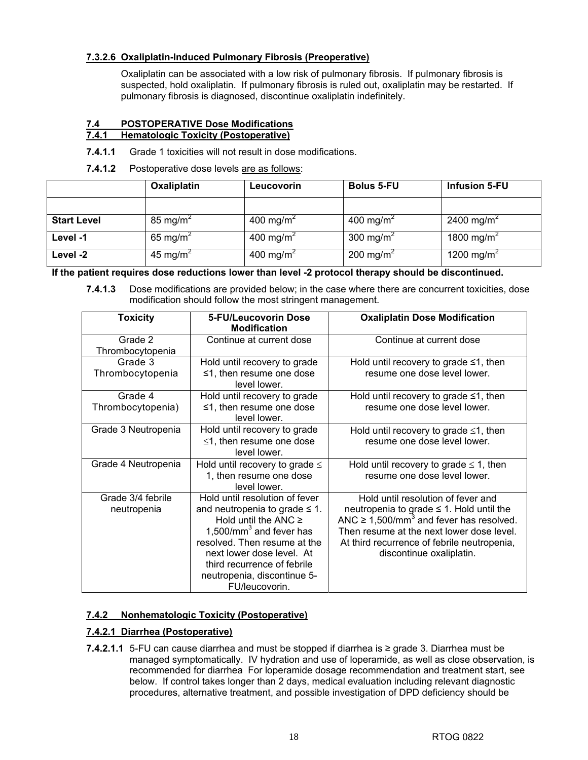### **7.3.2.6 Oxaliplatin-Induced Pulmonary Fibrosis (Preoperative)**

Oxaliplatin can be associated with a low risk of pulmonary fibrosis. If pulmonary fibrosis is suspected, hold oxaliplatin. If pulmonary fibrosis is ruled out, oxaliplatin may be restarted. If pulmonary fibrosis is diagnosed, discontinue oxaliplatin indefinitely.

#### **7.4 POSTOPERATIVE Dose Modifications 7.4.1 Hematologic Toxicity (Postoperative)**

### **7.4.1.1** Grade 1 toxicities will not result in dose modifications.

**7.4.1.2** Postoperative dose levels are as follows:

|                    | <b>Oxaliplatin</b>   | <b>Leucovorin</b>     | <b>Bolus 5-FU</b>     | <b>Infusion 5-FU</b>   |
|--------------------|----------------------|-----------------------|-----------------------|------------------------|
|                    |                      |                       |                       |                        |
| <b>Start Level</b> | 85 mg/m <sup>2</sup> | 400 mg/m <sup>2</sup> | 400 mg/m <sup>2</sup> | 2400 mg/m <sup>2</sup> |
| Level -1           | 65 mg/m <sup>2</sup> | 400 mg/m <sup>2</sup> | 300 mg/m <sup>2</sup> | 1800 mg/m <sup>2</sup> |
| Level -2           | 45 mg/m <sup>2</sup> | 400 mg/m <sup>2</sup> | 200 mg/m <sup>2</sup> | 1200 mg/m <sup>2</sup> |

**If the patient requires dose reductions lower than level -2 protocol therapy should be discontinued.** 

**7.4.1.3** Dose modifications are provided below; in the case where there are concurrent toxicities, dose modification should follow the most stringent management.

| <b>Toxicity</b>                  | 5-FU/Leucovorin Dose<br><b>Modification</b>                                                                                                                                                                                                                                   | <b>Oxaliplatin Dose Modification</b>                                                                                                                                                                                                                                    |
|----------------------------------|-------------------------------------------------------------------------------------------------------------------------------------------------------------------------------------------------------------------------------------------------------------------------------|-------------------------------------------------------------------------------------------------------------------------------------------------------------------------------------------------------------------------------------------------------------------------|
| Grade 2<br>Thrombocytopenia      | Continue at current dose                                                                                                                                                                                                                                                      | Continue at current dose                                                                                                                                                                                                                                                |
| Grade 3<br>Thrombocytopenia      | Hold until recovery to grade<br>$\leq$ 1, then resume one dose<br>level lower.                                                                                                                                                                                                | Hold until recovery to grade $\leq 1$ , then<br>resume one dose level lower.                                                                                                                                                                                            |
| Grade 4<br>Thrombocytopenia)     | Hold until recovery to grade<br>$\leq$ 1, then resume one dose<br>level lower.                                                                                                                                                                                                | Hold until recovery to grade $\leq 1$ , then<br>resume one dose level lower.                                                                                                                                                                                            |
| Grade 3 Neutropenia              | Hold until recovery to grade<br>$\leq$ 1, then resume one dose<br>level lower.                                                                                                                                                                                                | Hold until recovery to grade $\leq 1$ , then<br>resume one dose level lower.                                                                                                                                                                                            |
| Grade 4 Neutropenia              | Hold until recovery to grade $\leq$<br>1, then resume one dose<br>level lower.                                                                                                                                                                                                | Hold until recovery to grade $\leq$ 1, then<br>resume one dose level lower.                                                                                                                                                                                             |
| Grade 3/4 febrile<br>neutropenia | Hold until resolution of fever<br>and neutropenia to grade $\leq 1$ .<br>Hold until the ANC $\geq$<br>1,500/mm $3$ and fever has<br>resolved. Then resume at the<br>next lower dose level. At<br>third recurrence of febrile<br>neutropenia, discontinue 5-<br>FU/leucovorin. | Hold until resolution of fever and<br>neutropenia to grade $\leq$ 1. Hold until the<br>ANC $\geq$ 1,500/mm <sup>3</sup> and fever has resolved.<br>Then resume at the next lower dose level.<br>At third recurrence of febrile neutropenia,<br>discontinue oxaliplatin. |

### **7.4.2 Nonhematologic Toxicity (Postoperative)**

### **7.4.2.1 Diarrhea (Postoperative)**

**7.4.2.1.1** 5-FU can cause diarrhea and must be stopped if diarrhea is ≥ grade 3. Diarrhea must be managed symptomatically. IV hydration and use of loperamide, as well as close observation, is recommended for diarrhea For loperamide dosage recommendation and treatment start, see below. If control takes longer than 2 days, medical evaluation including relevant diagnostic procedures, alternative treatment, and possible investigation of DPD deficiency should be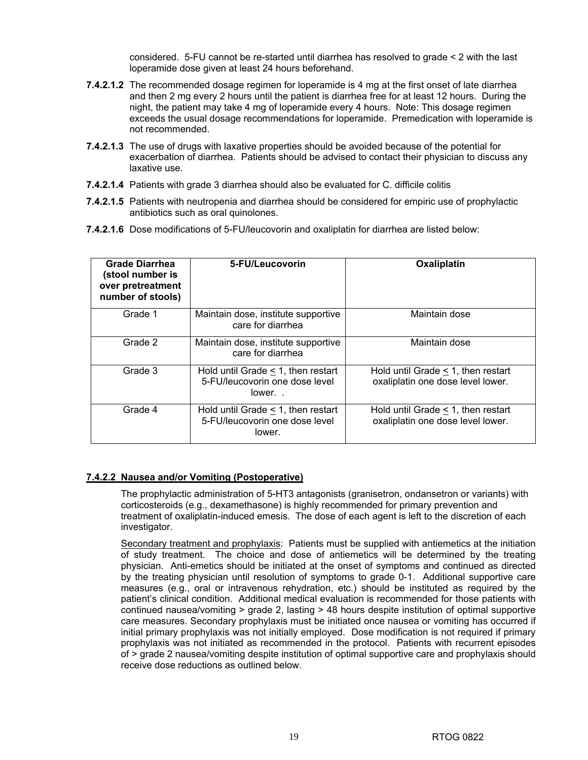considered. 5-FU cannot be re-started until diarrhea has resolved to grade < 2 with the last loperamide dose given at least 24 hours beforehand.

- **7.4.2.1.2** The recommended dosage regimen for loperamide is 4 mg at the first onset of late diarrhea and then 2 mg every 2 hours until the patient is diarrhea free for at least 12 hours. During the night, the patient may take 4 mg of loperamide every 4 hours. Note: This dosage regimen exceeds the usual dosage recommendations for loperamide. Premedication with loperamide is not recommended.
- **7.4.2.1.3** The use of drugs with laxative properties should be avoided because of the potential for exacerbation of diarrhea. Patients should be advised to contact their physician to discuss any laxative use.
- **7.4.2.1.4** Patients with grade 3 diarrhea should also be evaluated for C. difficile colitis
- **7.4.2.1.5** Patients with neutropenia and diarrhea should be considered for empiric use of prophylactic antibiotics such as oral quinolones.
- **7.4.2.1.6** Dose modifications of 5-FU/leucovorin and oxaliplatin for diarrhea are listed below:

| <b>Grade Diarrhea</b><br>(stool number is<br>over pretreatment<br>number of stools) | 5-FU/Leucovorin                                                                     | Oxaliplatin                                                                  |
|-------------------------------------------------------------------------------------|-------------------------------------------------------------------------------------|------------------------------------------------------------------------------|
| Grade 1                                                                             | Maintain dose, institute supportive<br>care for diarrhea                            | Maintain dose                                                                |
| Grade 2                                                                             | Maintain dose, institute supportive<br>care for diarrhea                            | Maintain dose                                                                |
| Grade 3                                                                             | Hold until Grade $\leq$ 1, then restart<br>5-FU/leucovorin one dose level<br>lower  | Hold until Grade $\leq$ 1, then restart<br>oxaliplatin one dose level lower. |
| Grade 4                                                                             | Hold until Grade $\leq$ 1, then restart<br>5-FU/leucovorin one dose level<br>lower. | Hold until Grade $\leq$ 1, then restart<br>oxaliplatin one dose level lower. |

### **7.4.2.2 Nausea and/or Vomiting (Postoperative)**

The prophylactic administration of 5-HT3 antagonists (granisetron, ondansetron or variants) with corticosteroids (e.g., dexamethasone) is highly recommended for primary prevention and treatment of oxaliplatin-induced emesis. The dose of each agent is left to the discretion of each investigator.

Secondary treatment and prophylaxis: Patients must be supplied with antiemetics at the initiation of study treatment. The choice and dose of antiemetics will be determined by the treating physician. Anti-emetics should be initiated at the onset of symptoms and continued as directed by the treating physician until resolution of symptoms to grade 0-1. Additional supportive care measures (e.g., oral or intravenous rehydration, etc.) should be instituted as required by the patient's clinical condition. Additional medical evaluation is recommended for those patients with continued nausea/vomiting > grade 2, lasting > 48 hours despite institution of optimal supportive care measures. Secondary prophylaxis must be initiated once nausea or vomiting has occurred if initial primary prophylaxis was not initially employed. Dose modification is not required if primary prophylaxis was not initiated as recommended in the protocol. Patients with recurrent episodes of > grade 2 nausea/vomiting despite institution of optimal supportive care and prophylaxis should receive dose reductions as outlined below.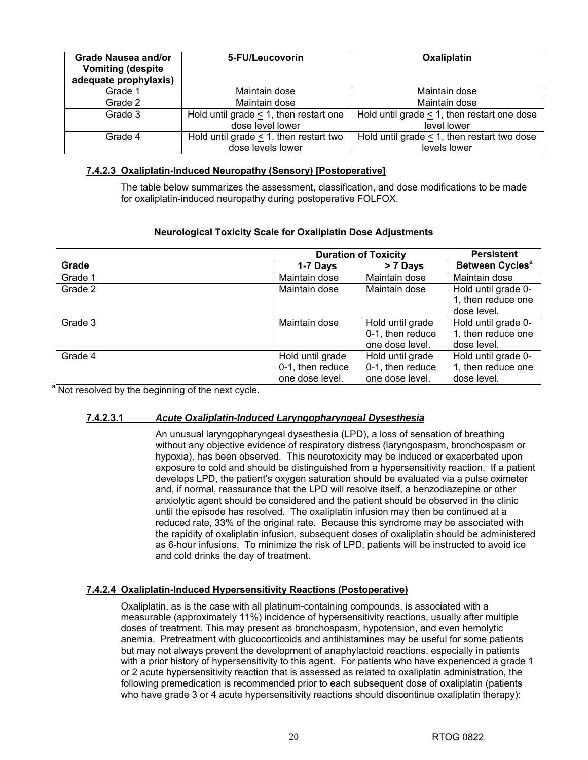| Grade Nausea and/or<br><b>Vomiting (despite)</b><br>adequate prophylaxis) | 5-FU/Leucovorin                             | Oxaliplatin                                      |
|---------------------------------------------------------------------------|---------------------------------------------|--------------------------------------------------|
| Grade 1                                                                   | Maintain dose                               | Maintain dose                                    |
| Grade 2                                                                   | Maintain dose                               | Maintain dose                                    |
| Grade 3                                                                   | Hold until grade $\leq$ 1, then restart one | Hold until grade $\leq$ 1, then restart one dose |
|                                                                           | dose level lower                            | level lower                                      |
| Grade 4                                                                   | Hold until grade $\leq$ 1, then restart two | Hold until grade $\leq$ 1, then restart two dose |
|                                                                           | dose levels lower                           | levels lower                                     |

### **7.4.2.3 Oxaliplatin-Induced Neuropathy (Sensory) [Postoperative]**

The table below summarizes the assessment, classification, and dose modifications to be made for oxaliplatin-induced neuropathy during postoperative FOLFOX.

### **Neurological Toxicity Scale for Oxaliplatin Dose Adjustments**

|                                                               | <b>Duration of Toxicity</b> | <b>Persistent</b> |                             |
|---------------------------------------------------------------|-----------------------------|-------------------|-----------------------------|
| Grade                                                         | 1-7 Days                    | > 7 Days          | Between Cycles <sup>a</sup> |
| Grade 1                                                       | Maintain dose               | Maintain dose     | Maintain dose               |
| Grade 2                                                       | Maintain dose               | Maintain dose     | Hold until grade 0-         |
|                                                               |                             |                   | 1, then reduce one          |
|                                                               |                             |                   | dose level.                 |
| Grade 3                                                       | Maintain dose               | Hold until grade  | Hold until grade 0-         |
|                                                               |                             | 0-1, then reduce  | 1, then reduce one          |
|                                                               |                             | one dose level.   | dose level.                 |
| Grade 4                                                       | Hold until grade            | Hold until grade  | Hold until grade 0-         |
|                                                               | 0-1, then reduce            | 0-1, then reduce  | 1, then reduce one          |
|                                                               | one dose level.             | one dose level.   | dose level.                 |
| <sup>a</sup> Not resolved by the beginning of the next cycle. |                             |                   |                             |

### **7.4.2.3.1** *Acute Oxaliplatin-Induced Laryngopharyngeal Dysesthesia*

An unusual laryngopharyngeal dysesthesia (LPD), a loss of sensation of breathing without any objective evidence of respiratory distress (laryngospasm, bronchospasm or hypoxia), has been observed. This neurotoxicity may be induced or exacerbated upon exposure to cold and should be distinguished from a hypersensitivity reaction. If a patient develops LPD, the patient's oxygen saturation should be evaluated via a pulse oximeter and, if normal, reassurance that the LPD will resolve itself, a benzodiazepine or other anxiolytic agent should be considered and the patient should be observed in the clinic until the episode has resolved. The oxaliplatin infusion may then be continued at a reduced rate, 33% of the original rate. Because this syndrome may be associated with the rapidity of oxaliplatin infusion, subsequent doses of oxaliplatin should be administered as 6-hour infusions. To minimize the risk of LPD, patients will be instructed to avoid ice and cold drinks the day of treatment.

### **7.4.2.4 Oxaliplatin-Induced Hypersensitivity Reactions (Postoperative)**

Oxaliplatin, as is the case with all platinum-containing compounds, is associated with a measurable (approximately 11%) incidence of hypersensitivity reactions, usually after multiple doses of treatment. This may present as bronchospasm, hypotension, and even hemolytic anemia. Pretreatment with glucocorticoids and antihistamines may be useful for some patients but may not always prevent the development of anaphylactoid reactions, especially in patients with a prior history of hypersensitivity to this agent. For patients who have experienced a grade 1 or 2 acute hypersensitivity reaction that is assessed as related to oxaliplatin administration, the following premedication is recommended prior to each subsequent dose of oxaliplatin (patients who have grade 3 or 4 acute hypersensitivity reactions should discontinue oxaliplatin therapy):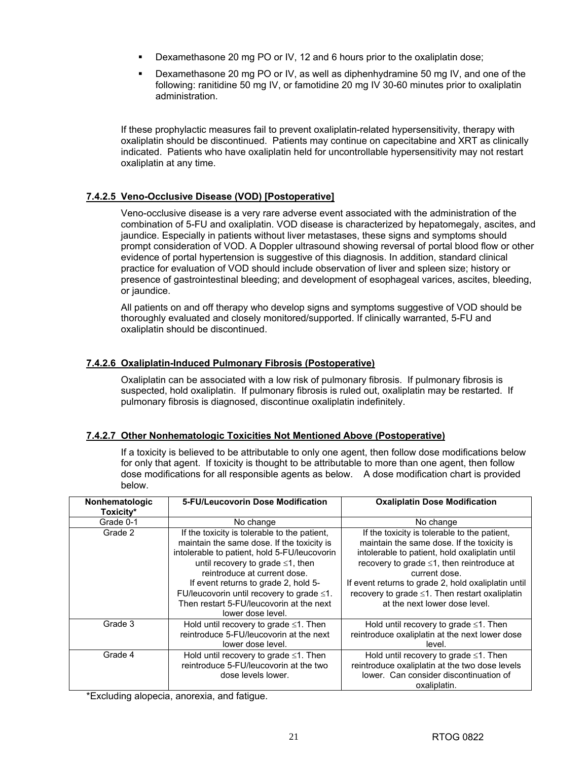- Dexamethasone 20 mg PO or IV, 12 and 6 hours prior to the oxaliplatin dose;
- Dexamethasone 20 mg PO or IV, as well as diphenhydramine 50 mg IV, and one of the following: ranitidine 50 mg IV, or famotidine 20 mg IV 30-60 minutes prior to oxaliplatin administration.

If these prophylactic measures fail to prevent oxaliplatin-related hypersensitivity, therapy with oxaliplatin should be discontinued. Patients may continue on capecitabine and XRT as clinically indicated. Patients who have oxaliplatin held for uncontrollable hypersensitivity may not restart oxaliplatin at any time.

### **7.4.2.5 Veno-Occlusive Disease (VOD) [Postoperative]**

Veno-occlusive disease is a very rare adverse event associated with the administration of the combination of 5-FU and oxaliplatin. VOD disease is characterized by hepatomegaly, ascites, and jaundice. Especially in patients without liver metastases, these signs and symptoms should prompt consideration of VOD. A Doppler ultrasound showing reversal of portal blood flow or other evidence of portal hypertension is suggestive of this diagnosis. In addition, standard clinical practice for evaluation of VOD should include observation of liver and spleen size; history or presence of gastrointestinal bleeding; and development of esophageal varices, ascites, bleeding, or jaundice.

All patients on and off therapy who develop signs and symptoms suggestive of VOD should be thoroughly evaluated and closely monitored/supported. If clinically warranted, 5-FU and oxaliplatin should be discontinued.

### **7.4.2.6 Oxaliplatin-Induced Pulmonary Fibrosis (Postoperative)**

Oxaliplatin can be associated with a low risk of pulmonary fibrosis. If pulmonary fibrosis is suspected, hold oxaliplatin. If pulmonary fibrosis is ruled out, oxaliplatin may be restarted. If pulmonary fibrosis is diagnosed, discontinue oxaliplatin indefinitely.

### **7.4.2.7 Other Nonhematologic Toxicities Not Mentioned Above (Postoperative)**

If a toxicity is believed to be attributable to only one agent, then follow dose modifications below for only that agent. If toxicity is thought to be attributable to more than one agent, then follow dose modifications for all responsible agents as below. A dose modification chart is provided below.

| Nonhematologic<br>Toxicity* | 5-FU/Leucovorin Dose Modification                                                                                                                                                                                                                                                                                                                                                  | <b>Oxaliplatin Dose Modification</b>                                                                                                                                                                                                                                                                                                                       |
|-----------------------------|------------------------------------------------------------------------------------------------------------------------------------------------------------------------------------------------------------------------------------------------------------------------------------------------------------------------------------------------------------------------------------|------------------------------------------------------------------------------------------------------------------------------------------------------------------------------------------------------------------------------------------------------------------------------------------------------------------------------------------------------------|
| Grade 0-1                   | No change                                                                                                                                                                                                                                                                                                                                                                          | No change                                                                                                                                                                                                                                                                                                                                                  |
| Grade 2                     | If the toxicity is tolerable to the patient,<br>maintain the same dose. If the toxicity is<br>intolerable to patient, hold 5-FU/leucovorin<br>until recovery to grade $\leq 1$ , then<br>reintroduce at current dose.<br>If event returns to grade 2, hold 5-<br>FU/leucovorin until recovery to grade $\leq 1$ .<br>Then restart 5-FU/leucovorin at the next<br>lower dose level. | If the toxicity is tolerable to the patient,<br>maintain the same dose. If the toxicity is<br>intolerable to patient, hold oxaliplatin until<br>recovery to grade ≤1, then reintroduce at<br>current dose.<br>If event returns to grade 2, hold oxaliplatin until<br>recovery to grade $\leq$ 1. Then restart oxaliplatin<br>at the next lower dose level. |
| Grade 3                     | Hold until recovery to grade $\leq 1$ . Then<br>reintroduce 5-FU/leucovorin at the next<br>lower dose level.                                                                                                                                                                                                                                                                       | Hold until recovery to grade $\leq 1$ . Then<br>reintroduce oxaliplatin at the next lower dose<br>level.                                                                                                                                                                                                                                                   |
| Grade 4                     | Hold until recovery to grade $\leq 1$ . Then<br>reintroduce 5-FU/leucovorin at the two<br>dose levels lower.                                                                                                                                                                                                                                                                       | Hold until recovery to grade ≤1. Then<br>reintroduce oxaliplatin at the two dose levels<br>lower. Can consider discontinuation of<br>oxaliplatin.                                                                                                                                                                                                          |

\*Excluding alopecia, anorexia, and fatigue.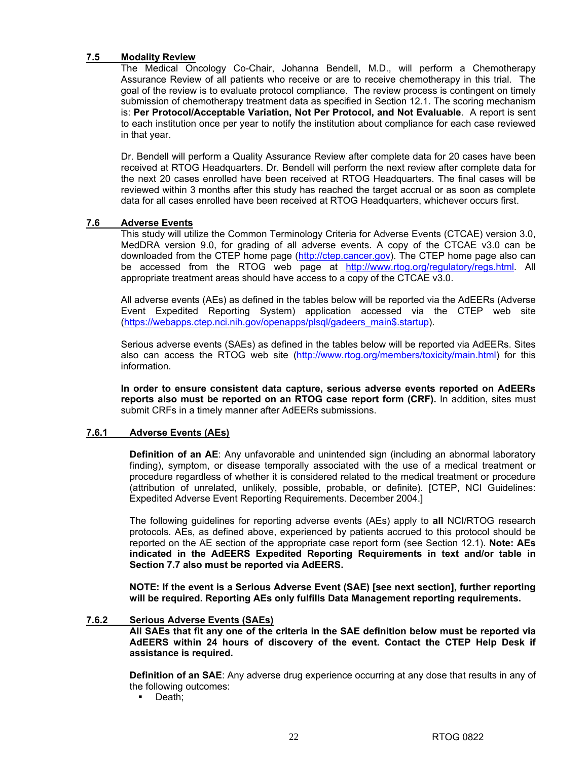### **7.5 Modality Review**

The Medical Oncology Co-Chair, Johanna Bendell, M.D., will perform a Chemotherapy Assurance Review of all patients who receive or are to receive chemotherapy in this trial. The goal of the review is to evaluate protocol compliance. The review process is contingent on timely submission of chemotherapy treatment data as specified in Section 12.1. The scoring mechanism is: **Per Protocol/Acceptable Variation, Not Per Protocol, and Not Evaluable**. A report is sent to each institution once per year to notify the institution about compliance for each case reviewed in that year.

Dr. Bendell will perform a Quality Assurance Review after complete data for 20 cases have been received at RTOG Headquarters. Dr. Bendell will perform the next review after complete data for the next 20 cases enrolled have been received at RTOG Headquarters. The final cases will be reviewed within 3 months after this study has reached the target accrual or as soon as complete data for all cases enrolled have been received at RTOG Headquarters, whichever occurs first.

### **7.6 Adverse Events**

 This study will utilize the Common Terminology Criteria for Adverse Events (CTCAE) version 3.0, MedDRA version 9.0, for grading of all adverse events. A copy of the CTCAE v3.0 can be downloaded from the CTEP home page (http://ctep.cancer.gov). The CTEP home page also can be accessed from the RTOG web page at http://www.rtog.org/regulatory/regs.html. All appropriate treatment areas should have access to a copy of the CTCAE v3.0.

 All adverse events (AEs) as defined in the tables below will be reported via the AdEERs (Adverse Event Expedited Reporting System) application accessed via the CTEP web site (https://webapps.ctep.nci.nih.gov/openapps/plsql/gadeers\_main\$.startup).

 Serious adverse events (SAEs) as defined in the tables below will be reported via AdEERs. Sites also can access the RTOG web site (http://www.rtog.org/members/toxicity/main.html) for this information.

**In order to ensure consistent data capture, serious adverse events reported on AdEERs reports also must be reported on an RTOG case report form (CRF).** In addition, sites must submit CRFs in a timely manner after AdEERs submissions.

### **7.6.1 Adverse Events (AEs)**

**Definition of an AE:** Any unfavorable and unintended sign (including an abnormal laboratory finding), symptom, or disease temporally associated with the use of a medical treatment or procedure regardless of whether it is considered related to the medical treatment or procedure (attribution of unrelated, unlikely, possible, probable, or definite). [CTEP, NCI Guidelines: Expedited Adverse Event Reporting Requirements. December 2004.]

 The following guidelines for reporting adverse events (AEs) apply to **all** NCI/RTOG research protocols. AEs, as defined above, experienced by patients accrued to this protocol should be reported on the AE section of the appropriate case report form (see Section 12.1). **Note: AEs indicated in the AdEERS Expedited Reporting Requirements in text and/or table in Section 7.7 also must be reported via AdEERS.** 

**NOTE: If the event is a Serious Adverse Event (SAE) [see next section], further reporting will be required. Reporting AEs only fulfills Data Management reporting requirements.** 

### **7.6.2 Serious Adverse Events (SAEs)**

**All SAEs that fit any one of the criteria in the SAE definition below must be reported via AdEERS within 24 hours of discovery of the event. Contact the CTEP Help Desk if assistance is required.**

**Definition of an SAE**: Any adverse drug experience occurring at any dose that results in any of the following outcomes:

• Death;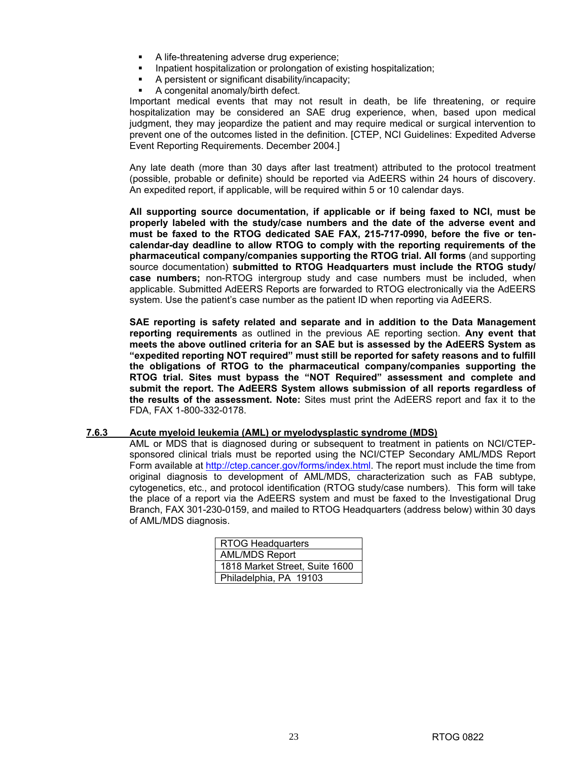- A life-threatening adverse drug experience;
- Inpatient hospitalization or prolongation of existing hospitalization;
- A persistent or significant disability/incapacity;
- A congenital anomaly/birth defect.

 Important medical events that may not result in death, be life threatening, or require hospitalization may be considered an SAE drug experience, when, based upon medical judgment, they may jeopardize the patient and may require medical or surgical intervention to prevent one of the outcomes listed in the definition. [CTEP, NCI Guidelines: Expedited Adverse Event Reporting Requirements. December 2004.]

 Any late death (more than 30 days after last treatment) attributed to the protocol treatment (possible, probable or definite) should be reported via AdEERS within 24 hours of discovery. An expedited report, if applicable, will be required within 5 or 10 calendar days.

**All supporting source documentation, if applicable or if being faxed to NCI, must be properly labeled with the study/case numbers and the date of the adverse event and must be faxed to the RTOG dedicated SAE FAX, 215-717-0990, before the five or tencalendar-day deadline to allow RTOG to comply with the reporting requirements of the pharmaceutical company/companies supporting the RTOG trial. All forms** (and supporting source documentation) **submitted to RTOG Headquarters must include the RTOG study/ case numbers;** non-RTOG intergroup study and case numbers must be included, when applicable. Submitted AdEERS Reports are forwarded to RTOG electronically via the AdEERS system. Use the patient's case number as the patient ID when reporting via AdEERS.

 **SAE reporting is safety related and separate and in addition to the Data Management reporting requirements** as outlined in the previous AE reporting section. **Any event that meets the above outlined criteria for an SAE but is assessed by the AdEERS System as "expedited reporting NOT required" must still be reported for safety reasons and to fulfill the obligations of RTOG to the pharmaceutical company/companies supporting the RTOG trial. Sites must bypass the "NOT Required" assessment and complete and submit the report. The AdEERS System allows submission of all reports regardless of the results of the assessment. Note:** Sites must print the AdEERS report and fax it to the FDA, FAX 1-800-332-0178.

### **7.6.3 Acute myeloid leukemia (AML) or myelodysplastic syndrome (MDS)**

 AML or MDS that is diagnosed during or subsequent to treatment in patients on NCI/CTEPsponsored clinical trials must be reported using the NCI/CTEP Secondary AML/MDS Report Form available at http://ctep.cancer.gov/forms/index.html. The report must include the time from original diagnosis to development of AML/MDS, characterization such as FAB subtype, cytogenetics, etc., and protocol identification (RTOG study/case numbers). This form will take the place of a report via the AdEERS system and must be faxed to the Investigational Drug Branch, FAX 301-230-0159, and mailed to RTOG Headquarters (address below) within 30 days of AML/MDS diagnosis.

| RTOG Headquarters              |  |  |
|--------------------------------|--|--|
| <b>AML/MDS Report</b>          |  |  |
| 1818 Market Street, Suite 1600 |  |  |
| Philadelphia, PA 19103         |  |  |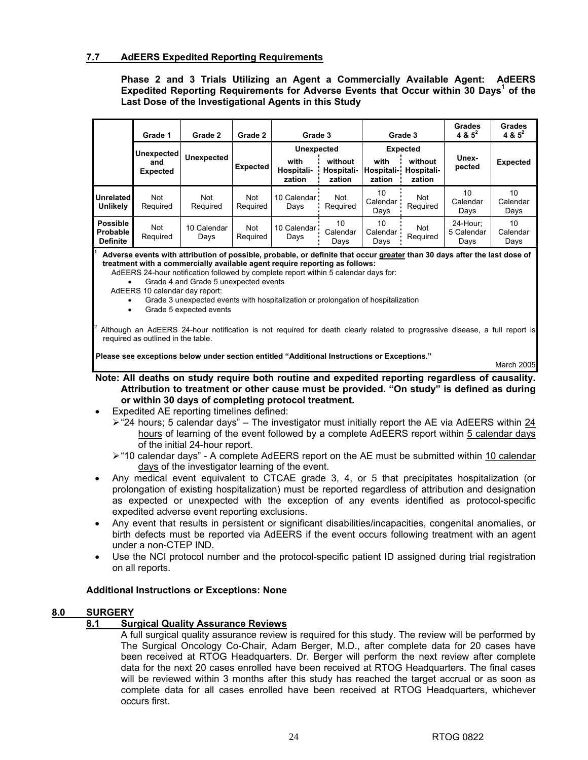### **7.7 AdEERS Expedited Reporting Requirements**

### **Phase 2 and 3 Trials Utilizing an Agent a Commercially Available Agent: AdEERS**  Expedited Reporting Requirements for Adverse Events that Occur within 30 Days<sup>1</sup> of the **Last Dose of the Investigational Agents in this Study**

|                                                                                                                           | Grade 1                | Grade 2             | Grade 2         | Grade 3                      |                                 |                              | Grade 3                         | Grades<br>4 & $5^2$            | <b>Grades</b><br>4 & $5^2$ |
|---------------------------------------------------------------------------------------------------------------------------|------------------------|---------------------|-----------------|------------------------------|---------------------------------|------------------------------|---------------------------------|--------------------------------|----------------------------|
| Unexpected                                                                                                                |                        | <b>Unexpected</b>   |                 | <b>Unexpected</b>            |                                 | <b>Expected</b>              |                                 | Unex-                          |                            |
|                                                                                                                           | and<br><b>Expected</b> |                     | Expected        | with<br>Hospitali-<br>zation | without<br>Hospitali-<br>zation | with<br>Hospitali-<br>zation | without<br>Hospitali-<br>zation | pected                         | <b>Expected</b>            |
| <b>Unrelated</b><br><b>Unlikely</b>                                                                                       | <b>Not</b><br>Required | Not<br>Required     | Not<br>Required | 10 Calendar<br>Days          | Not<br>Required                 | 10<br>Calendar<br>Days       | Not<br>Required                 | 10<br>Calendar<br>Days         | 10<br>Calendar<br>Days     |
| <b>Possible</b><br>Probable<br><b>Definite</b>                                                                            | Not<br>Required        | 10 Calendar<br>Days | Not<br>Required | 10 Calendar<br>Days          | 10<br>Calendar<br>Days          | 10<br>Calendar<br>Days       | Not<br>Required                 | 24-Hour:<br>5 Calendar<br>Days | 10<br>Calendar<br>Days     |
| Adverse events with attribution of possible, probable, or definite that occur greater than 30 days after the last dose of |                        |                     |                 |                              |                                 |                              |                                 |                                |                            |

 **Adverse events with attribution of possible, probable, or definite that occur greater than 30 days after the last dose of treatment with a commercially available agent require reporting as follows:** 

AdEERS 24-hour notification followed by complete report within 5 calendar days for:

- Grade 4 and Grade 5 unexpected events
- AdEERS 10 calendar day report:
	- Grade 3 unexpected events with hospitalization or prolongation of hospitalization
	- Grade 5 expected events

2 Although an AdEERS 24-hour notification is not required for death clearly related to progressive disease, a full report is required as outlined in the table.

**Please see exceptions below under section entitled "Additional Instructions or Exceptions."** 

March 2005

### **Note: All deaths on study require both routine and expedited reporting regardless of causality. Attribution to treatment or other cause must be provided. "On study" is defined as during or within 30 days of completing protocol treatment.**

- Expedited AE reporting timelines defined:
	- $\ge$  "24 hours; 5 calendar days" The investigator must initially report the AE via AdEERS within 24 hours of learning of the event followed by a complete AdEERS report within 5 calendar days of the initial 24-hour report.
	- ¾ "10 calendar days" A complete AdEERS report on the AE must be submitted within 10 calendar days of the investigator learning of the event.
- Any medical event equivalent to CTCAE grade 3, 4, or 5 that precipitates hospitalization (or prolongation of existing hospitalization) must be reported regardless of attribution and designation as expected or unexpected with the exception of any events identified as protocol-specific expedited adverse event reporting exclusions.
- Any event that results in persistent or significant disabilities/incapacities, congenital anomalies, or birth defects must be reported via AdEERS if the event occurs following treatment with an agent under a non-CTEP IND.
- Use the NCI protocol number and the protocol-specific patient ID assigned during trial registration on all reports.

### **Additional Instructions or Exceptions: None**

### **8.0 SURGERY**

### **8.1 Surgical Quality Assurance Reviews**

A full surgical quality assurance review is required for this study. The review will be performed by The Surgical Oncology Co-Chair, Adam Berger, M.D., after complete data for 20 cases have been received at RTOG Headquarters. Dr. Berger will perform the next review after complete data for the next 20 cases enrolled have been received at RTOG Headquarters. The final cases will be reviewed within 3 months after this study has reached the target accrual or as soon as complete data for all cases enrolled have been received at RTOG Headquarters, whichever occurs first.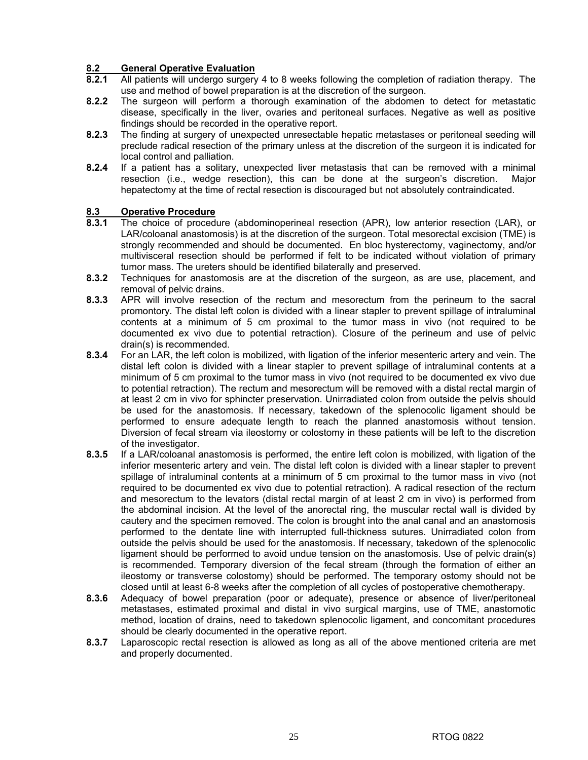## **8.2 General Operative Evaluation**

- **8.2.1** All patients will undergo surgery 4 to 8 weeks following the completion of radiation therapy. The use and method of bowel preparation is at the discretion of the surgeon.
- **8.2.2** The surgeon will perform a thorough examination of the abdomen to detect for metastatic disease, specifically in the liver, ovaries and peritoneal surfaces. Negative as well as positive findings should be recorded in the operative report.
- **8.2.3** The finding at surgery of unexpected unresectable hepatic metastases or peritoneal seeding will preclude radical resection of the primary unless at the discretion of the surgeon it is indicated for local control and palliation.
- **8.2.4** If a patient has a solitary, unexpected liver metastasis that can be removed with a minimal resection (i.e., wedge resection), this can be done at the surgeon's discretion. Major hepatectomy at the time of rectal resection is discouraged but not absolutely contraindicated.

## 8.3 **Operative Procedure**<br>8.3.1 The choice of procedu

- **8.3.1** The choice of procedure (abdominoperineal resection (APR), low anterior resection (LAR), or LAR/coloanal anastomosis) is at the discretion of the surgeon. Total mesorectal excision (TME) is strongly recommended and should be documented. En bloc hysterectomy, vaginectomy, and/or multivisceral resection should be performed if felt to be indicated without violation of primary tumor mass. The ureters should be identified bilaterally and preserved.
- **8.3.2** Techniques for anastomosis are at the discretion of the surgeon, as are use, placement, and removal of pelvic drains.
- **8.3.3** APR will involve resection of the rectum and mesorectum from the perineum to the sacral promontory. The distal left colon is divided with a linear stapler to prevent spillage of intraluminal contents at a minimum of 5 cm proximal to the tumor mass in vivo (not required to be documented ex vivo due to potential retraction). Closure of the perineum and use of pelvic drain(s) is recommended.
- **8.3.4** For an LAR, the left colon is mobilized, with ligation of the inferior mesenteric artery and vein. The distal left colon is divided with a linear stapler to prevent spillage of intraluminal contents at a minimum of 5 cm proximal to the tumor mass in vivo (not required to be documented ex vivo due to potential retraction). The rectum and mesorectum will be removed with a distal rectal margin of at least 2 cm in vivo for sphincter preservation. Unirradiated colon from outside the pelvis should be used for the anastomosis. If necessary, takedown of the splenocolic ligament should be performed to ensure adequate length to reach the planned anastomosis without tension. Diversion of fecal stream via ileostomy or colostomy in these patients will be left to the discretion of the investigator.
- **8.3.5** If a LAR/coloanal anastomosis is performed, the entire left colon is mobilized, with ligation of the inferior mesenteric artery and vein. The distal left colon is divided with a linear stapler to prevent spillage of intraluminal contents at a minimum of 5 cm proximal to the tumor mass in vivo (not required to be documented ex vivo due to potential retraction). A radical resection of the rectum and mesorectum to the levators (distal rectal margin of at least 2 cm in vivo) is performed from the abdominal incision. At the level of the anorectal ring, the muscular rectal wall is divided by cautery and the specimen removed. The colon is brought into the anal canal and an anastomosis performed to the dentate line with interrupted full-thickness sutures. Unirradiated colon from outside the pelvis should be used for the anastomosis. If necessary, takedown of the splenocolic ligament should be performed to avoid undue tension on the anastomosis. Use of pelvic drain(s) is recommended. Temporary diversion of the fecal stream (through the formation of either an ileostomy or transverse colostomy) should be performed. The temporary ostomy should not be closed until at least 6-8 weeks after the completion of all cycles of postoperative chemotherapy.
- **8.3.6** Adequacy of bowel preparation (poor or adequate), presence or absence of liver/peritoneal metastases, estimated proximal and distal in vivo surgical margins, use of TME, anastomotic method, location of drains, need to takedown splenocolic ligament, and concomitant procedures should be clearly documented in the operative report.
- **8.3.7** Laparoscopic rectal resection is allowed as long as all of the above mentioned criteria are met and properly documented.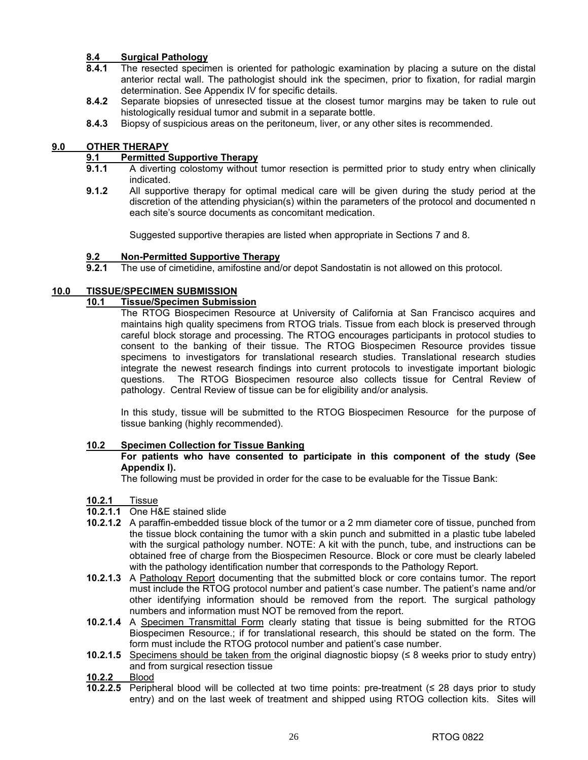### **8.4 Surgical Pathology**

- **8.4.1** The resected specimen is oriented for pathologic examination by placing a suture on the distal anterior rectal wall. The pathologist should ink the specimen, prior to fixation, for radial margin determination. See Appendix IV for specific details.
- **8.4.2** Separate biopsies of unresected tissue at the closest tumor margins may be taken to rule out histologically residual tumor and submit in a separate bottle.
- **8.4.3** Biopsy of suspicious areas on the peritoneum, liver, or any other sites is recommended.

## **9.0 OTHER THERAPY**<br>**9.1** Permitted S

## **9.1** Permitted Supportive Therapy<br>**9.1.1** A diverting colostomy without

- **9.1.1** A diverting colostomy without tumor resection is permitted prior to study entry when clinically indicated.
- **9.1.2** All supportive therapy for optimal medical care will be given during the study period at the discretion of the attending physician(s) within the parameters of the protocol and documented n each site's source documents as concomitant medication.

Suggested supportive therapies are listed when appropriate in Sections 7 and 8.

### **9.2 Non-Permitted Supportive Therapy**

**9.2.1** The use of cimetidine, amifostine and/or depot Sandostatin is not allowed on this protocol.

### **10.0 TISSUE/SPECIMEN SUBMISSION**

### **10.1 Tissue/Specimen Submission**

The RTOG Biospecimen Resource at University of California at San Francisco acquires and maintains high quality specimens from RTOG trials. Tissue from each block is preserved through careful block storage and processing. The RTOG encourages participants in protocol studies to consent to the banking of their tissue. The RTOG Biospecimen Resource provides tissue specimens to investigators for translational research studies. Translational research studies integrate the newest research findings into current protocols to investigate important biologic questions. The RTOG Biospecimen resource also collects tissue for Central Review of pathology. Central Review of tissue can be for eligibility and/or analysis.

In this study, tissue will be submitted to the RTOG Biospecimen Resource for the purpose of tissue banking (highly recommended).

### **10.2 Specimen Collection for Tissue Banking**

### **For patients who have consented to participate in this component of the study (See Appendix I).**

The following must be provided in order for the case to be evaluable for the Tissue Bank:

- **10.2.1** Tissue
- **10.2.1.1** One H&E stained slide
- **10.2.1.2** A paraffin-embedded tissue block of the tumor or a 2 mm diameter core of tissue, punched from the tissue block containing the tumor with a skin punch and submitted in a plastic tube labeled with the surgical pathology number. NOTE: A kit with the punch, tube, and instructions can be obtained free of charge from the Biospecimen Resource. Block or core must be clearly labeled with the pathology identification number that corresponds to the Pathology Report.
- **10.2.1.3** A Pathology Report documenting that the submitted block or core contains tumor. The report must include the RTOG protocol number and patient's case number. The patient's name and/or other identifying information should be removed from the report. The surgical pathology numbers and information must NOT be removed from the report.
- **10.2.1.4** A Specimen Transmittal Form clearly stating that tissue is being submitted for the RTOG Biospecimen Resource.; if for translational research, this should be stated on the form. The form must include the RTOG protocol number and patient's case number.
- **10.2.1.5** Specimens should be taken from the original diagnostic biopsy ( $\leq$  8 weeks prior to study entry) and from surgical resection tissue
- **10.2.2** Blood
- **10.2.2.5** Peripheral blood will be collected at two time points: pre-treatment (≤ 28 days prior to study entry) and on the last week of treatment and shipped using RTOG collection kits. Sites will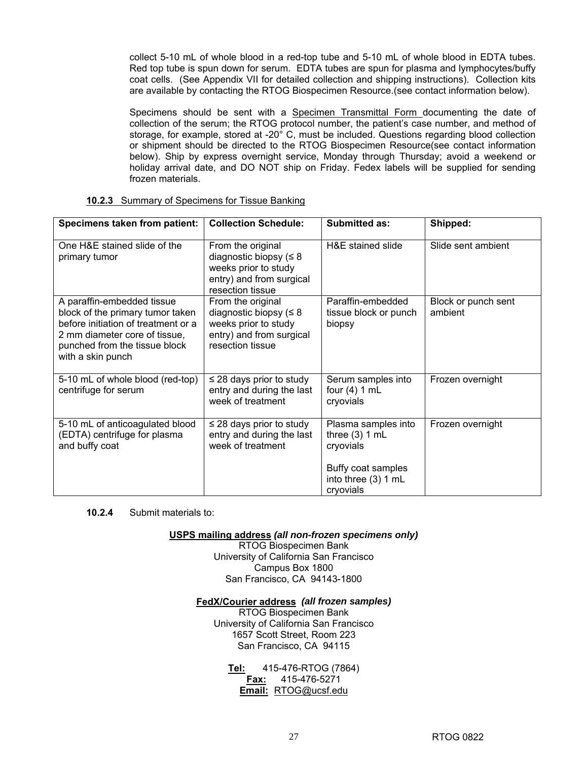collect 5-10 mL of whole blood in a red-top tube and 5-10 mL of whole blood in EDTA tubes. Red top tube is spun down for serum. EDTA tubes are spun for plasma and lymphocytes/buffy coat cells. (See Appendix VII for detailed collection and shipping instructions). Collection kits are available by contacting the RTOG Biospecimen Resource.(see contact information below).

Specimens should be sent with a Specimen Transmittal Form documenting the date of collection of the serum; the RTOG protocol number, the patient's case number, and method of storage, for example, stored at -20° C, must be included. Questions regarding blood collection or shipment should be directed to the RTOG Biospecimen Resource(see contact information below). Ship by express overnight service, Monday through Thursday; avoid a weekend or holiday arrival date, and DO NOT ship on Friday. Fedex labels will be supplied for sending frozen materials.

| Specimens taken from patient:                                                                                                                                                                | <b>Collection Schedule:</b>                                                                                               | <b>Submitted as:</b>                                                                                           | Shipped:                       |
|----------------------------------------------------------------------------------------------------------------------------------------------------------------------------------------------|---------------------------------------------------------------------------------------------------------------------------|----------------------------------------------------------------------------------------------------------------|--------------------------------|
| One H&E stained slide of the<br>primary tumor                                                                                                                                                | From the original<br>diagnostic biopsy ( $\leq 8$<br>weeks prior to study<br>entry) and from surgical<br>resection tissue | H&E stained slide                                                                                              | Slide sent ambient             |
| A paraffin-embedded tissue<br>block of the primary tumor taken<br>before initiation of treatment or a<br>2 mm diameter core of tissue,<br>punched from the tissue block<br>with a skin punch | From the original<br>diagnostic biopsy $(58$<br>weeks prior to study<br>entry) and from surgical<br>resection tissue      | Paraffin-embedded<br>tissue block or punch<br>biopsy                                                           | Block or punch sent<br>ambient |
| 5-10 mL of whole blood (red-top)<br>centrifuge for serum                                                                                                                                     | $\leq$ 28 days prior to study<br>entry and during the last<br>week of treatment                                           | Serum samples into<br>four $(4)$ 1 mL<br>cryovials                                                             | Frozen overnight               |
| 5-10 mL of anticoagulated blood<br>(EDTA) centrifuge for plasma<br>and buffy coat                                                                                                            | $\leq$ 28 days prior to study<br>entry and during the last<br>week of treatment                                           | Plasma samples into<br>three $(3)$ 1 mL<br>cryovials<br>Buffy coat samples<br>into three (3) 1 mL<br>cryovials | Frozen overnight               |

#### **10.2.3** Summary of Specimens for Tissue Banking

**10.2.4** Submit materials to:

**USPS mailing address** *(all non-frozen specimens only)*

RTOG Biospecimen Bank University of California San Francisco Campus Box 1800 San Francisco, CA 94143-1800

### **FedX/Courier address** *(all frozen samples)*

RTOG Biospecimen Bank University of California San Francisco 1657 Scott Street, Room 223 San Francisco, CA 94115

**Tel:** 415-476-RTOG (7864) **Fax:** 415-476-5271 **Email:** RTOG@ucsf.edu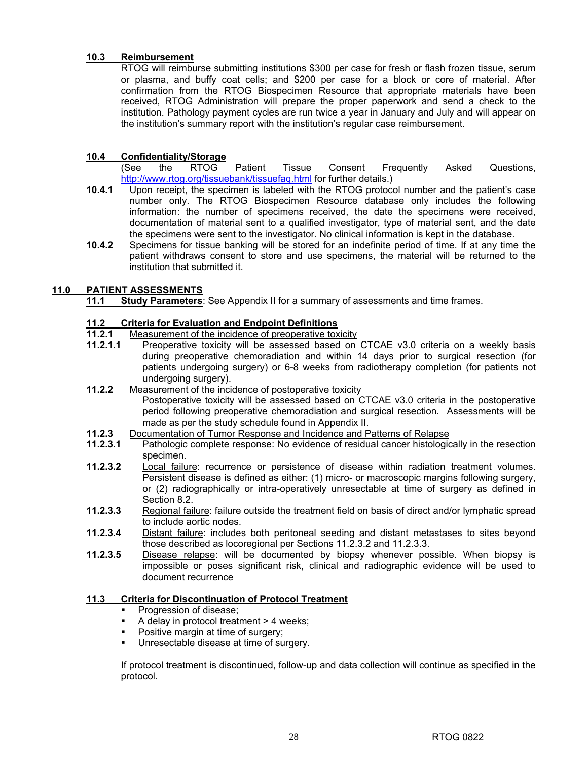### **10.3 Reimbursement**

RTOG will reimburse submitting institutions \$300 per case for fresh or flash frozen tissue, serum or plasma, and buffy coat cells; and \$200 per case for a block or core of material. After confirmation from the RTOG Biospecimen Resource that appropriate materials have been received, RTOG Administration will prepare the proper paperwork and send a check to the institution. Pathology payment cycles are run twice a year in January and July and will appear on the institution's summary report with the institution's regular case reimbursement.

### **10.4 Confidentiality/Storage**

(See the RTOG Patient Tissue Consent Frequently Asked Questions, http://www.rtog.org/tissuebank/tissuefaq.html for further details.)

- **10.4.1** Upon receipt, the specimen is labeled with the RTOG protocol number and the patient's case number only. The RTOG Biospecimen Resource database only includes the following information: the number of specimens received, the date the specimens were received, documentation of material sent to a qualified investigator, type of material sent, and the date the specimens were sent to the investigator. No clinical information is kept in the database.
- **10.4.2** Specimens for tissue banking will be stored for an indefinite period of time. If at any time the patient withdraws consent to store and use specimens, the material will be returned to the institution that submitted it.

### **11.0 PATIENT ASSESSMENTS**

**11.1 Study Parameters**: See Appendix II for a summary of assessments and time frames.

## **11.2 Criteria for Evaluation and Endpoint Definitions**

- **11.2.1** Measurement of the incidence of preoperative toxicity
- **11.2.1.1** Preoperative toxicity will be assessed based on CTCAE v3.0 criteria on a weekly basis during preoperative chemoradiation and within 14 days prior to surgical resection (for patients undergoing surgery) or 6-8 weeks from radiotherapy completion (for patients not undergoing surgery).
- **11.2.2** Measurement of the incidence of postoperative toxicity Postoperative toxicity will be assessed based on CTCAE v3.0 criteria in the postoperative period following preoperative chemoradiation and surgical resection. Assessments will be made as per the study schedule found in Appendix II.
- **11.2.3** Documentation of Tumor Response and Incidence and Patterns of Relapse<br>**11.2.3.1** Pathologic complete response: No evidence of residual cancer histologic
- **11.2.3.1** Pathologic complete response: No evidence of residual cancer histologically in the resection specimen.
- **11.2.3.2** Local failure: recurrence or persistence of disease within radiation treatment volumes. Persistent disease is defined as either: (1) micro- or macroscopic margins following surgery, or (2) radiographically or intra-operatively unresectable at time of surgery as defined in Section 8.2.
- **11.2.3.3** Regional failure: failure outside the treatment field on basis of direct and/or lymphatic spread to include aortic nodes.
- **11.2.3.4** Distant failure: includes both peritoneal seeding and distant metastases to sites beyond those described as locoregional per Sections 11.2.3.2 and 11.2.3.3.
- **11.2.3.5** Disease relapse: will be documented by biopsy whenever possible. When biopsy is impossible or poses significant risk, clinical and radiographic evidence will be used to document recurrence

### **11.3 Criteria for Discontinuation of Protocol Treatment**

- Progression of disease;
- A delay in protocol treatment > 4 weeks;
- Positive margin at time of surgery;
- **Unresectable disease at time of surgery.**

If protocol treatment is discontinued, follow-up and data collection will continue as specified in the protocol.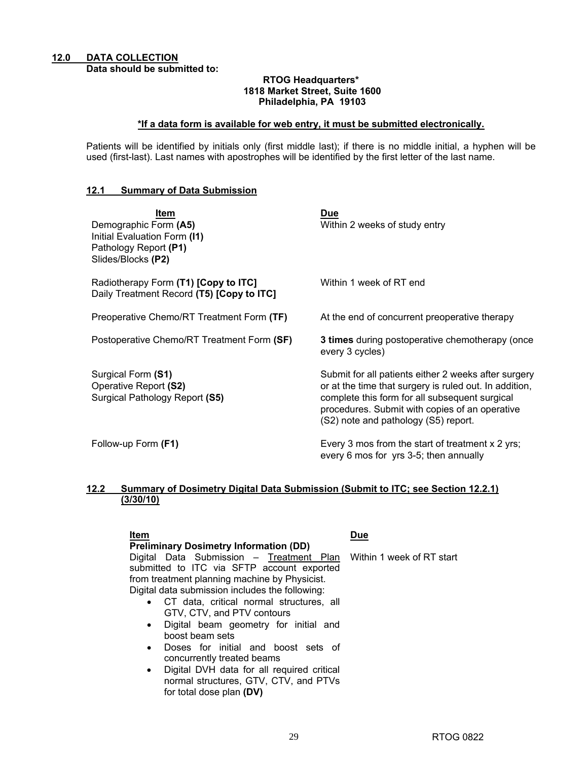#### **RTOG Headquarters\* 1818 Market Street, Suite 1600 Philadelphia, PA 19103**

### **\*If a data form is available for web entry, it must be submitted electronically.**

Patients will be identified by initials only (first middle last); if there is no middle initial, a hyphen will be used (first-last). Last names with apostrophes will be identified by the first letter of the last name.

### **12.1 Summary of Data Submission**

| ltem<br>Demographic Form (A5)<br>Initial Evaluation Form (I1)<br>Pathology Report (P1)<br>Slides/Blocks (P2) | <b>Due</b><br>Within 2 weeks of study entry                                                                                                                                                                                                                |
|--------------------------------------------------------------------------------------------------------------|------------------------------------------------------------------------------------------------------------------------------------------------------------------------------------------------------------------------------------------------------------|
| Radiotherapy Form (T1) [Copy to ITC]<br>Daily Treatment Record (T5) [Copy to ITC]                            | Within 1 week of RT end                                                                                                                                                                                                                                    |
| Preoperative Chemo/RT Treatment Form (TF)                                                                    | At the end of concurrent preoperative therapy                                                                                                                                                                                                              |
| Postoperative Chemo/RT Treatment Form (SF)                                                                   | <b>3 times</b> during postoperative chemotherapy (once<br>every 3 cycles)                                                                                                                                                                                  |
| Surgical Form (S1)<br>Operative Report (S2)<br>Surgical Pathology Report (S5)                                | Submit for all patients either 2 weeks after surgery<br>or at the time that surgery is ruled out. In addition,<br>complete this form for all subsequent surgical<br>procedures. Submit with copies of an operative<br>(S2) note and pathology (S5) report. |
| Follow-up Form (F1)                                                                                          | Every 3 mos from the start of treatment x 2 yrs;<br>every 6 mos for yrs 3-5; then annually                                                                                                                                                                 |

### **12.2 Summary of Dosimetry Digital Data Submission (Submit to ITC; see Section 12.2.1) (3/30/10)**

### **Item Due**

Within 1 week of RT start

**Preliminary Dosimetry Information (DD)**  Digital Data Submission - Treatment Plan submitted to ITC via SFTP account exported from treatment planning machine by Physicist. Digital data submission includes the following:

- CT data, critical normal structures, all GTV, CTV, and PTV contours
- Digital beam geometry for initial and boost beam sets
- Doses for initial and boost sets of concurrently treated beams
- Digital DVH data for all required critical normal structures, GTV, CTV, and PTVs for total dose plan **(DV)**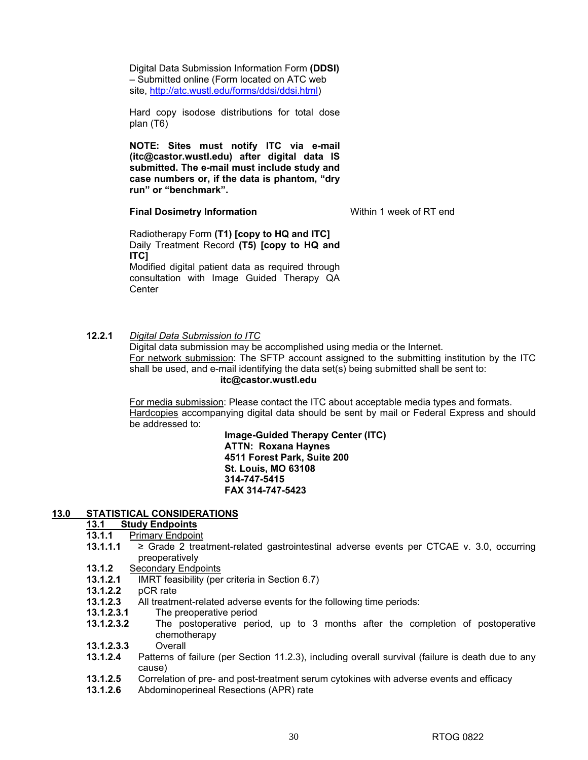Digital Data Submission Information Form **(DDSI)** – Submitted online (Form located on ATC web site, http://atc.wustl.edu/forms/ddsi/ddsi.html)

Hard copy isodose distributions for total dose plan (T6)

**NOTE: Sites must notify ITC via e-mail (itc@castor.wustl.edu) after digital data IS submitted. The e-mail must include study and case numbers or, if the data is phantom, "dry run" or "benchmark".** 

**Final Dosimetry Information Within 1 week of RT end** 

Radiotherapy Form **(T1) [copy to HQ and ITC]** Daily Treatment Record **(T5) [copy to HQ and ITC]**  Modified digital patient data as required through consultation with Image Guided Therapy QA **Center** 

### **12.2.1** *Digital Data Submission to ITC*

Digital data submission may be accomplished using media or the Internet. For network submission: The SFTP account assigned to the submitting institution by the ITC shall be used, and e-mail identifying the data set(s) being submitted shall be sent to: **itc@castor.wustl.edu** 

For media submission: Please contact the ITC about acceptable media types and formats. Hardcopies accompanying digital data should be sent by mail or Federal Express and should be addressed to:

> **Image-Guided Therapy Center (ITC) ATTN: Roxana Haynes 4511 Forest Park, Suite 200 St. Louis, MO 63108 314-747-5415 FAX 314-747-5423**

### **13.0 STATISTICAL CONSIDERATIONS**

#### **13.1 Study Endpoints**

- **13.1.1** Primary Endpoint
- **13.1.1.1** ≥ Grade 2 treatment-related gastrointestinal adverse events per CTCAE v. 3.0, occurring preoperatively
- **13.1.2** Secondary Endpoints
- **13.1.2.1** IMRT feasibility (per criteria in Section 6.7)
- **13.1.2.2** pCR rate
- **13.1.2.3** All treatment-related adverse events for the following time periods:
- **13.1.2.3.1** The preoperative period
- **13.1.2.3.2** The postoperative period, up to 3 months after the completion of postoperative chemotherapy
- **13.1.2.3.3** Overall
- **13.1.2.4** Patterns of failure (per Section 11.2.3), including overall survival (failure is death due to any cause)
- **13.1.2.5** Correlation of pre- and post-treatment serum cytokines with adverse events and efficacy
- **13.1.2.6** Abdominoperineal Resections (APR) rate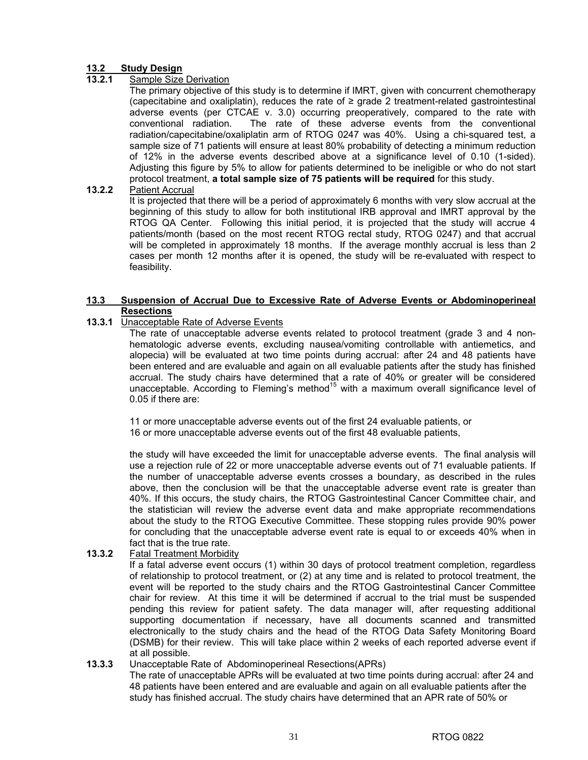## **13.2 Study Design**

### **Sample Size Derivation**

The primary objective of this study is to determine if IMRT, given with concurrent chemotherapy (capecitabine and oxaliplatin), reduces the rate of ≥ grade 2 treatment-related gastrointestinal adverse events (per CTCAE v. 3.0) occurring preoperatively, compared to the rate with conventional radiation. The rate of these adverse events from the conventional radiation/capecitabine/oxaliplatin arm of RTOG 0247 was 40%. Using a chi-squared test, a sample size of 71 patients will ensure at least 80% probability of detecting a minimum reduction of 12% in the adverse events described above at a significance level of 0.10 (1-sided). Adjusting this figure by 5% to allow for patients determined to be ineligible or who do not start protocol treatment, **a total sample size of 75 patients will be required** for this study.

### **13.2.2** Patient Accrual

It is projected that there will be a period of approximately 6 months with very slow accrual at the beginning of this study to allow for both institutional IRB approval and IMRT approval by the RTOG QA Center. Following this initial period, it is projected that the study will accrue 4 patients/month (based on the most recent RTOG rectal study, RTOG 0247) and that accrual will be completed in approximately 18 months. If the average monthly accrual is less than 2 cases per month 12 months after it is opened, the study will be re-evaluated with respect to feasibility.

### **13.3 Suspension of Accrual Due to Excessive Rate of Adverse Events or Abdominoperineal Resections**

### **13.3.1** Unacceptable Rate of Adverse Events

The rate of unacceptable adverse events related to protocol treatment (grade 3 and 4 nonhematologic adverse events, excluding nausea/vomiting controllable with antiemetics, and alopecia) will be evaluated at two time points during accrual: after 24 and 48 patients have been entered and are evaluable and again on all evaluable patients after the study has finished accrual. The study chairs have determined that a rate of 40% or greater will be considered unacceptable. According to Fleming's method<sup>15</sup> with a maximum overall significance level of 0.05 if there are:

11 or more unacceptable adverse events out of the first 24 evaluable patients, or 16 or more unacceptable adverse events out of the first 48 evaluable patients,

the study will have exceeded the limit for unacceptable adverse events. The final analysis will use a rejection rule of 22 or more unacceptable adverse events out of 71 evaluable patients. If the number of unacceptable adverse events crosses a boundary, as described in the rules above, then the conclusion will be that the unacceptable adverse event rate is greater than 40%. If this occurs, the study chairs, the RTOG Gastrointestinal Cancer Committee chair, and the statistician will review the adverse event data and make appropriate recommendations about the study to the RTOG Executive Committee. These stopping rules provide 90% power for concluding that the unacceptable adverse event rate is equal to or exceeds 40% when in fact that is the true rate.

### **13.3.2** Fatal Treatment Morbidity

If a fatal adverse event occurs (1) within 30 days of protocol treatment completion, regardless of relationship to protocol treatment, or (2) at any time and is related to protocol treatment, the event will be reported to the study chairs and the RTOG Gastrointestinal Cancer Committee chair for review. At this time it will be determined if accrual to the trial must be suspended pending this review for patient safety. The data manager will, after requesting additional supporting documentation if necessary, have all documents scanned and transmitted electronically to the study chairs and the head of the RTOG Data Safety Monitoring Board (DSMB) for their review. This will take place within 2 weeks of each reported adverse event if at all possible.

### **13.3.3** Unacceptable Rate of Abdominoperineal Resections(APRs)

The rate of unacceptable APRs will be evaluated at two time points during accrual: after 24 and 48 patients have been entered and are evaluable and again on all evaluable patients after the study has finished accrual. The study chairs have determined that an APR rate of 50% or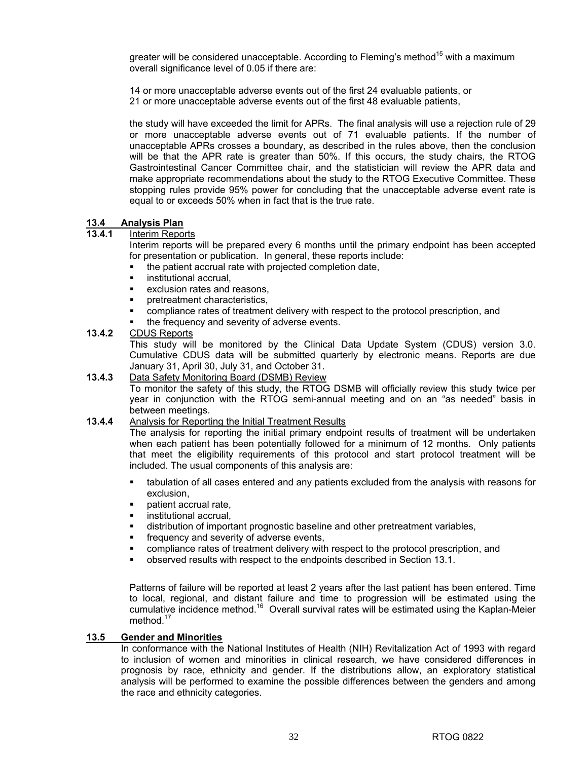greater will be considered unacceptable. According to Fleming's method<sup>15</sup> with a maximum overall significance level of 0.05 if there are:

14 or more unacceptable adverse events out of the first 24 evaluable patients, or 21 or more unacceptable adverse events out of the first 48 evaluable patients,

the study will have exceeded the limit for APRs. The final analysis will use a rejection rule of 29 or more unacceptable adverse events out of 71 evaluable patients. If the number of unacceptable APRs crosses a boundary, as described in the rules above, then the conclusion will be that the APR rate is greater than 50%. If this occurs, the study chairs, the RTOG Gastrointestinal Cancer Committee chair, and the statistician will review the APR data and make appropriate recommendations about the study to the RTOG Executive Committee. These stopping rules provide 95% power for concluding that the unacceptable adverse event rate is equal to or exceeds 50% when in fact that is the true rate.

### **13.4 Analysis Plan**

### **13.4.1** Interim Reports

Interim reports will be prepared every 6 months until the primary endpoint has been accepted for presentation or publication. In general, these reports include:

- the patient accrual rate with projected completion date,
- institutional accrual,
- exclusion rates and reasons,
- pretreatment characteristics,
- compliance rates of treatment delivery with respect to the protocol prescription, and
- the frequency and severity of adverse events.

### **13.4.2** CDUS Reports

This study will be monitored by the Clinical Data Update System (CDUS) version 3.0. Cumulative CDUS data will be submitted quarterly by electronic means. Reports are due January 31, April 30, July 31, and October 31.

### **13.4.3** Data Safety Monitoring Board (DSMB) Review

To monitor the safety of this study, the RTOG DSMB will officially review this study twice per year in conjunction with the RTOG semi-annual meeting and on an "as needed" basis in between meetings.

### **13.4.4** Analysis for Reporting the Initial Treatment Results

The analysis for reporting the initial primary endpoint results of treatment will be undertaken when each patient has been potentially followed for a minimum of 12 months. Only patients that meet the eligibility requirements of this protocol and start protocol treatment will be included. The usual components of this analysis are:

- tabulation of all cases entered and any patients excluded from the analysis with reasons for exclusion,
- patient accrual rate,
- institutional accrual,
- distribution of important prognostic baseline and other pretreatment variables,
- frequency and severity of adverse events,
- compliance rates of treatment delivery with respect to the protocol prescription, and
- observed results with respect to the endpoints described in Section 13.1.

Patterns of failure will be reported at least 2 years after the last patient has been entered. Time to local, regional, and distant failure and time to progression will be estimated using the cumulative incidence method.16 Overall survival rates will be estimated using the Kaplan-Meier method. $1$ 

### **13.5 Gender and Minorities**

In conformance with the National Institutes of Health (NIH) Revitalization Act of 1993 with regard to inclusion of women and minorities in clinical research, we have considered differences in prognosis by race, ethnicity and gender. If the distributions allow, an exploratory statistical analysis will be performed to examine the possible differences between the genders and among the race and ethnicity categories.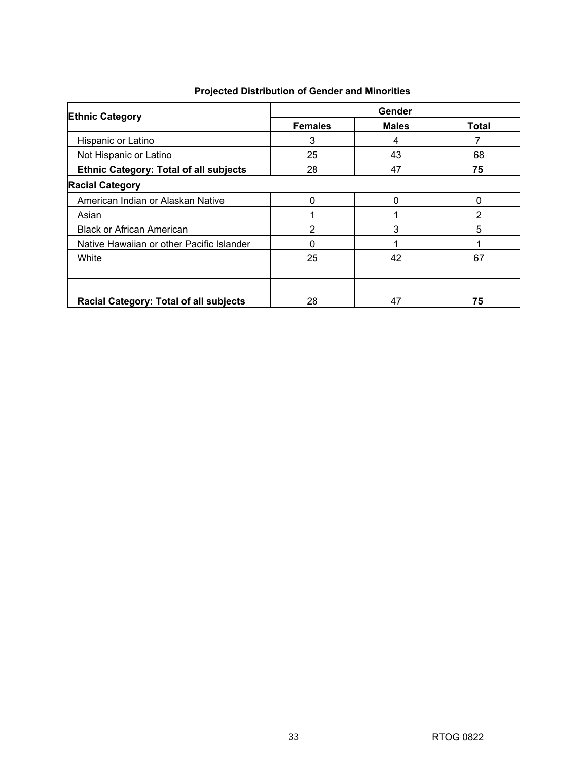| <b>Ethnic Category</b>                        | Gender         |              |                |  |  |  |  |
|-----------------------------------------------|----------------|--------------|----------------|--|--|--|--|
|                                               | <b>Females</b> | <b>Males</b> | <b>Total</b>   |  |  |  |  |
| Hispanic or Latino                            | 3              | 4            |                |  |  |  |  |
| Not Hispanic or Latino                        | 25             | 43           | 68             |  |  |  |  |
| <b>Ethnic Category: Total of all subjects</b> | 28             | 47           | 75             |  |  |  |  |
| <b>Racial Category</b>                        |                |              |                |  |  |  |  |
| American Indian or Alaskan Native             | 0              | 0            | $\mathbf{0}$   |  |  |  |  |
| Asian                                         | 1              |              | $\overline{2}$ |  |  |  |  |
| <b>Black or African American</b>              | $\overline{2}$ | 3            | 5              |  |  |  |  |
| Native Hawaiian or other Pacific Islander     | 0              |              |                |  |  |  |  |
| White                                         | 25             | 42           | 67             |  |  |  |  |
|                                               |                |              |                |  |  |  |  |
|                                               |                |              |                |  |  |  |  |
| Racial Category: Total of all subjects        | 28             | 47           | 75             |  |  |  |  |

## **Projected Distribution of Gender and Minorities**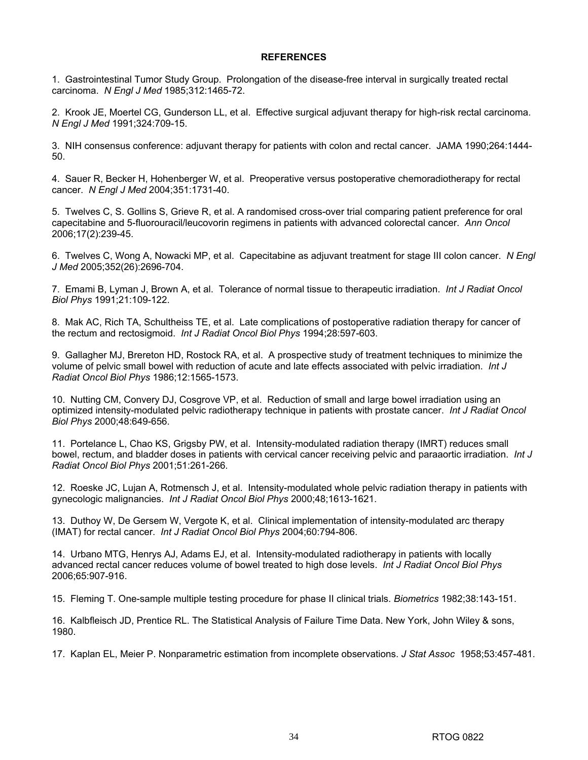### **REFERENCES**

1. Gastrointestinal Tumor Study Group. Prolongation of the disease-free interval in surgically treated rectal carcinoma. *N Engl J Med* 1985;312:1465-72.

2. Krook JE, Moertel CG, Gunderson LL, et al. Effective surgical adjuvant therapy for high-risk rectal carcinoma. *N Engl J Med* 1991;324:709-15.

3. NIH consensus conference: adjuvant therapy for patients with colon and rectal cancer. JAMA 1990;264:1444- 50.

4. Sauer R, Becker H, Hohenberger W, et al. Preoperative versus postoperative chemoradiotherapy for rectal cancer. *N Engl J Med* 2004;351:1731-40.

5. Twelves C, S. Gollins S, Grieve R, et al. A randomised cross-over trial comparing patient preference for oral capecitabine and 5-fluorouracil/leucovorin regimens in patients with advanced colorectal cancer. *Ann Oncol* 2006;17(2):239-45.

6. Twelves C, Wong A, Nowacki MP, et al. Capecitabine as adjuvant treatment for stage III colon cancer. *N Engl J Med* 2005;352(26):2696-704.

7. Emami B, Lyman J, Brown A, et al. Tolerance of normal tissue to therapeutic irradiation. *Int J Radiat Oncol Biol Phys* 1991;21:109-122.

8. Mak AC, Rich TA, Schultheiss TE, et al. Late complications of postoperative radiation therapy for cancer of the rectum and rectosigmoid. *Int J Radiat Oncol Biol Phys* 1994;28:597-603.

9. Gallagher MJ, Brereton HD, Rostock RA, et al. A prospective study of treatment techniques to minimize the volume of pelvic small bowel with reduction of acute and late effects associated with pelvic irradiation. *Int J Radiat Oncol Biol Phys* 1986;12:1565-1573.

10. Nutting CM, Convery DJ, Cosgrove VP, et al. Reduction of small and large bowel irradiation using an optimized intensity-modulated pelvic radiotherapy technique in patients with prostate cancer. *Int J Radiat Oncol Biol Phys* 2000;48:649-656.

11. Portelance L, Chao KS, Grigsby PW, et al. Intensity-modulated radiation therapy (IMRT) reduces small bowel, rectum, and bladder doses in patients with cervical cancer receiving pelvic and paraaortic irradiation. *Int J Radiat Oncol Biol Phys* 2001;51:261-266.

12. Roeske JC, Lujan A, Rotmensch J, et al. Intensity-modulated whole pelvic radiation therapy in patients with gynecologic malignancies. *Int J Radiat Oncol Biol Phys* 2000;48;1613-1621.

13. Duthoy W, De Gersem W, Vergote K, et al. Clinical implementation of intensity-modulated arc therapy (IMAT) for rectal cancer. *Int J Radiat Oncol Biol Phys* 2004;60:794-806.

14. Urbano MTG, Henrys AJ, Adams EJ, et al. Intensity-modulated radiotherapy in patients with locally advanced rectal cancer reduces volume of bowel treated to high dose levels. *Int J Radiat Oncol Biol Phys* 2006;65:907-916.

15. Fleming T. One-sample multiple testing procedure for phase II clinical trials. *Biometrics* 1982;38:143-151.

16. Kalbfleisch JD, Prentice RL. The Statistical Analysis of Failure Time Data. New York, John Wiley & sons, 1980.

17. Kaplan EL, Meier P. Nonparametric estimation from incomplete observations. *J Stat Assoc* 1958;53:457-481.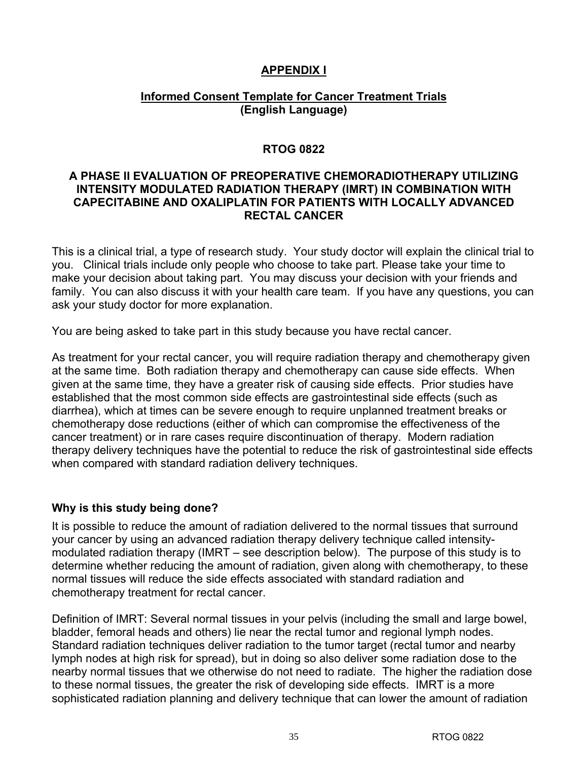## **APPENDIX I**

## **Informed Consent Template for Cancer Treatment Trials (English Language)**

## **RTOG 0822**

## **A PHASE II EVALUATION OF PREOPERATIVE CHEMORADIOTHERAPY UTILIZING INTENSITY MODULATED RADIATION THERAPY (IMRT) IN COMBINATION WITH CAPECITABINE AND OXALIPLATIN FOR PATIENTS WITH LOCALLY ADVANCED RECTAL CANCER**

This is a clinical trial, a type of research study. Your study doctor will explain the clinical trial to you. Clinical trials include only people who choose to take part. Please take your time to make your decision about taking part. You may discuss your decision with your friends and family. You can also discuss it with your health care team. If you have any questions, you can ask your study doctor for more explanation.

You are being asked to take part in this study because you have rectal cancer.

As treatment for your rectal cancer, you will require radiation therapy and chemotherapy given at the same time. Both radiation therapy and chemotherapy can cause side effects. When given at the same time, they have a greater risk of causing side effects. Prior studies have established that the most common side effects are gastrointestinal side effects (such as diarrhea), which at times can be severe enough to require unplanned treatment breaks or chemotherapy dose reductions (either of which can compromise the effectiveness of the cancer treatment) or in rare cases require discontinuation of therapy. Modern radiation therapy delivery techniques have the potential to reduce the risk of gastrointestinal side effects when compared with standard radiation delivery techniques.

## **Why is this study being done?**

It is possible to reduce the amount of radiation delivered to the normal tissues that surround your cancer by using an advanced radiation therapy delivery technique called intensitymodulated radiation therapy (IMRT – see description below). The purpose of this study is to determine whether reducing the amount of radiation, given along with chemotherapy, to these normal tissues will reduce the side effects associated with standard radiation and chemotherapy treatment for rectal cancer.

Definition of IMRT: Several normal tissues in your pelvis (including the small and large bowel, bladder, femoral heads and others) lie near the rectal tumor and regional lymph nodes. Standard radiation techniques deliver radiation to the tumor target (rectal tumor and nearby lymph nodes at high risk for spread), but in doing so also deliver some radiation dose to the nearby normal tissues that we otherwise do not need to radiate. The higher the radiation dose to these normal tissues, the greater the risk of developing side effects. IMRT is a more sophisticated radiation planning and delivery technique that can lower the amount of radiation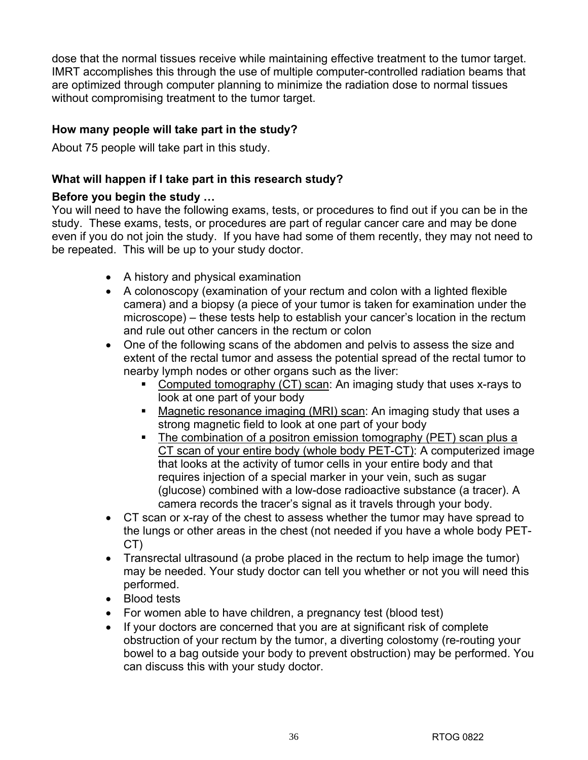dose that the normal tissues receive while maintaining effective treatment to the tumor target. IMRT accomplishes this through the use of multiple computer-controlled radiation beams that are optimized through computer planning to minimize the radiation dose to normal tissues without compromising treatment to the tumor target.

## **How many people will take part in the study?**

About 75 people will take part in this study.

## **What will happen if I take part in this research study?**

## **Before you begin the study …**

You will need to have the following exams, tests, or procedures to find out if you can be in the study. These exams, tests, or procedures are part of regular cancer care and may be done even if you do not join the study. If you have had some of them recently, they may not need to be repeated. This will be up to your study doctor.

- A history and physical examination
- A colonoscopy (examination of your rectum and colon with a lighted flexible camera) and a biopsy (a piece of your tumor is taken for examination under the microscope) – these tests help to establish your cancer's location in the rectum and rule out other cancers in the rectum or colon
- One of the following scans of the abdomen and pelvis to assess the size and extent of the rectal tumor and assess the potential spread of the rectal tumor to nearby lymph nodes or other organs such as the liver:
	- Computed tomography (CT) scan: An imaging study that uses x-rays to look at one part of your body
	- **Magnetic resonance imaging (MRI) scan:** An imaging study that uses a strong magnetic field to look at one part of your body
	- The combination of a positron emission tomography (PET) scan plus a CT scan of your entire body (whole body PET-CT): A computerized image that looks at the activity of tumor cells in your entire body and that requires injection of a special marker in your vein, such as sugar (glucose) combined with a low-dose radioactive substance (a tracer). A camera records the tracer's signal as it travels through your body.
- CT scan or x-ray of the chest to assess whether the tumor may have spread to the lungs or other areas in the chest (not needed if you have a whole body PET-CT)
- Transrectal ultrasound (a probe placed in the rectum to help image the tumor) may be needed. Your study doctor can tell you whether or not you will need this performed.
- Blood tests
- For women able to have children, a pregnancy test (blood test)
- If your doctors are concerned that you are at significant risk of complete obstruction of your rectum by the tumor, a diverting colostomy (re-routing your bowel to a bag outside your body to prevent obstruction) may be performed. You can discuss this with your study doctor.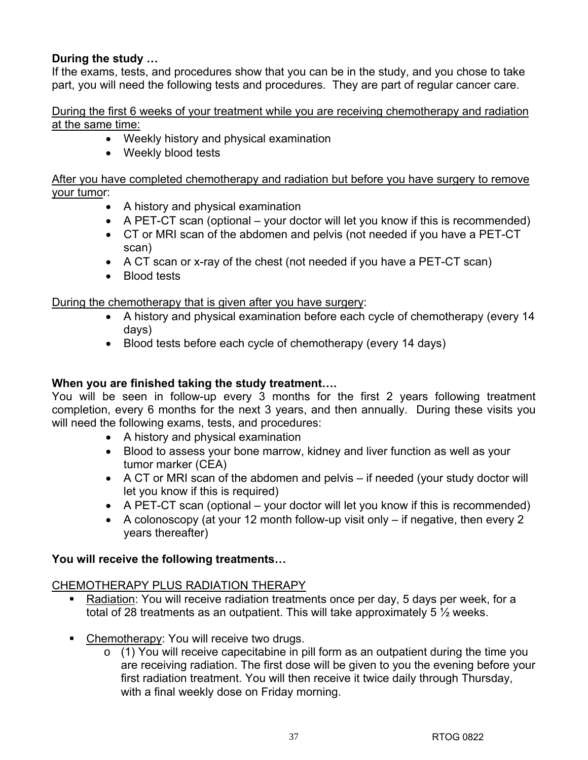## **During the study …**

If the exams, tests, and procedures show that you can be in the study, and you chose to take part, you will need the following tests and procedures. They are part of regular cancer care.

During the first 6 weeks of your treatment while you are receiving chemotherapy and radiation at the same time:

- Weekly history and physical examination
- Weekly blood tests

After you have completed chemotherapy and radiation but before you have surgery to remove your tumor:

- A history and physical examination
- A PET-CT scan (optional your doctor will let you know if this is recommended)
- CT or MRI scan of the abdomen and pelvis (not needed if you have a PET-CT scan)
- A CT scan or x-ray of the chest (not needed if you have a PET-CT scan)
- Blood tests

During the chemotherapy that is given after you have surgery:

- A history and physical examination before each cycle of chemotherapy (every 14 days)
- Blood tests before each cycle of chemotherapy (every 14 days)

## **When you are finished taking the study treatment….**

You will be seen in follow-up every 3 months for the first 2 years following treatment completion, every 6 months for the next 3 years, and then annually. During these visits you will need the following exams, tests, and procedures:

- A history and physical examination
- Blood to assess your bone marrow, kidney and liver function as well as your tumor marker (CEA)
- A CT or MRI scan of the abdomen and pelvis if needed (your study doctor will let you know if this is required)
- A PET-CT scan (optional your doctor will let you know if this is recommended)
- A colonoscopy (at your 12 month follow-up visit only if negative, then every 2 years thereafter)

## **You will receive the following treatments…**

## CHEMOTHERAPY PLUS RADIATION THERAPY

- Radiation: You will receive radiation treatments once per day, 5 days per week, for a total of 28 treatments as an outpatient. This will take approximately 5 ½ weeks.
- Chemotherapy: You will receive two drugs.
	- o (1) You will receive capecitabine in pill form as an outpatient during the time you are receiving radiation. The first dose will be given to you the evening before your first radiation treatment. You will then receive it twice daily through Thursday, with a final weekly dose on Friday morning.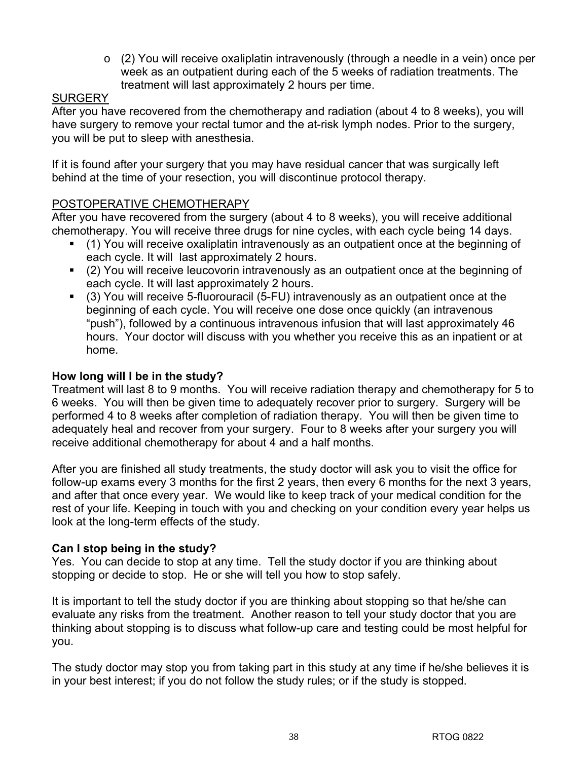$\circ$  (2) You will receive oxaliplatin intravenously (through a needle in a vein) once per week as an outpatient during each of the 5 weeks of radiation treatments. The treatment will last approximately 2 hours per time.

## **SURGERY**

After you have recovered from the chemotherapy and radiation (about 4 to 8 weeks), you will have surgery to remove your rectal tumor and the at-risk lymph nodes. Prior to the surgery, you will be put to sleep with anesthesia.

If it is found after your surgery that you may have residual cancer that was surgically left behind at the time of your resection, you will discontinue protocol therapy.

## POSTOPERATIVE CHEMOTHERAPY

After you have recovered from the surgery (about 4 to 8 weeks), you will receive additional chemotherapy. You will receive three drugs for nine cycles, with each cycle being 14 days.

- (1) You will receive oxaliplatin intravenously as an outpatient once at the beginning of each cycle. It will last approximately 2 hours.
- (2) You will receive leucovorin intravenously as an outpatient once at the beginning of each cycle. It will last approximately 2 hours.
- (3) You will receive 5-fluorouracil (5-FU) intravenously as an outpatient once at the beginning of each cycle. You will receive one dose once quickly (an intravenous "push"), followed by a continuous intravenous infusion that will last approximately 46 hours. Your doctor will discuss with you whether you receive this as an inpatient or at home.

## **How long will I be in the study?**

Treatment will last 8 to 9 months. You will receive radiation therapy and chemotherapy for 5 to 6 weeks. You will then be given time to adequately recover prior to surgery. Surgery will be performed 4 to 8 weeks after completion of radiation therapy. You will then be given time to adequately heal and recover from your surgery. Four to 8 weeks after your surgery you will receive additional chemotherapy for about 4 and a half months.

After you are finished all study treatments, the study doctor will ask you to visit the office for follow-up exams every 3 months for the first 2 years, then every 6 months for the next 3 years, and after that once every year. We would like to keep track of your medical condition for the rest of your life. Keeping in touch with you and checking on your condition every year helps us look at the long-term effects of the study.

## **Can I stop being in the study?**

Yes. You can decide to stop at any time. Tell the study doctor if you are thinking about stopping or decide to stop. He or she will tell you how to stop safely.

It is important to tell the study doctor if you are thinking about stopping so that he/she can evaluate any risks from the treatment. Another reason to tell your study doctor that you are thinking about stopping is to discuss what follow-up care and testing could be most helpful for you.

The study doctor may stop you from taking part in this study at any time if he/she believes it is in your best interest; if you do not follow the study rules; or if the study is stopped.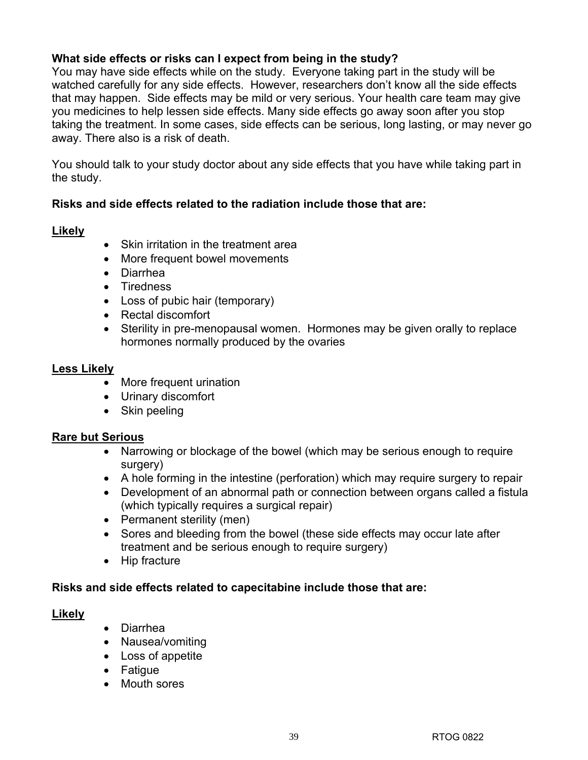## **What side effects or risks can I expect from being in the study?**

You may have side effects while on the study. Everyone taking part in the study will be watched carefully for any side effects. However, researchers don't know all the side effects that may happen. Side effects may be mild or very serious. Your health care team may give you medicines to help lessen side effects. Many side effects go away soon after you stop taking the treatment. In some cases, side effects can be serious, long lasting, or may never go away. There also is a risk of death.

You should talk to your study doctor about any side effects that you have while taking part in the study.

## **Risks and side effects related to the radiation include those that are:**

## **Likely**

- Skin irritation in the treatment area
- More frequent bowel movements
- Diarrhea
- Tiredness
- Loss of pubic hair (temporary)
- Rectal discomfort
- Sterility in pre-menopausal women. Hormones may be given orally to replace hormones normally produced by the ovaries

## **Less Likely**

- More frequent urination
- Urinary discomfort
- Skin peeling

## **Rare but Serious**

- Narrowing or blockage of the bowel (which may be serious enough to require surgery)
- A hole forming in the intestine (perforation) which may require surgery to repair
- Development of an abnormal path or connection between organs called a fistula (which typically requires a surgical repair)
- Permanent sterility (men)
- Sores and bleeding from the bowel (these side effects may occur late after treatment and be serious enough to require surgery)
- Hip fracture

## **Risks and side effects related to capecitabine include those that are:**

## **Likely**

- Diarrhea
- Nausea/vomiting
- Loss of appetite
- Fatigue
- Mouth sores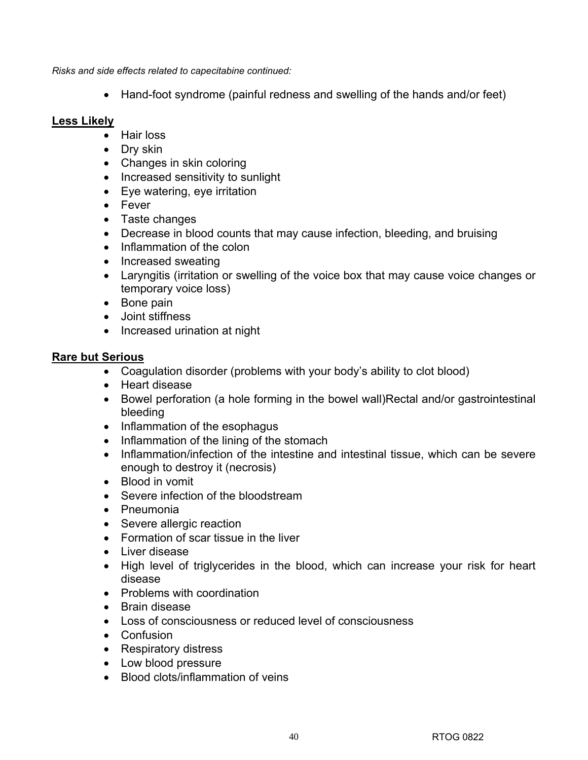*Risks and side effects related to capecitabine continued:* 

• Hand-foot syndrome (painful redness and swelling of the hands and/or feet)

## **Less Likely**

- Hair loss
- Dry skin
- Changes in skin coloring
- Increased sensitivity to sunlight
- Eye watering, eye irritation
- Fever
- Taste changes
- Decrease in blood counts that may cause infection, bleeding, and bruising
- Inflammation of the colon
- Increased sweating
- Laryngitis (irritation or swelling of the voice box that may cause voice changes or temporary voice loss)
- Bone pain
- Joint stiffness
- Increased urination at night

## **Rare but Serious**

- Coagulation disorder (problems with your body's ability to clot blood)
- Heart disease
- Bowel perforation (a hole forming in the bowel wall)Rectal and/or gastrointestinal bleeding
- Inflammation of the esophagus
- Inflammation of the lining of the stomach
- Inflammation/infection of the intestine and intestinal tissue, which can be severe enough to destroy it (necrosis)
- Blood in vomit
- Severe infection of the bloodstream
- Pneumonia
- Severe allergic reaction
- Formation of scar tissue in the liver
- Liver disease
- High level of triglycerides in the blood, which can increase your risk for heart disease
- Problems with coordination
- Brain disease
- Loss of consciousness or reduced level of consciousness
- Confusion
- Respiratory distress
- Low blood pressure
- Blood clots/inflammation of veins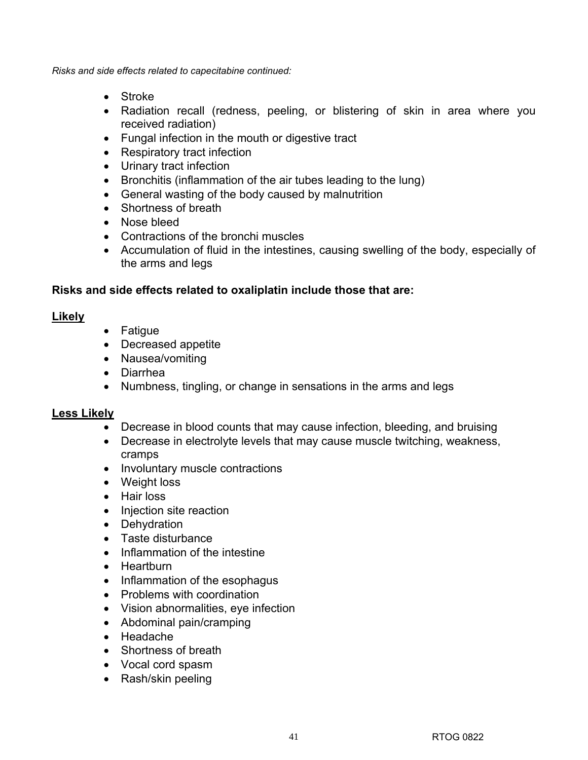*Risks and side effects related to capecitabine continued:* 

- Stroke
- Radiation recall (redness, peeling, or blistering of skin in area where you received radiation)
- Fungal infection in the mouth or digestive tract
- Respiratory tract infection
- Urinary tract infection
- Bronchitis (inflammation of the air tubes leading to the lung)
- General wasting of the body caused by malnutrition
- Shortness of breath
- Nose bleed
- Contractions of the bronchi muscles
- Accumulation of fluid in the intestines, causing swelling of the body, especially of the arms and legs

## **Risks and side effects related to oxaliplatin include those that are:**

## **Likely**

- Fatigue
- Decreased appetite
- Nausea/vomiting
- Diarrhea
- Numbness, tingling, or change in sensations in the arms and legs

## **Less Likely**

- Decrease in blood counts that may cause infection, bleeding, and bruising
- Decrease in electrolyte levels that may cause muscle twitching, weakness, cramps
- Involuntary muscle contractions
- Weight loss
- Hair loss
- Injection site reaction
- Dehydration
- Taste disturbance
- Inflammation of the intestine
- Heartburn
- Inflammation of the esophagus
- Problems with coordination
- Vision abnormalities, eye infection
- Abdominal pain/cramping
- Headache
- Shortness of breath
- Vocal cord spasm
- Rash/skin peeling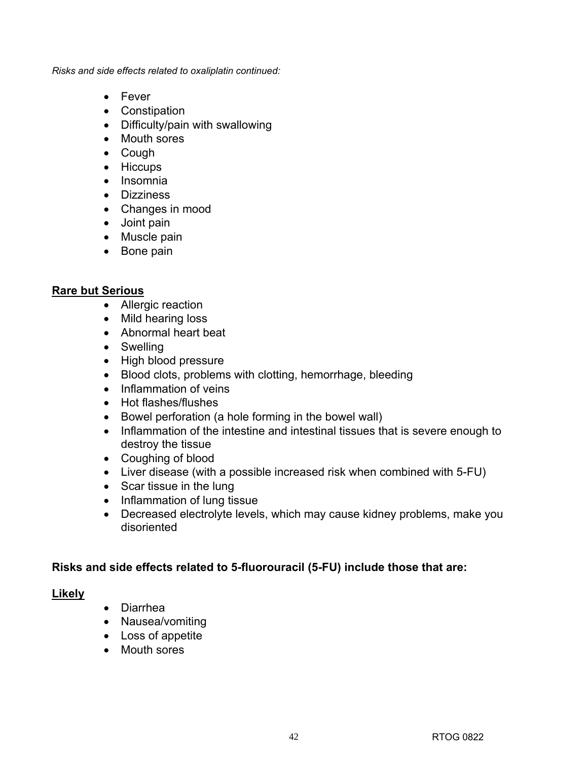*Risks and side effects related to oxaliplatin continued:* 

- Fever
- Constipation
- Difficulty/pain with swallowing
- Mouth sores
- Cough
- Hiccups
- Insomnia
- Dizziness
- Changes in mood
- Joint pain
- Muscle pain
- Bone pain

## **Rare but Serious**

- Allergic reaction
- Mild hearing loss
- Abnormal heart beat
- Swelling
- High blood pressure
- Blood clots, problems with clotting, hemorrhage, bleeding
- Inflammation of veins
- Hot flashes/flushes
- Bowel perforation (a hole forming in the bowel wall)
- Inflammation of the intestine and intestinal tissues that is severe enough to destroy the tissue
- Coughing of blood
- Liver disease (with a possible increased risk when combined with 5-FU)
- Scar tissue in the lung
- Inflammation of lung tissue
- Decreased electrolyte levels, which may cause kidney problems, make you disoriented

## **Risks and side effects related to 5-fluorouracil (5-FU) include those that are:**

## **Likely**

- Diarrhea
- Nausea/vomiting
- Loss of appetite
- Mouth sores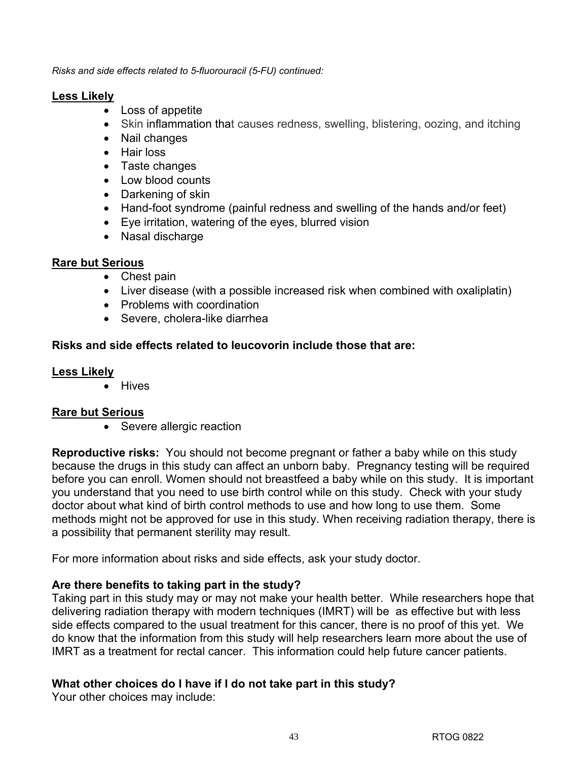*Risks and side effects related to 5-fluorouracil (5-FU) continued:* 

### **Less Likely**

- Loss of appetite
- Skin inflammation that causes redness, swelling, blistering, oozing, and itching
- Nail changes
- Hair loss
- Taste changes
- Low blood counts
- Darkening of skin
- Hand-foot syndrome (painful redness and swelling of the hands and/or feet)
- Eye irritation, watering of the eyes, blurred vision
- Nasal discharge

## **Rare but Serious**

- Chest pain
- Liver disease (with a possible increased risk when combined with oxaliplatin)
- Problems with coordination
- Severe, cholera-like diarrhea

## **Risks and side effects related to leucovorin include those that are:**

## **Less Likely**

• Hives

## **Rare but Serious**

• Severe allergic reaction

**Reproductive risks:** You should not become pregnant or father a baby while on this study because the drugs in this study can affect an unborn baby. Pregnancy testing will be required before you can enroll. Women should not breastfeed a baby while on this study. It is important you understand that you need to use birth control while on this study. Check with your study doctor about what kind of birth control methods to use and how long to use them. Some methods might not be approved for use in this study. When receiving radiation therapy, there is a possibility that permanent sterility may result.

For more information about risks and side effects, ask your study doctor.

## **Are there benefits to taking part in the study?**

Taking part in this study may or may not make your health better. While researchers hope that delivering radiation therapy with modern techniques (IMRT) will be as effective but with less side effects compared to the usual treatment for this cancer, there is no proof of this yet. We do know that the information from this study will help researchers learn more about the use of IMRT as a treatment for rectal cancer. This information could help future cancer patients.

## **What other choices do I have if I do not take part in this study?**

Your other choices may include: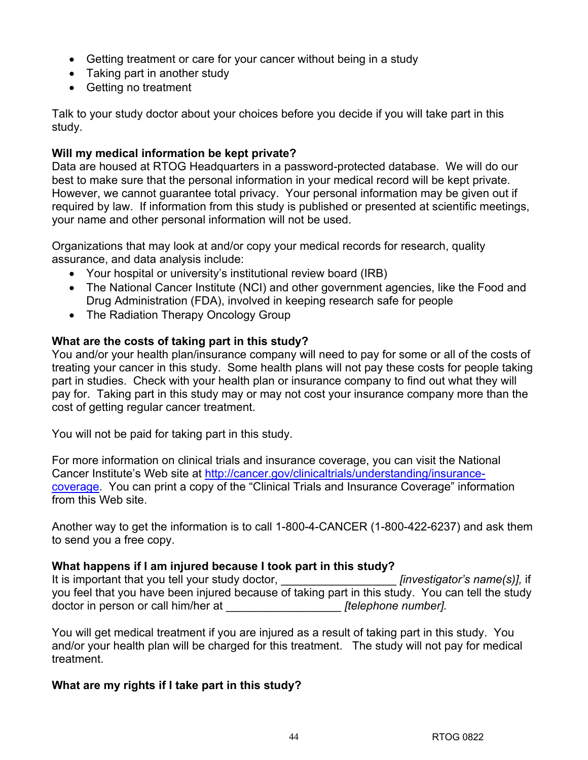- Getting treatment or care for your cancer without being in a study
- Taking part in another study
- Getting no treatment

Talk to your study doctor about your choices before you decide if you will take part in this study.

## **Will my medical information be kept private?**

Data are housed at RTOG Headquarters in a password-protected database. We will do our best to make sure that the personal information in your medical record will be kept private. However, we cannot guarantee total privacy. Your personal information may be given out if required by law. If information from this study is published or presented at scientific meetings, your name and other personal information will not be used.

Organizations that may look at and/or copy your medical records for research, quality assurance, and data analysis include:

- Your hospital or university's institutional review board (IRB)
- The National Cancer Institute (NCI) and other government agencies, like the Food and Drug Administration (FDA), involved in keeping research safe for people
- The Radiation Therapy Oncology Group

## **What are the costs of taking part in this study?**

You and/or your health plan/insurance company will need to pay for some or all of the costs of treating your cancer in this study. Some health plans will not pay these costs for people taking part in studies. Check with your health plan or insurance company to find out what they will pay for. Taking part in this study may or may not cost your insurance company more than the cost of getting regular cancer treatment.

You will not be paid for taking part in this study.

For more information on clinical trials and insurance coverage, you can visit the National Cancer Institute's Web site at http://cancer.gov/clinicaltrials/understanding/insurancecoverage. You can print a copy of the "Clinical Trials and Insurance Coverage" information from this Web site.

Another way to get the information is to call 1-800-4-CANCER (1-800-422-6237) and ask them to send you a free copy.

## **What happens if I am injured because I took part in this study?**

| It is important that you tell your study doctor, | <i>linvestigator's name(s)]</i> , if                                                             |
|--------------------------------------------------|--------------------------------------------------------------------------------------------------|
|                                                  | you feel that you have been injured because of taking part in this study. You can tell the study |
| doctor in person or call him/her at              | <i><u><b>[telephone number].</b></u></i>                                                         |

You will get medical treatment if you are injured as a result of taking part in this study. You and/or your health plan will be charged for this treatment. The study will not pay for medical treatment.

## **What are my rights if I take part in this study?**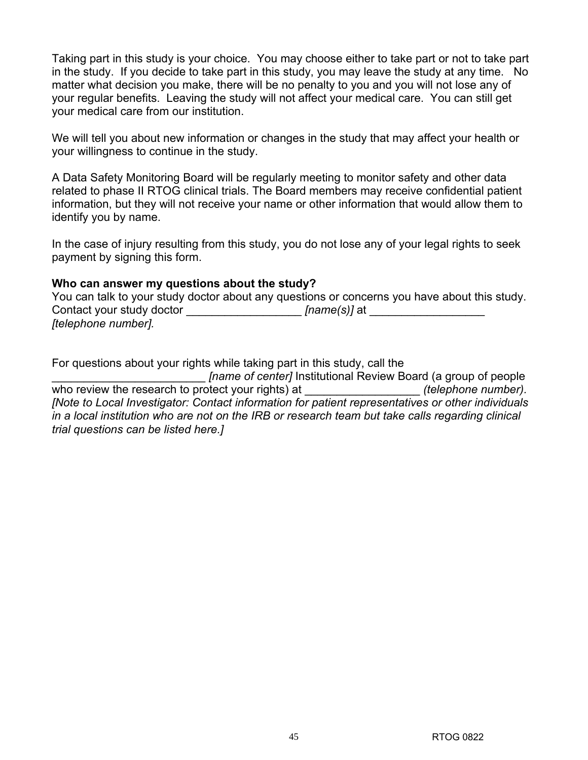Taking part in this study is your choice. You may choose either to take part or not to take part in the study. If you decide to take part in this study, you may leave the study at any time. No matter what decision you make, there will be no penalty to you and you will not lose any of your regular benefits. Leaving the study will not affect your medical care. You can still get your medical care from our institution.

We will tell you about new information or changes in the study that may affect your health or your willingness to continue in the study.

A Data Safety Monitoring Board will be regularly meeting to monitor safety and other data related to phase II RTOG clinical trials. The Board members may receive confidential patient information, but they will not receive your name or other information that would allow them to identify you by name.

In the case of injury resulting from this study, you do not lose any of your legal rights to seek payment by signing this form.

### **Who can answer my questions about the study?**

You can talk to your study doctor about any questions or concerns you have about this study. Contact your study doctor **Example 2** *[name(s)]* at  $\blacksquare$ *[telephone number].*

For questions about your rights while taking part in this study, call the

\_\_\_\_\_\_\_\_\_\_\_\_\_\_\_\_\_\_\_\_\_\_\_\_ *[name of center]* Institutional Review Board (a group of people who review the research to protect your rights) at  $(telephone number)$ . *[Note to Local Investigator: Contact information for patient representatives or other individuals in a local institution who are not on the IRB or research team but take calls regarding clinical trial questions can be listed here.]*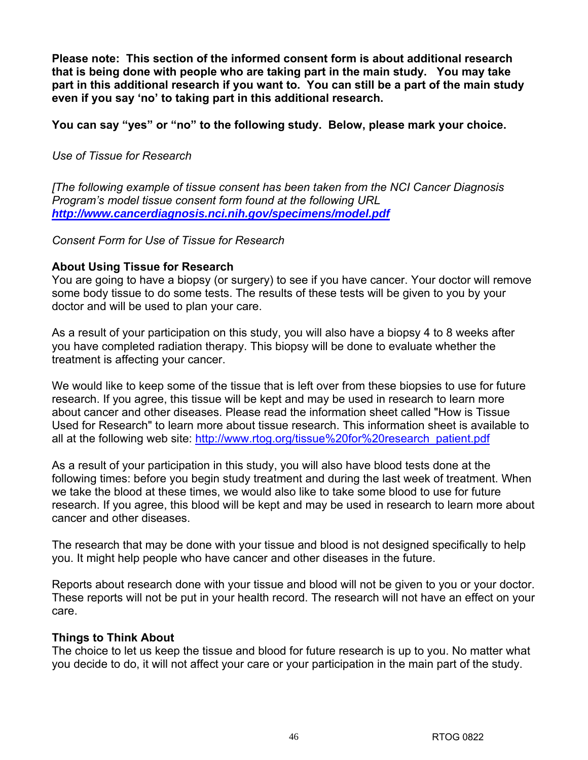**Please note: This section of the informed consent form is about additional research that is being done with people who are taking part in the main study. You may take part in this additional research if you want to. You can still be a part of the main study even if you say 'no' to taking part in this additional research.** 

## **You can say "yes" or "no" to the following study. Below, please mark your choice.**

## *Use of Tissue for Research*

*[The following example of tissue consent has been taken from the NCI Cancer Diagnosis Program's model tissue consent form found at the following URL http://www.cancerdiagnosis.nci.nih.gov/specimens/model.pdf* 

*Consent Form for Use of Tissue for Research* 

## **About Using Tissue for Research**

You are going to have a biopsy (or surgery) to see if you have cancer. Your doctor will remove some body tissue to do some tests. The results of these tests will be given to you by your doctor and will be used to plan your care.

As a result of your participation on this study, you will also have a biopsy 4 to 8 weeks after you have completed radiation therapy. This biopsy will be done to evaluate whether the treatment is affecting your cancer.

We would like to keep some of the tissue that is left over from these biopsies to use for future research. If you agree, this tissue will be kept and may be used in research to learn more about cancer and other diseases. Please read the information sheet called "How is Tissue Used for Research" to learn more about tissue research. This information sheet is available to all at the following web site: http://www.rtog.org/tissue%20for%20research\_patient.pdf

As a result of your participation in this study, you will also have blood tests done at the following times: before you begin study treatment and during the last week of treatment. When we take the blood at these times, we would also like to take some blood to use for future research. If you agree, this blood will be kept and may be used in research to learn more about cancer and other diseases.

The research that may be done with your tissue and blood is not designed specifically to help you. It might help people who have cancer and other diseases in the future.

Reports about research done with your tissue and blood will not be given to you or your doctor. These reports will not be put in your health record. The research will not have an effect on your care.

## **Things to Think About**

The choice to let us keep the tissue and blood for future research is up to you. No matter what you decide to do, it will not affect your care or your participation in the main part of the study.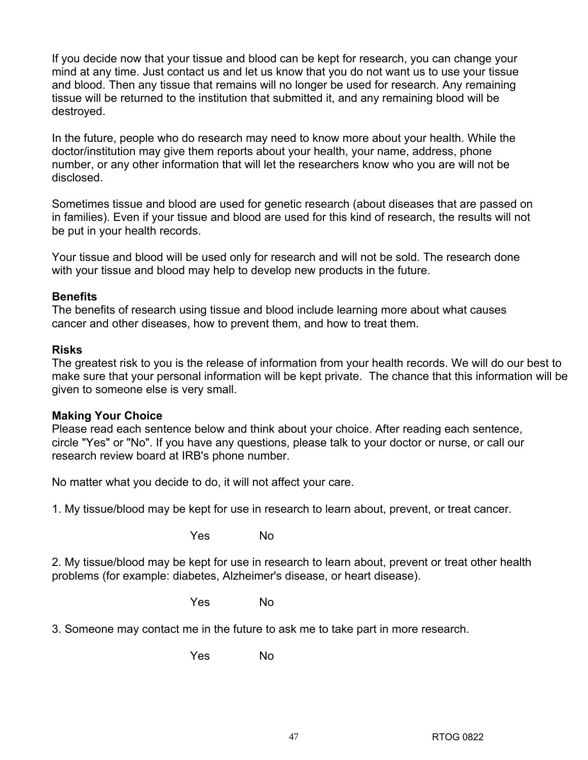If you decide now that your tissue and blood can be kept for research, you can change your mind at any time. Just contact us and let us know that you do not want us to use your tissue and blood. Then any tissue that remains will no longer be used for research. Any remaining tissue will be returned to the institution that submitted it, and any remaining blood will be destroyed.

In the future, people who do research may need to know more about your health. While the doctor/institution may give them reports about your health, your name, address, phone number, or any other information that will let the researchers know who you are will not be disclosed.

Sometimes tissue and blood are used for genetic research (about diseases that are passed on in families). Even if your tissue and blood are used for this kind of research, the results will not be put in your health records.

Your tissue and blood will be used only for research and will not be sold. The research done with your tissue and blood may help to develop new products in the future.

## **Benefits**

The benefits of research using tissue and blood include learning more about what causes cancer and other diseases, how to prevent them, and how to treat them.

### **Risks**

The greatest risk to you is the release of information from your health records. We will do our best to make sure that your personal information will be kept private. The chance that this information will be given to someone else is very small.

### **Making Your Choice**

Please read each sentence below and think about your choice. After reading each sentence, circle "Yes" or "No". If you have any questions, please talk to your doctor or nurse, or call our research review board at IRB's phone number.

No matter what you decide to do, it will not affect your care.

1. My tissue/blood may be kept for use in research to learn about, prevent, or treat cancer.

where the North Street of North Street and North Street and North Street and North Street and North Street and

2. My tissue/blood may be kept for use in research to learn about, prevent or treat other health problems (for example: diabetes, Alzheimer's disease, or heart disease).

where the North Street of North Street and North Street and North Street and North Street and North Street and

3. Someone may contact me in the future to ask me to take part in more research.

where the North Street of North Street and North Street and North Street and North Street and North Street and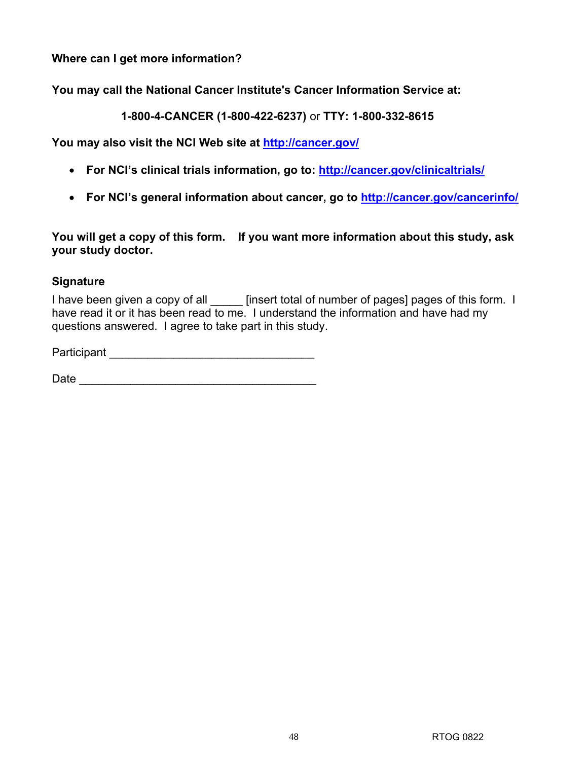**Where can I get more information?** 

**You may call the National Cancer Institute's Cancer Information Service at:** 

**1-800-4-CANCER (1-800-422-6237)** or **TTY: 1-800-332-8615**

**You may also visit the NCI Web site at http://cancer.gov/** 

- **For NCI's clinical trials information, go to: http://cancer.gov/clinicaltrials/**
- **For NCI's general information about cancer, go to http://cancer.gov/cancerinfo/**

**You will get a copy of this form. If you want more information about this study, ask your study doctor.**

## **Signature**

I have been given a copy of all \_\_\_\_\_ [insert total of number of pages] pages of this form. I have read it or it has been read to me. I understand the information and have had my questions answered. I agree to take part in this study.

Participant \_\_\_\_\_\_\_\_\_\_\_\_\_\_\_\_\_\_\_\_\_\_\_\_\_\_\_\_\_\_\_\_

 $Date$   $\Box$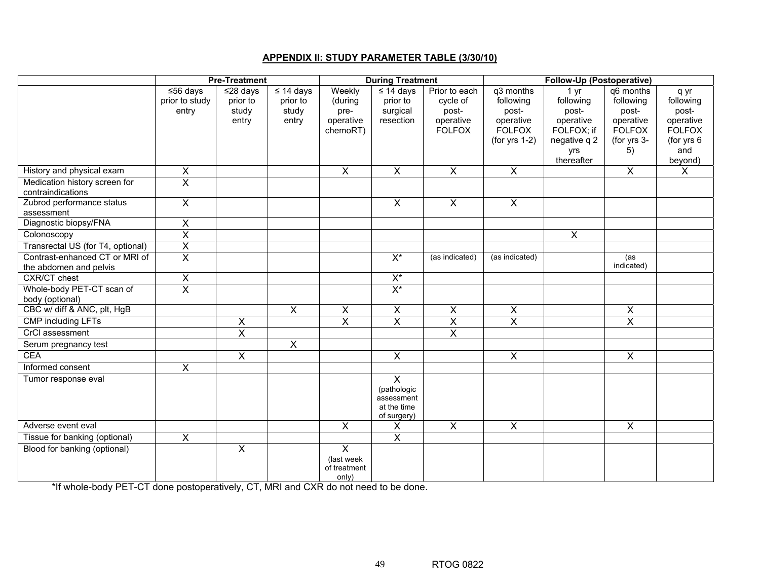### **APPENDIX II: STUDY PARAMETER TABLE (3/30/10)**

|                                         | <b>Pre-Treatment</b>    |                |                         | <b>During Treatment</b> |                           |                         | <b>Follow-Up (Postoperative)</b>  |                            |                              |                             |
|-----------------------------------------|-------------------------|----------------|-------------------------|-------------------------|---------------------------|-------------------------|-----------------------------------|----------------------------|------------------------------|-----------------------------|
|                                         | $56 \text{ days}$       | $≤28$ days     | $\leq 14$ days          | Weekly                  | $\leq 14$ days            | Prior to each           | q3 months                         | 1 yr                       | q6 months                    | q yr                        |
|                                         | prior to study          | prior to       | prior to                | (during                 | prior to                  | cycle of                | following                         | following                  | following                    | following                   |
|                                         | entry                   | study          | study                   | pre-                    | surgical                  | post-                   | post-                             | post-                      | post-                        | post-                       |
|                                         |                         | entry          | entry                   | operative               | resection                 | operative               | operative                         | operative                  | operative                    | operative                   |
|                                         |                         |                |                         | chemoRT)                |                           | <b>FOLFOX</b>           | <b>FOLFOX</b><br>(for yrs $1-2$ ) | FOLFOX; if<br>negative q 2 | <b>FOLFOX</b><br>(for yrs 3- | <b>FOLFOX</b><br>(for yrs 6 |
|                                         |                         |                |                         |                         |                           |                         |                                   | yrs                        | 5)                           | and                         |
|                                         |                         |                |                         |                         |                           |                         |                                   | thereafter                 |                              | beyond)                     |
| History and physical exam               | $\overline{X}$          |                |                         | $\overline{X}$          | $\overline{X}$            | $\overline{X}$          | $\overline{X}$                    |                            | $\overline{X}$               | $\overline{\mathsf{x}}$     |
| Medication history screen for           | $\overline{\mathsf{x}}$ |                |                         |                         |                           |                         |                                   |                            |                              |                             |
| contraindications                       |                         |                |                         |                         |                           |                         |                                   |                            |                              |                             |
| Zubrod performance status<br>assessment | $\overline{\mathsf{x}}$ |                |                         |                         | $\overline{\mathsf{x}}$   | $\overline{X}$          | $\overline{X}$                    |                            |                              |                             |
| Diagnostic biopsy/FNA                   | $\overline{X}$          |                |                         |                         |                           |                         |                                   |                            |                              |                             |
| Colonoscopy                             | $\overline{\mathsf{x}}$ |                |                         |                         |                           |                         |                                   | $\overline{\mathsf{x}}$    |                              |                             |
| Transrectal US (for T4, optional)       | $\overline{\mathsf{x}}$ |                |                         |                         |                           |                         |                                   |                            |                              |                             |
| Contrast-enhanced CT or MRI of          | $\overline{\mathsf{x}}$ |                |                         |                         | $X^*$                     | (as indicated)          | (as indicated)                    |                            | (as                          |                             |
| the abdomen and pelvis                  |                         |                |                         |                         |                           |                         |                                   |                            | indicated)                   |                             |
| <b>CXR/CT</b> chest                     | $\pmb{\times}$          |                |                         |                         | $\mathsf{X}^\star$        |                         |                                   |                            |                              |                             |
| Whole-body PET-CT scan of               | $\overline{\mathsf{x}}$ |                |                         |                         | $X^*$                     |                         |                                   |                            |                              |                             |
| body (optional)                         |                         |                |                         |                         |                           |                         |                                   |                            |                              |                             |
| CBC w/ diff & ANC, plt, HgB             |                         |                | $\mathsf{X}$            | X                       | X                         | X                       | X                                 |                            | X                            |                             |
| <b>CMP</b> including LFTs               |                         | X              |                         | $\overline{X}$          | $\overline{\mathsf{x}}$   | $\overline{X}$          | $\overline{\mathsf{x}}$           |                            | $\overline{X}$               |                             |
| CrCl assessment                         |                         | $\overline{X}$ |                         |                         |                           | $\overline{\mathsf{x}}$ |                                   |                            |                              |                             |
| Serum pregnancy test                    |                         |                | $\overline{\mathsf{x}}$ |                         |                           |                         |                                   |                            |                              |                             |
| <b>CEA</b>                              |                         | $\overline{X}$ |                         |                         | $\overline{\mathsf{x}}$   |                         | $\overline{X}$                    |                            | $\overline{X}$               |                             |
| Informed consent                        | $\overline{\mathsf{x}}$ |                |                         |                         |                           |                         |                                   |                            |                              |                             |
| Tumor response eval                     |                         |                |                         |                         | $\overline{X}$            |                         |                                   |                            |                              |                             |
|                                         |                         |                |                         |                         | (pathologic<br>assessment |                         |                                   |                            |                              |                             |
|                                         |                         |                |                         |                         | at the time               |                         |                                   |                            |                              |                             |
|                                         |                         |                |                         |                         | of surgery)               |                         |                                   |                            |                              |                             |
| Adverse event eval                      |                         |                |                         | $\overline{X}$          | $\overline{\mathsf{x}}$   | $\overline{X}$          | $\overline{X}$                    |                            | $\overline{\mathsf{x}}$      |                             |
| Tissue for banking (optional)           | $\overline{X}$          |                |                         |                         | $\overline{\mathsf{x}}$   |                         |                                   |                            |                              |                             |
| Blood for banking (optional)            |                         | $\overline{X}$ |                         | $\overline{X}$          |                           |                         |                                   |                            |                              |                             |
|                                         |                         |                |                         | (last week              |                           |                         |                                   |                            |                              |                             |
|                                         |                         |                |                         | of treatment<br>only)   |                           |                         |                                   |                            |                              |                             |

\*If whole-body PET-CT done postoperatively, CT, MRI and CXR do not need to be done.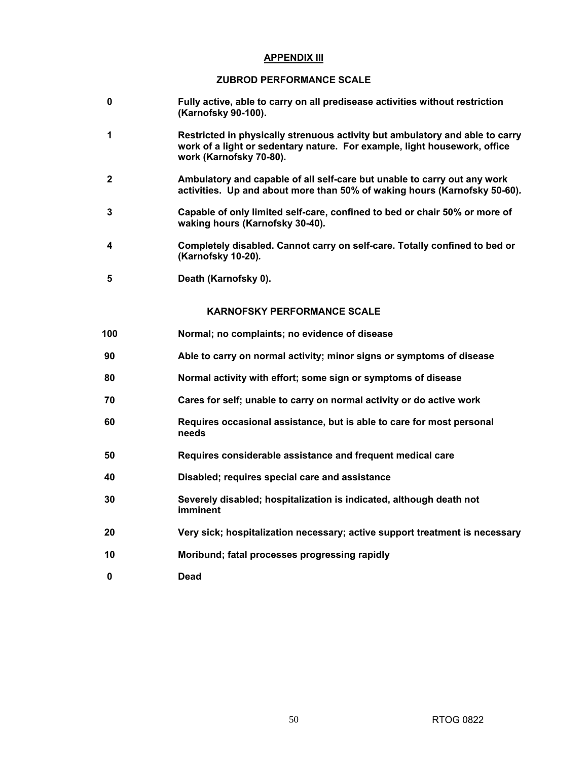### **APPENDIX III**

### **ZUBROD PERFORMANCE SCALE**

- **0 Fully active, able to carry on all predisease activities without restriction (Karnofsky 90-100).**
- **1 Restricted in physically strenuous activity but ambulatory and able to carry work of a light or sedentary nature. For example, light housework, office work (Karnofsky 70-80).**
- **2 Ambulatory and capable of all self-care but unable to carry out any work activities. Up and about more than 50% of waking hours (Karnofsky 50-60)***.*
- **3 Capable of only limited self-care, confined to bed or chair 50% or more of waking hours (Karnofsky 30-40)***.*
- **4 Completely disabled. Cannot carry on self-care. Totally confined to bed or (Karnofsky 10-20)***.*
- **5 Death (Karnofsky 0).**

### **KARNOFSKY PERFORMANCE SCALE**

- **100 Normal; no complaints; no evidence of disease**
- **90 Able to carry on normal activity; minor signs or symptoms of disease**
- **80 Normal activity with effort; some sign or symptoms of disease**
- **70 Cares for self; unable to carry on normal activity or do active work**
- **60 Requires occasional assistance, but is able to care for most personal needs**
- **50 Requires considerable assistance and frequent medical care**
- **40 Disabled; requires special care and assistance**
- **30 Severely disabled; hospitalization is indicated, although death not imminent**
- **20 Very sick; hospitalization necessary; active support treatment is necessary**
- **10 Moribund; fatal processes progressing rapidly**
- **0 Dead**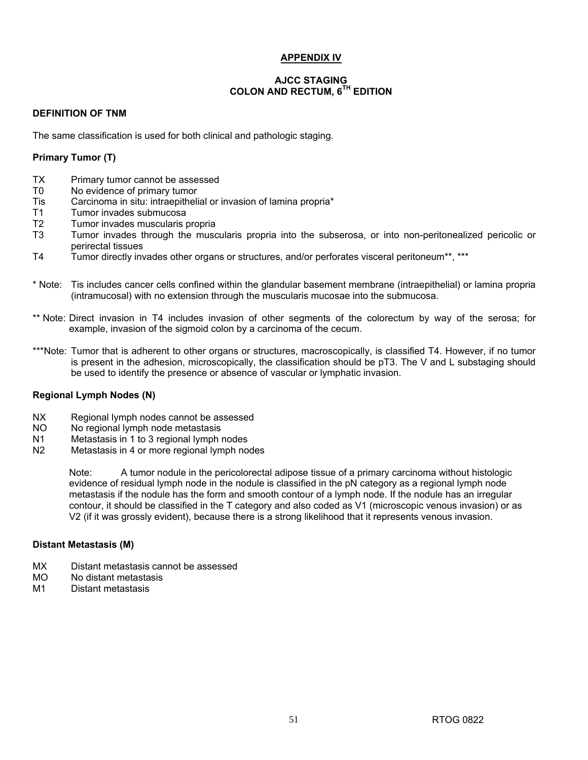### **APPENDIX IV**

### **AJCC STAGING COLON AND RECTUM, 6TH EDITION**

### **DEFINITION OF TNM**

The same classification is used for both clinical and pathologic staging.

### **Primary Tumor (T)**

- TX Primary tumor cannot be assessed
- T0 No evidence of primary tumor
- Tis Carcinoma in situ: intraepithelial or invasion of lamina propria\*
- T1 Tumor invades submucosa
- T2 Tumor invades muscularis propria
- T3 Tumor invades through the muscularis propria into the subserosa, or into non-peritonealized pericolic or perirectal tissues
- T4 Tumor directly invades other organs or structures, and/or perforates visceral peritoneum\*\*, \*\*\*
- \* Note: Tis includes cancer cells confined within the glandular basement membrane (intraepithelial) or lamina propria (intramucosal) with no extension through the muscularis mucosae into the submucosa.
- \*\* Note: Direct invasion in T4 includes invasion of other segments of the colorectum by way of the serosa; for example, invasion of the sigmoid colon by a carcinoma of the cecum.
- \*\*\*Note: Tumor that is adherent to other organs or structures, macroscopically, is classified T4. However, if no tumor is present in the adhesion, microscopically, the classification should be pT3. The V and L substaging should be used to identify the presence or absence of vascular or lymphatic invasion.

### **Regional Lymph Nodes (N)**

- NX Regional lymph nodes cannot be assessed
- NO No regional lymph node metastasis
- N1 Metastasis in 1 to 3 regional lymph nodes<br>N2 Metastasis in 4 or more regional lymph no
- Metastasis in 4 or more regional lymph nodes

Note: A tumor nodule in the pericolorectal adipose tissue of a primary carcinoma without histologic evidence of residual lymph node in the nodule is classified in the pN category as a regional lymph node metastasis if the nodule has the form and smooth contour of a lymph node. If the nodule has an irregular contour, it should be classified in the T category and also coded as V1 (microscopic venous invasion) or as V2 (if it was grossly evident), because there is a strong likelihood that it represents venous invasion.

### **Distant Metastasis (M)**

- MX Distant metastasis cannot be assessed<br>MO No distant metastasis
- MO No distant metastasis
- M1 Distant metastasis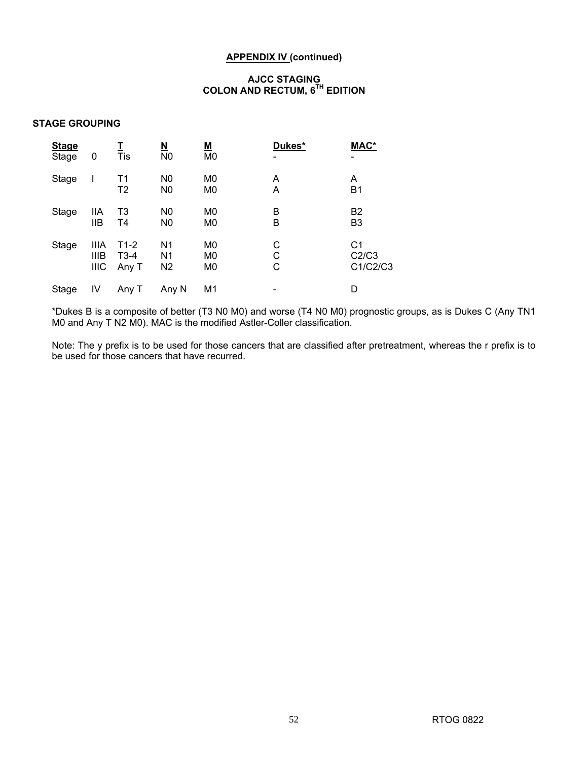### **APPENDIX IV (continued)**

### **AJCC STAGING COLON AND RECTUM, 6TH EDITION**

### **STAGE GROUPING**

| <b>Stage</b><br>Stage | 0                                         | Tis                              | <u>N</u><br>N <sub>0</sub>                         | <u>М</u><br>M <sub>0</sub>                         | Dukes*      | MAC*<br>$\overline{\phantom{0}}$    |
|-----------------------|-------------------------------------------|----------------------------------|----------------------------------------------------|----------------------------------------------------|-------------|-------------------------------------|
| Stage                 |                                           | T <sub>1</sub><br>T <sub>2</sub> | N <sub>0</sub><br>N <sub>0</sub>                   | M <sub>0</sub><br>M <sub>0</sub>                   | A<br>A      | A<br>B <sub>1</sub>                 |
| Stage                 | IIA<br><b>IIB</b>                         | T <sub>3</sub><br>T4             | N <sub>0</sub><br>N <sub>0</sub>                   | M <sub>0</sub><br>M <sub>0</sub>                   | B<br>B      | B <sub>2</sub><br>B <sub>3</sub>    |
| Stage                 | <b>IIIA</b><br><b>IIIB</b><br><b>IIIC</b> | $T1-2$<br>$T3-4$<br>Any T        | N <sub>1</sub><br>N <sub>1</sub><br>N <sub>2</sub> | M <sub>0</sub><br>M <sub>0</sub><br>M <sub>0</sub> | С<br>С<br>С | C <sub>1</sub><br>C2/C3<br>C1/C2/C3 |
| Stage                 | IV                                        | Any T                            | Any N                                              | M1                                                 |             | D                                   |

\*Dukes B is a composite of better (T3 N0 M0) and worse (T4 N0 M0) prognostic groups, as is Dukes C (Any TN1 M0 and Any T N2 M0). MAC is the modified Astler-Coller classification.

Note: The y prefix is to be used for those cancers that are classified after pretreatment, whereas the r prefix is to be used for those cancers that have recurred.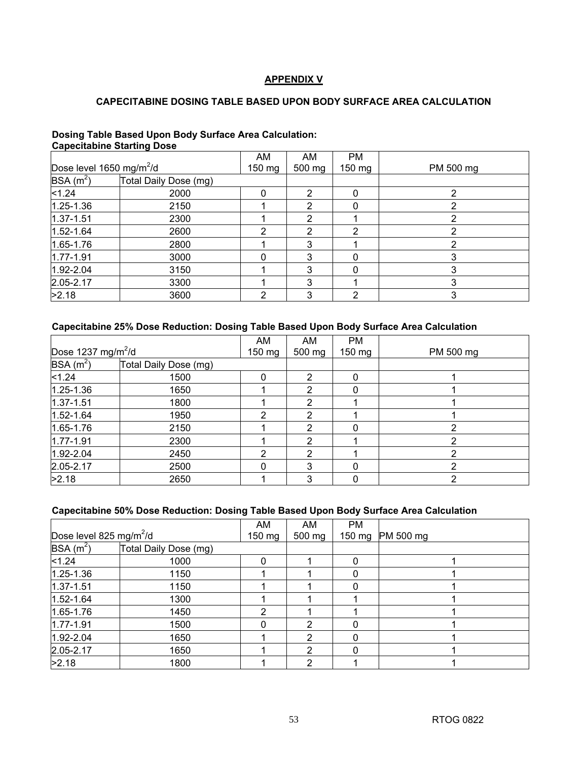### **APPENDIX V**

### **CAPECITABINE DOSING TABLE BASED UPON BODY SURFACE AREA CALCULATION**

### **Dosing Table Based Upon Body Surface Area Calculation: Capecitabine Starting Dose**

|                                      |                       | AM       | AM     | <b>PM</b> |           |
|--------------------------------------|-----------------------|----------|--------|-----------|-----------|
| Dose level 1650 mg/m <sup>2</sup> /d |                       | $150$ mg | 500 mg | $150$ mg  | PM 500 mg |
| $BSA(m^2)$                           | Total Daily Dose (mg) |          |        |           |           |
| < 1.24                               | 2000                  |          | 2      |           |           |
| $1.25 - 1.36$                        | 2150                  |          | 2      | 0         |           |
| $1.37 - 1.51$                        | 2300                  |          | າ      |           |           |
| $1.52 - 1.64$                        | 2600                  | າ        | 2      | 2         | າ         |
| $1.65 - 1.76$                        | 2800                  |          | 3      |           |           |
| $1.77 - 1.91$                        | 3000                  |          | 3      | 0         |           |
| $1.92 - 2.04$                        | 3150                  |          | 3      | 0         |           |
| $2.05 - 2.17$                        | 3300                  |          | 3      |           |           |
| >2.18                                | 3600                  |          | 3      | າ         |           |

### **Capecitabine 25% Dose Reduction: Dosing Table Based Upon Body Surface Area Calculation**

|                                |                       | AM       | AM             | <b>PM</b>        |           |
|--------------------------------|-----------------------|----------|----------------|------------------|-----------|
| Dose 1237 mg/m <sup>2</sup> /d |                       | $150$ mg | 500 mg         | $150 \text{ mg}$ | PM 500 mg |
| $BSA(m^2)$                     | Total Daily Dose (mg) |          |                |                  |           |
| < 1.24                         | 1500                  |          | 2              | 0                |           |
| $1.25 - 1.36$                  | 1650                  |          | 2              | 0                |           |
| $1.37 - 1.51$                  | 1800                  |          | 2              |                  |           |
| $1.52 - 1.64$                  | 1950                  | າ        | 2              |                  |           |
| $1.65 - 1.76$                  | 2150                  |          | 2              | O                |           |
| $1.77 - 1.91$                  | 2300                  |          | $\overline{2}$ |                  |           |
| $1.92 - 2.04$                  | 2450                  | ົ        | 2              |                  | າ         |
| $2.05 - 2.17$                  | 2500                  |          | 3              | 0                |           |
| >2.18                          | 2650                  |          | 3              | 0                |           |

### **Capecitabine 50% Dose Reduction: Dosing Table Based Upon Body Surface Area Calculation**

|                                     | AM                    | AM       | <b>PM</b> |          |           |
|-------------------------------------|-----------------------|----------|-----------|----------|-----------|
| Dose level 825 mg/m <sup>2</sup> /d |                       | $150$ mg | 500 mg    | 150 mg   | PM 500 mg |
| $BSA(m^2)$                          | Total Daily Dose (mg) |          |           |          |           |
| < 1.24                              | 1000                  |          |           | $\Omega$ |           |
| $1.25 - 1.36$                       | 1150                  |          |           | $\Omega$ |           |
| $1.37 - 1.51$                       | 1150                  |          |           | $\Omega$ |           |
| $1.52 - 1.64$                       | 1300                  |          |           |          |           |
| 1.65-1.76                           | 1450                  | າ        |           |          |           |
| $1.77 - 1.91$                       | 1500                  |          | 2         |          |           |
| $1.92 - 2.04$                       | 1650                  |          | 2         | 0        |           |
| $2.05 - 2.17$                       | 1650                  |          | າ         | 0        |           |
| >2.18                               | 1800                  |          | 2         |          |           |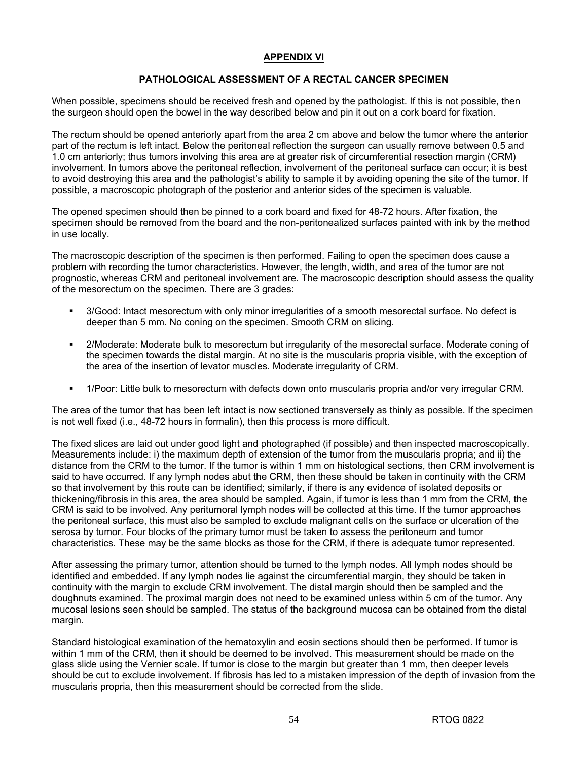### **APPENDIX VI**

### **PATHOLOGICAL ASSESSMENT OF A RECTAL CANCER SPECIMEN**

When possible, specimens should be received fresh and opened by the pathologist. If this is not possible, then the surgeon should open the bowel in the way described below and pin it out on a cork board for fixation.

The rectum should be opened anteriorly apart from the area 2 cm above and below the tumor where the anterior part of the rectum is left intact. Below the peritoneal reflection the surgeon can usually remove between 0.5 and 1.0 cm anteriorly; thus tumors involving this area are at greater risk of circumferential resection margin (CRM) involvement. In tumors above the peritoneal reflection, involvement of the peritoneal surface can occur; it is best to avoid destroying this area and the pathologist's ability to sample it by avoiding opening the site of the tumor. If possible, a macroscopic photograph of the posterior and anterior sides of the specimen is valuable.

The opened specimen should then be pinned to a cork board and fixed for 48-72 hours. After fixation, the specimen should be removed from the board and the non-peritonealized surfaces painted with ink by the method in use locally.

The macroscopic description of the specimen is then performed. Failing to open the specimen does cause a problem with recording the tumor characteristics. However, the length, width, and area of the tumor are not prognostic, whereas CRM and peritoneal involvement are. The macroscopic description should assess the quality of the mesorectum on the specimen. There are 3 grades:

- 3/Good: Intact mesorectum with only minor irregularities of a smooth mesorectal surface. No defect is deeper than 5 mm. No coning on the specimen. Smooth CRM on slicing.
- 2/Moderate: Moderate bulk to mesorectum but irregularity of the mesorectal surface. Moderate coning of the specimen towards the distal margin. At no site is the muscularis propria visible, with the exception of the area of the insertion of levator muscles. Moderate irregularity of CRM.
- 1/Poor: Little bulk to mesorectum with defects down onto muscularis propria and/or very irregular CRM.

The area of the tumor that has been left intact is now sectioned transversely as thinly as possible. If the specimen is not well fixed (i.e., 48-72 hours in formalin), then this process is more difficult.

The fixed slices are laid out under good light and photographed (if possible) and then inspected macroscopically. Measurements include: i) the maximum depth of extension of the tumor from the muscularis propria; and ii) the distance from the CRM to the tumor. If the tumor is within 1 mm on histological sections, then CRM involvement is said to have occurred. If any lymph nodes abut the CRM, then these should be taken in continuity with the CRM so that involvement by this route can be identified; similarly, if there is any evidence of isolated deposits or thickening/fibrosis in this area, the area should be sampled. Again, if tumor is less than 1 mm from the CRM, the CRM is said to be involved. Any peritumoral lymph nodes will be collected at this time. If the tumor approaches the peritoneal surface, this must also be sampled to exclude malignant cells on the surface or ulceration of the serosa by tumor. Four blocks of the primary tumor must be taken to assess the peritoneum and tumor characteristics. These may be the same blocks as those for the CRM, if there is adequate tumor represented.

After assessing the primary tumor, attention should be turned to the lymph nodes. All lymph nodes should be identified and embedded. If any lymph nodes lie against the circumferential margin, they should be taken in continuity with the margin to exclude CRM involvement. The distal margin should then be sampled and the doughnuts examined. The proximal margin does not need to be examined unless within 5 cm of the tumor. Any mucosal lesions seen should be sampled. The status of the background mucosa can be obtained from the distal margin.

Standard histological examination of the hematoxylin and eosin sections should then be performed. If tumor is within 1 mm of the CRM, then it should be deemed to be involved. This measurement should be made on the glass slide using the Vernier scale. If tumor is close to the margin but greater than 1 mm, then deeper levels should be cut to exclude involvement. If fibrosis has led to a mistaken impression of the depth of invasion from the muscularis propria, then this measurement should be corrected from the slide.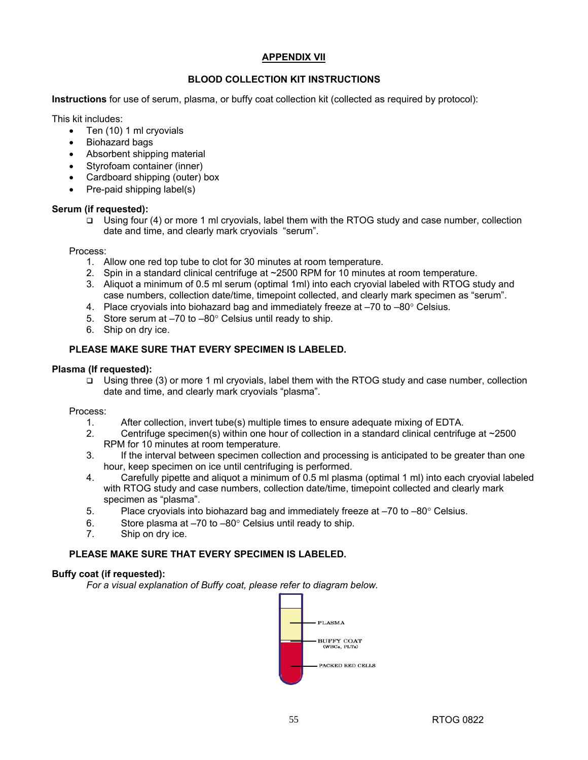### **APPENDIX VII**

### **BLOOD COLLECTION KIT INSTRUCTIONS**

**Instructions** for use of serum, plasma, or buffy coat collection kit (collected as required by protocol):

This kit includes:

- Ten (10) 1 ml cryovials
- Biohazard bags
- Absorbent shipping material
- Styrofoam container (inner)
- Cardboard shipping (outer) box
- Pre-paid shipping label(s)

### **Serum (if requested):**

 $\Box$  Using four (4) or more 1 ml cryovials, label them with the RTOG study and case number, collection date and time, and clearly mark cryovials "serum".

Process:

- 1. Allow one red top tube to clot for 30 minutes at room temperature.
- 2. Spin in a standard clinical centrifuge at ~2500 RPM for 10 minutes at room temperature.
- 3. Aliquot a minimum of 0.5 ml serum (optimal 1ml) into each cryovial labeled with RTOG study and case numbers, collection date/time, timepoint collected, and clearly mark specimen as "serum".
- 4. Place cryovials into biohazard bag and immediately freeze at  $-70$  to  $-80^\circ$  Celsius.
- 5. Store serum at –70 to –80° Celsius until ready to ship.
- 6. Ship on dry ice.

### **PLEASE MAKE SURE THAT EVERY SPECIMEN IS LABELED.**

### **Plasma (If requested):**

 Using three (3) or more 1 ml cryovials, label them with the RTOG study and case number, collection date and time, and clearly mark cryovials "plasma".

Process:

- 1. After collection, invert tube(s) multiple times to ensure adequate mixing of EDTA.
- 2. Centrifuge specimen(s) within one hour of collection in a standard clinical centrifuge at ~2500 RPM for 10 minutes at room temperature.
- 3. If the interval between specimen collection and processing is anticipated to be greater than one hour, keep specimen on ice until centrifuging is performed.
- 4. Carefully pipette and aliquot a minimum of 0.5 ml plasma (optimal 1 ml) into each cryovial labeled with RTOG study and case numbers, collection date/time, timepoint collected and clearly mark specimen as "plasma".
- 5. Place cryovials into biohazard bag and immediately freeze at  $-70$  to  $-80^\circ$  Celsius.
- 6. Store plasma at  $-70$  to  $-80^\circ$  Celsius until ready to ship.
- 7. Ship on dry ice.

### **PLEASE MAKE SURE THAT EVERY SPECIMEN IS LABELED.**

### **Buffy coat (if requested):**

*For a visual explanation of Buffy coat, please refer to diagram below.*